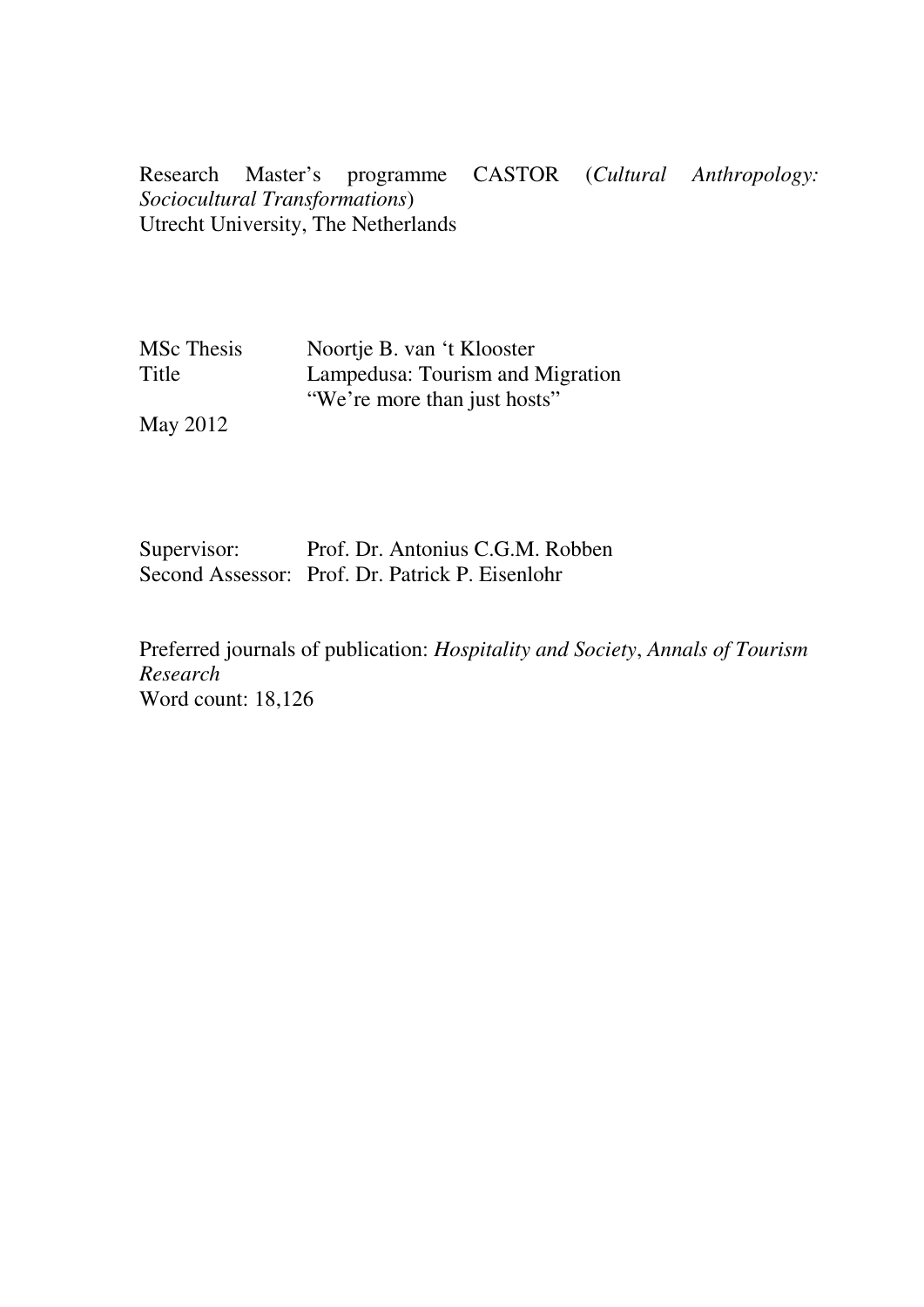Research Master's programme CASTOR (*Cultural Anthropology: Sociocultural Transformations*) Utrecht University, The Netherlands

| <b>MSc</b> Thesis | Noortje B. van 't Klooster       |
|-------------------|----------------------------------|
| Title             | Lampedusa: Tourism and Migration |
|                   | "We're more than just hosts"     |
|                   |                                  |

May 2012

Supervisor: Prof. Dr. Antonius C.G.M. Robben Second Assessor: Prof. Dr. Patrick P. Eisenlohr

Preferred journals of publication: *Hospitality and Society*, *Annals of Tourism Research* Word count: 18,126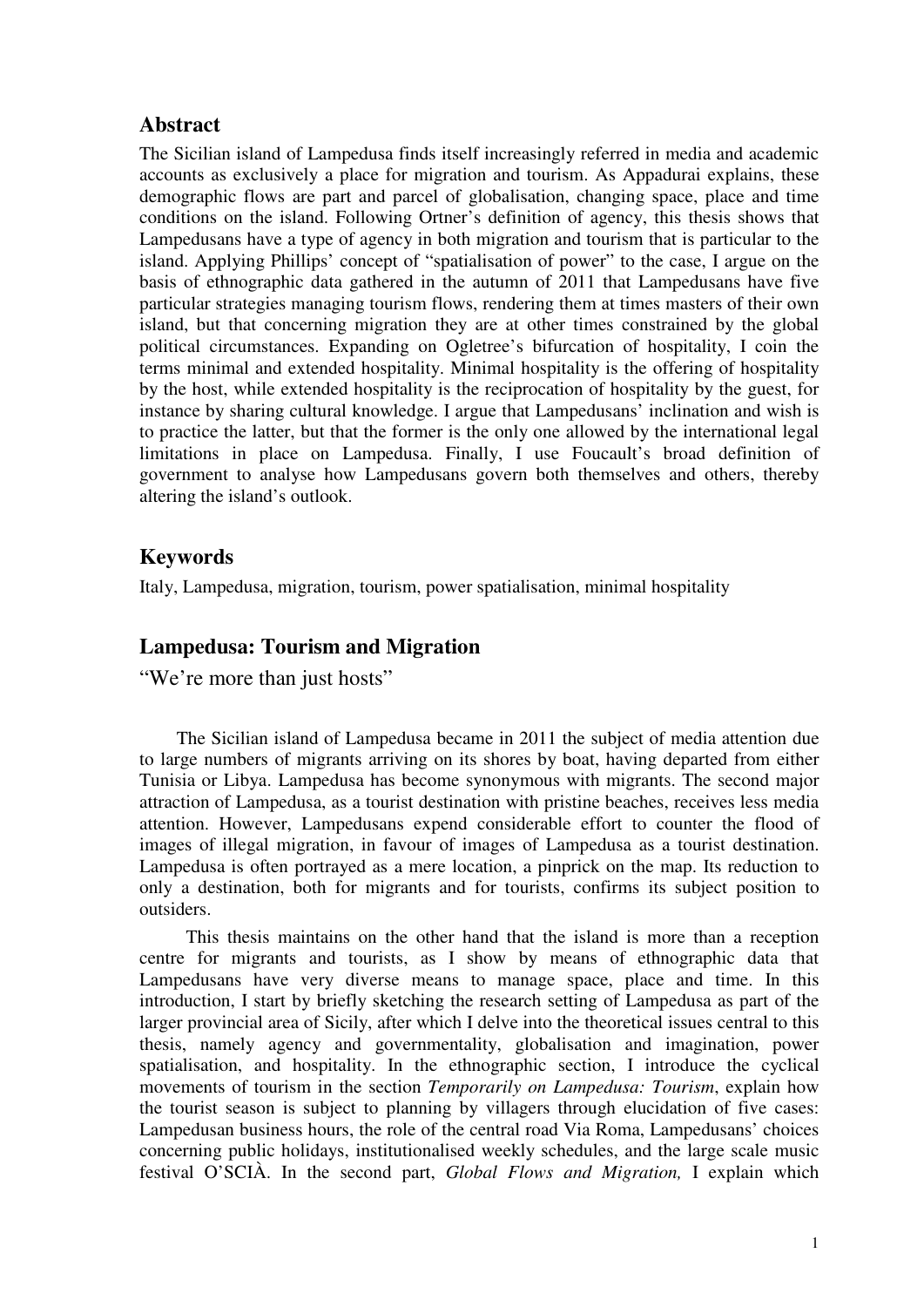# **Abstract**

The Sicilian island of Lampedusa finds itself increasingly referred in media and academic accounts as exclusively a place for migration and tourism. As Appadurai explains, these demographic flows are part and parcel of globalisation, changing space, place and time conditions on the island. Following Ortner's definition of agency, this thesis shows that Lampedusans have a type of agency in both migration and tourism that is particular to the island. Applying Phillips' concept of "spatialisation of power" to the case, I argue on the basis of ethnographic data gathered in the autumn of 2011 that Lampedusans have five particular strategies managing tourism flows, rendering them at times masters of their own island, but that concerning migration they are at other times constrained by the global political circumstances. Expanding on Ogletree's bifurcation of hospitality, I coin the terms minimal and extended hospitality. Minimal hospitality is the offering of hospitality by the host, while extended hospitality is the reciprocation of hospitality by the guest, for instance by sharing cultural knowledge. I argue that Lampedusans' inclination and wish is to practice the latter, but that the former is the only one allowed by the international legal limitations in place on Lampedusa. Finally, I use Foucault's broad definition of government to analyse how Lampedusans govern both themselves and others, thereby altering the island's outlook.

# **Keywords**

Italy, Lampedusa, migration, tourism, power spatialisation, minimal hospitality

# **Lampedusa: Tourism and Migration**

"We're more than just hosts"

The Sicilian island of Lampedusa became in 2011 the subject of media attention due to large numbers of migrants arriving on its shores by boat, having departed from either Tunisia or Libya. Lampedusa has become synonymous with migrants. The second major attraction of Lampedusa, as a tourist destination with pristine beaches, receives less media attention. However, Lampedusans expend considerable effort to counter the flood of images of illegal migration, in favour of images of Lampedusa as a tourist destination. Lampedusa is often portrayed as a mere location, a pinprick on the map. Its reduction to only a destination, both for migrants and for tourists, confirms its subject position to outsiders.

This thesis maintains on the other hand that the island is more than a reception centre for migrants and tourists, as I show by means of ethnographic data that Lampedusans have very diverse means to manage space, place and time. In this introduction, I start by briefly sketching the research setting of Lampedusa as part of the larger provincial area of Sicily, after which I delve into the theoretical issues central to this thesis, namely agency and governmentality, globalisation and imagination, power spatialisation, and hospitality. In the ethnographic section, I introduce the cyclical movements of tourism in the section *Temporarily on Lampedusa: Tourism*, explain how the tourist season is subject to planning by villagers through elucidation of five cases: Lampedusan business hours, the role of the central road Via Roma, Lampedusans' choices concerning public holidays, institutionalised weekly schedules, and the large scale music festival O'SCIÀ. In the second part, *Global Flows and Migration,* I explain which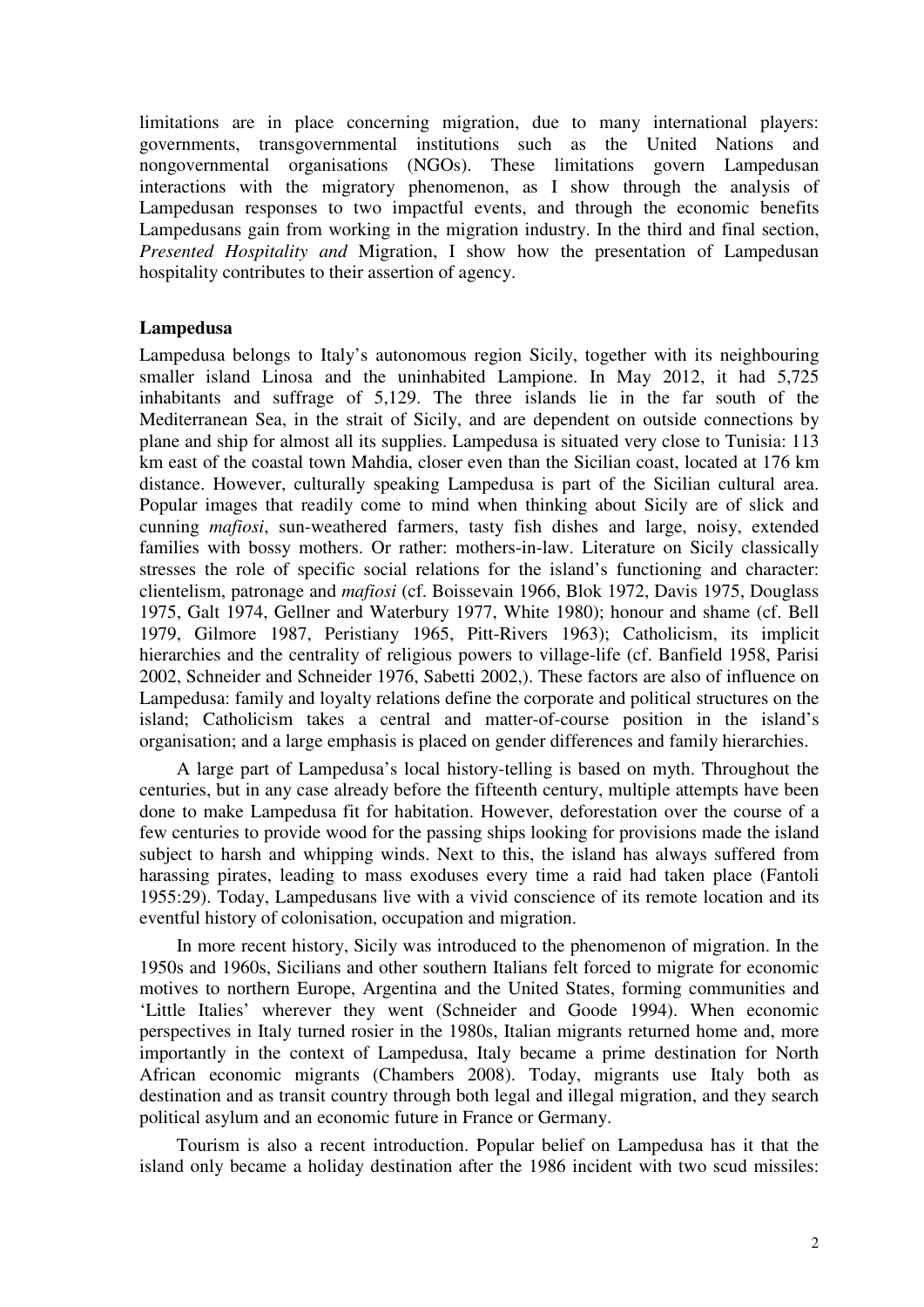limitations are in place concerning migration, due to many international players: governments, transgovernmental institutions such as the United Nations and nongovernmental organisations (NGOs). These limitations govern Lampedusan interactions with the migratory phenomenon, as I show through the analysis of Lampedusan responses to two impactful events, and through the economic benefits Lampedusans gain from working in the migration industry. In the third and final section, *Presented Hospitality and* Migration, I show how the presentation of Lampedusan hospitality contributes to their assertion of agency.

### **Lampedusa**

Lampedusa belongs to Italy's autonomous region Sicily, together with its neighbouring smaller island Linosa and the uninhabited Lampione. In May 2012, it had 5,725 inhabitants and suffrage of 5,129. The three islands lie in the far south of the Mediterranean Sea, in the strait of Sicily, and are dependent on outside connections by plane and ship for almost all its supplies. Lampedusa is situated very close to Tunisia: 113 km east of the coastal town Mahdia, closer even than the Sicilian coast, located at 176 km distance. However, culturally speaking Lampedusa is part of the Sicilian cultural area. Popular images that readily come to mind when thinking about Sicily are of slick and cunning *mafiosi*, sun-weathered farmers, tasty fish dishes and large, noisy, extended families with bossy mothers. Or rather: mothers-in-law. Literature on Sicily classically stresses the role of specific social relations for the island's functioning and character: clientelism, patronage and *mafiosi* (cf. Boissevain 1966, Blok 1972, Davis 1975, Douglass 1975, Galt 1974, Gellner and Waterbury 1977, White 1980); honour and shame (cf. Bell 1979, Gilmore 1987, Peristiany 1965, Pitt-Rivers 1963); Catholicism, its implicit hierarchies and the centrality of religious powers to village-life (cf. Banfield 1958, Parisi 2002, Schneider and Schneider 1976, Sabetti 2002,). These factors are also of influence on Lampedusa: family and loyalty relations define the corporate and political structures on the island; Catholicism takes a central and matter-of-course position in the island's organisation; and a large emphasis is placed on gender differences and family hierarchies.

A large part of Lampedusa's local history-telling is based on myth. Throughout the centuries, but in any case already before the fifteenth century, multiple attempts have been done to make Lampedusa fit for habitation. However, deforestation over the course of a few centuries to provide wood for the passing ships looking for provisions made the island subject to harsh and whipping winds. Next to this, the island has always suffered from harassing pirates, leading to mass exoduses every time a raid had taken place (Fantoli 1955:29). Today, Lampedusans live with a vivid conscience of its remote location and its eventful history of colonisation, occupation and migration.

In more recent history, Sicily was introduced to the phenomenon of migration. In the 1950s and 1960s, Sicilians and other southern Italians felt forced to migrate for economic motives to northern Europe, Argentina and the United States, forming communities and 'Little Italies' wherever they went (Schneider and Goode 1994). When economic perspectives in Italy turned rosier in the 1980s, Italian migrants returned home and, more importantly in the context of Lampedusa, Italy became a prime destination for North African economic migrants (Chambers 2008). Today, migrants use Italy both as destination and as transit country through both legal and illegal migration, and they search political asylum and an economic future in France or Germany.

Tourism is also a recent introduction. Popular belief on Lampedusa has it that the island only became a holiday destination after the 1986 incident with two scud missiles: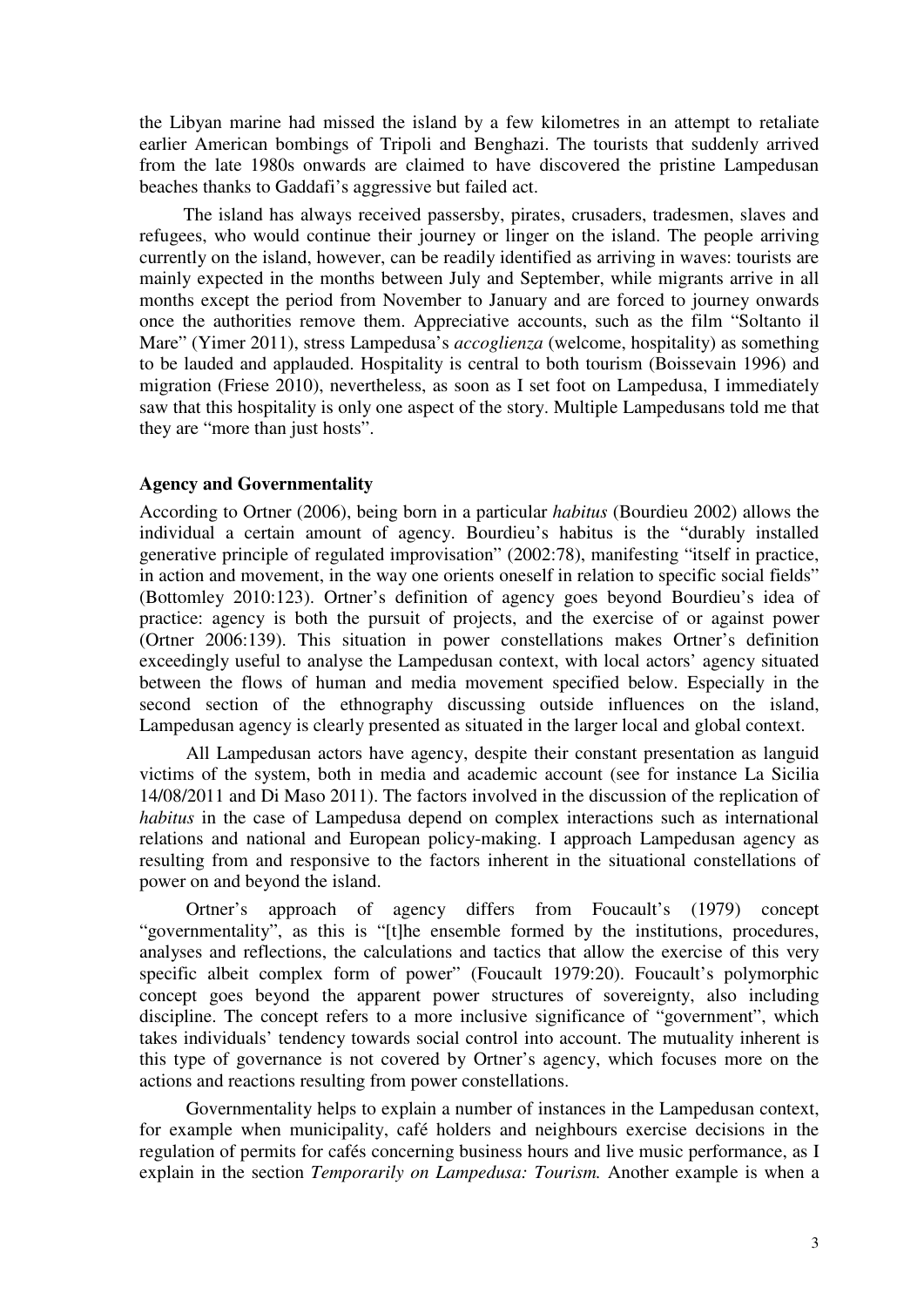the Libyan marine had missed the island by a few kilometres in an attempt to retaliate earlier American bombings of Tripoli and Benghazi. The tourists that suddenly arrived from the late 1980s onwards are claimed to have discovered the pristine Lampedusan beaches thanks to Gaddafi's aggressive but failed act.

The island has always received passersby, pirates, crusaders, tradesmen, slaves and refugees, who would continue their journey or linger on the island. The people arriving currently on the island, however, can be readily identified as arriving in waves: tourists are mainly expected in the months between July and September, while migrants arrive in all months except the period from November to January and are forced to journey onwards once the authorities remove them. Appreciative accounts, such as the film "Soltanto il Mare" (Yimer 2011), stress Lampedusa's *accoglienza* (welcome, hospitality) as something to be lauded and applauded. Hospitality is central to both tourism (Boissevain 1996) and migration (Friese 2010), nevertheless, as soon as I set foot on Lampedusa, I immediately saw that this hospitality is only one aspect of the story. Multiple Lampedusans told me that they are "more than just hosts".

### **Agency and Governmentality**

According to Ortner (2006), being born in a particular *habitus* (Bourdieu 2002) allows the individual a certain amount of agency. Bourdieu's habitus is the "durably installed generative principle of regulated improvisation" (2002:78), manifesting "itself in practice, in action and movement, in the way one orients oneself in relation to specific social fields" (Bottomley 2010:123). Ortner's definition of agency goes beyond Bourdieu's idea of practice: agency is both the pursuit of projects, and the exercise of or against power (Ortner 2006:139). This situation in power constellations makes Ortner's definition exceedingly useful to analyse the Lampedusan context, with local actors' agency situated between the flows of human and media movement specified below. Especially in the second section of the ethnography discussing outside influences on the island, Lampedusan agency is clearly presented as situated in the larger local and global context.

All Lampedusan actors have agency, despite their constant presentation as languid victims of the system, both in media and academic account (see for instance La Sicilia 14/08/2011 and Di Maso 2011). The factors involved in the discussion of the replication of *habitus* in the case of Lampedusa depend on complex interactions such as international relations and national and European policy-making. I approach Lampedusan agency as resulting from and responsive to the factors inherent in the situational constellations of power on and beyond the island.

Ortner's approach of agency differs from Foucault's (1979) concept "governmentality", as this is "[t]he ensemble formed by the institutions, procedures, analyses and reflections, the calculations and tactics that allow the exercise of this very specific albeit complex form of power" (Foucault 1979:20). Foucault's polymorphic concept goes beyond the apparent power structures of sovereignty, also including discipline. The concept refers to a more inclusive significance of "government", which takes individuals' tendency towards social control into account. The mutuality inherent is this type of governance is not covered by Ortner's agency, which focuses more on the actions and reactions resulting from power constellations.

Governmentality helps to explain a number of instances in the Lampedusan context, for example when municipality, café holders and neighbours exercise decisions in the regulation of permits for cafés concerning business hours and live music performance, as I explain in the section *Temporarily on Lampedusa: Tourism.* Another example is when a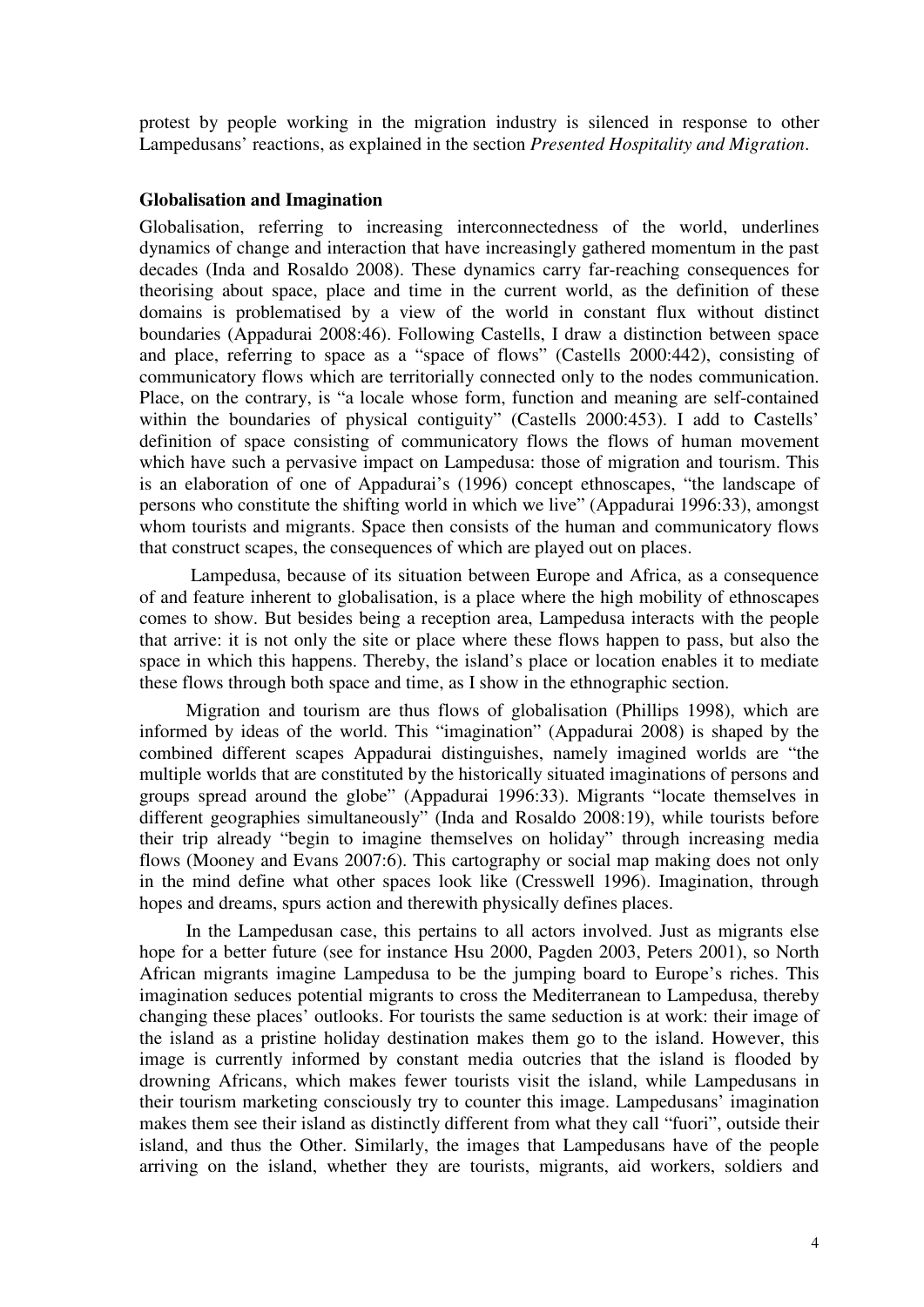protest by people working in the migration industry is silenced in response to other Lampedusans' reactions, as explained in the section *Presented Hospitality and Migration*.

#### **Globalisation and Imagination**

Globalisation, referring to increasing interconnectedness of the world, underlines dynamics of change and interaction that have increasingly gathered momentum in the past decades (Inda and Rosaldo 2008). These dynamics carry far-reaching consequences for theorising about space, place and time in the current world, as the definition of these domains is problematised by a view of the world in constant flux without distinct boundaries (Appadurai 2008:46). Following Castells, I draw a distinction between space and place, referring to space as a "space of flows" (Castells 2000:442), consisting of communicatory flows which are territorially connected only to the nodes communication. Place, on the contrary, is "a locale whose form, function and meaning are self-contained within the boundaries of physical contiguity" (Castells 2000:453). I add to Castells' definition of space consisting of communicatory flows the flows of human movement which have such a pervasive impact on Lampedusa: those of migration and tourism. This is an elaboration of one of Appadurai's (1996) concept ethnoscapes, "the landscape of persons who constitute the shifting world in which we live" (Appadurai 1996:33), amongst whom tourists and migrants. Space then consists of the human and communicatory flows that construct scapes, the consequences of which are played out on places.

 Lampedusa, because of its situation between Europe and Africa, as a consequence of and feature inherent to globalisation, is a place where the high mobility of ethnoscapes comes to show. But besides being a reception area, Lampedusa interacts with the people that arrive: it is not only the site or place where these flows happen to pass, but also the space in which this happens. Thereby, the island's place or location enables it to mediate these flows through both space and time, as I show in the ethnographic section.

Migration and tourism are thus flows of globalisation (Phillips 1998), which are informed by ideas of the world. This "imagination" (Appadurai 2008) is shaped by the combined different scapes Appadurai distinguishes, namely imagined worlds are "the multiple worlds that are constituted by the historically situated imaginations of persons and groups spread around the globe" (Appadurai 1996:33). Migrants "locate themselves in different geographies simultaneously" (Inda and Rosaldo 2008:19), while tourists before their trip already "begin to imagine themselves on holiday" through increasing media flows (Mooney and Evans 2007:6). This cartography or social map making does not only in the mind define what other spaces look like (Cresswell 1996). Imagination, through hopes and dreams, spurs action and therewith physically defines places.

In the Lampedusan case, this pertains to all actors involved. Just as migrants else hope for a better future (see for instance Hsu 2000, Pagden 2003, Peters 2001), so North African migrants imagine Lampedusa to be the jumping board to Europe's riches. This imagination seduces potential migrants to cross the Mediterranean to Lampedusa, thereby changing these places' outlooks. For tourists the same seduction is at work: their image of the island as a pristine holiday destination makes them go to the island. However, this image is currently informed by constant media outcries that the island is flooded by drowning Africans, which makes fewer tourists visit the island, while Lampedusans in their tourism marketing consciously try to counter this image. Lampedusans' imagination makes them see their island as distinctly different from what they call "fuori", outside their island, and thus the Other. Similarly, the images that Lampedusans have of the people arriving on the island, whether they are tourists, migrants, aid workers, soldiers and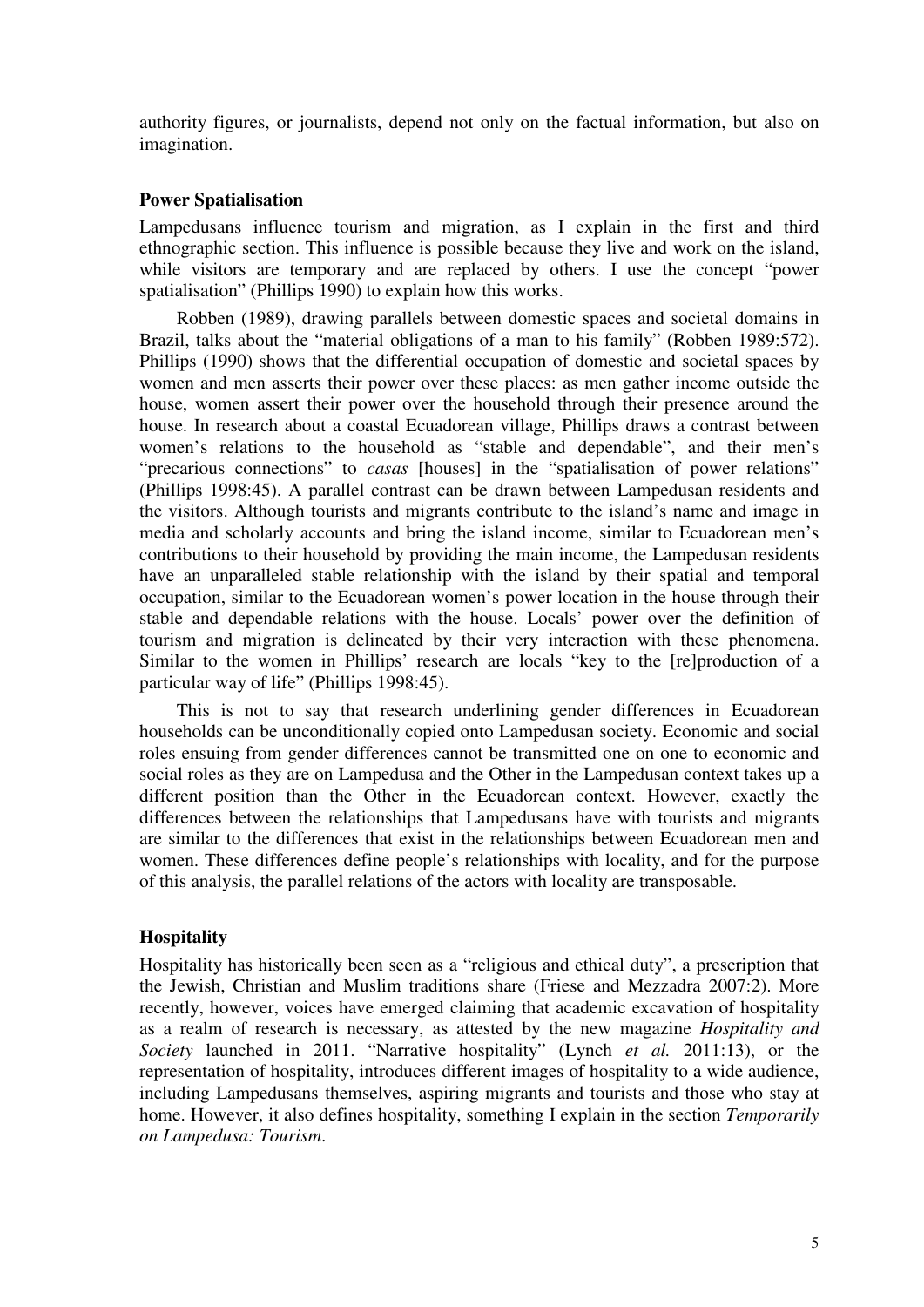authority figures, or journalists, depend not only on the factual information, but also on imagination.

### **Power Spatialisation**

Lampedusans influence tourism and migration, as I explain in the first and third ethnographic section. This influence is possible because they live and work on the island, while visitors are temporary and are replaced by others. I use the concept "power spatialisation" (Phillips 1990) to explain how this works.

Robben (1989), drawing parallels between domestic spaces and societal domains in Brazil, talks about the "material obligations of a man to his family" (Robben 1989:572). Phillips (1990) shows that the differential occupation of domestic and societal spaces by women and men asserts their power over these places: as men gather income outside the house, women assert their power over the household through their presence around the house. In research about a coastal Ecuadorean village, Phillips draws a contrast between women's relations to the household as "stable and dependable", and their men's "precarious connections" to *casas* [houses] in the "spatialisation of power relations" (Phillips 1998:45). A parallel contrast can be drawn between Lampedusan residents and the visitors. Although tourists and migrants contribute to the island's name and image in media and scholarly accounts and bring the island income, similar to Ecuadorean men's contributions to their household by providing the main income, the Lampedusan residents have an unparalleled stable relationship with the island by their spatial and temporal occupation, similar to the Ecuadorean women's power location in the house through their stable and dependable relations with the house. Locals' power over the definition of tourism and migration is delineated by their very interaction with these phenomena. Similar to the women in Phillips' research are locals "key to the [re]production of a particular way of life" (Phillips 1998:45).

This is not to say that research underlining gender differences in Ecuadorean households can be unconditionally copied onto Lampedusan society. Economic and social roles ensuing from gender differences cannot be transmitted one on one to economic and social roles as they are on Lampedusa and the Other in the Lampedusan context takes up a different position than the Other in the Ecuadorean context. However, exactly the differences between the relationships that Lampedusans have with tourists and migrants are similar to the differences that exist in the relationships between Ecuadorean men and women. These differences define people's relationships with locality, and for the purpose of this analysis, the parallel relations of the actors with locality are transposable.

### **Hospitality**

Hospitality has historically been seen as a "religious and ethical duty", a prescription that the Jewish, Christian and Muslim traditions share (Friese and Mezzadra 2007:2). More recently, however, voices have emerged claiming that academic excavation of hospitality as a realm of research is necessary, as attested by the new magazine *Hospitality and Society* launched in 2011. "Narrative hospitality" (Lynch *et al.* 2011:13), or the representation of hospitality, introduces different images of hospitality to a wide audience, including Lampedusans themselves, aspiring migrants and tourists and those who stay at home. However, it also defines hospitality, something I explain in the section *Temporarily on Lampedusa: Tourism*.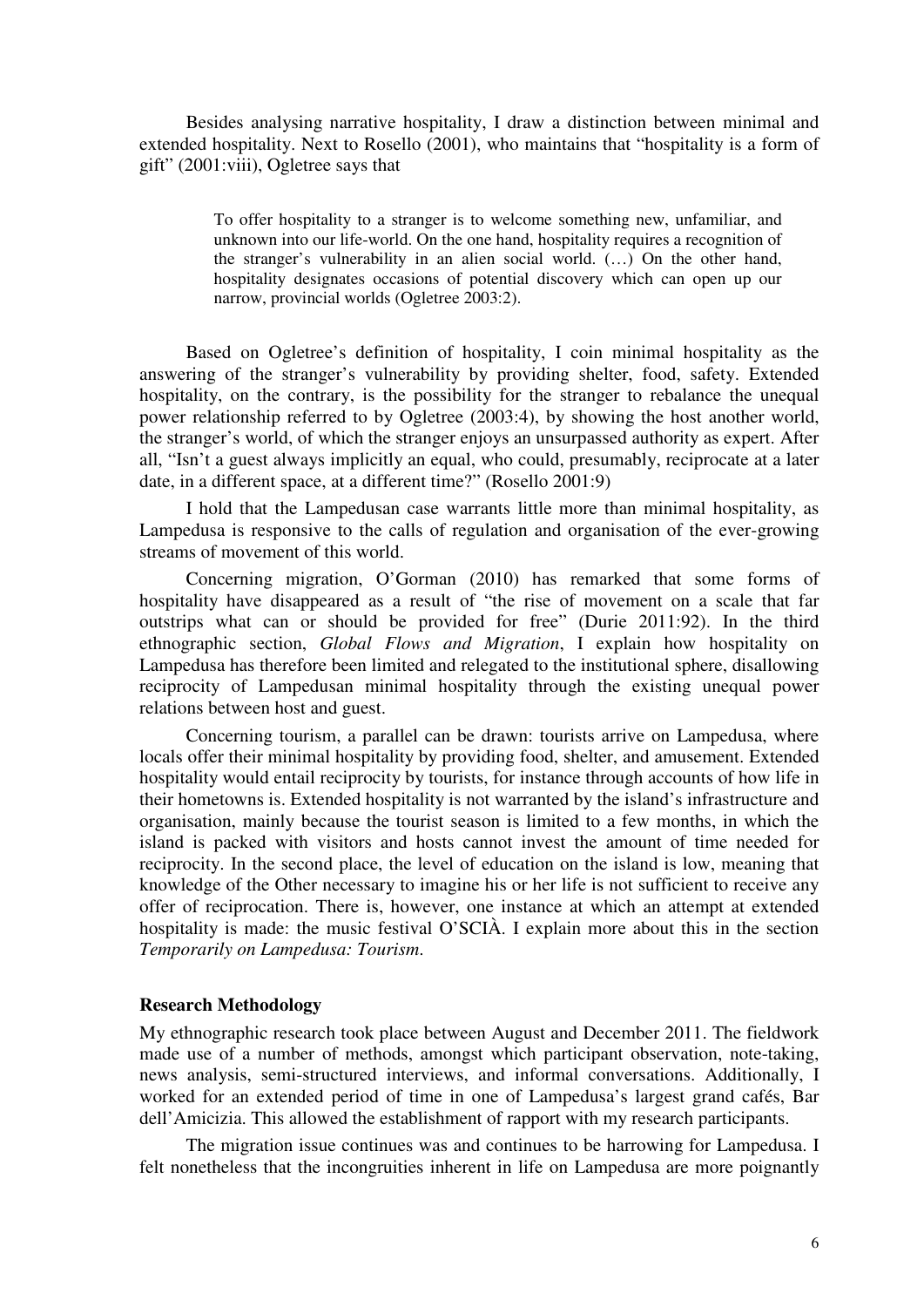Besides analysing narrative hospitality, I draw a distinction between minimal and extended hospitality. Next to Rosello (2001), who maintains that "hospitality is a form of gift" (2001:viii), Ogletree says that

> To offer hospitality to a stranger is to welcome something new, unfamiliar, and unknown into our life-world. On the one hand, hospitality requires a recognition of the stranger's vulnerability in an alien social world. (…) On the other hand, hospitality designates occasions of potential discovery which can open up our narrow, provincial worlds (Ogletree 2003:2).

Based on Ogletree's definition of hospitality, I coin minimal hospitality as the answering of the stranger's vulnerability by providing shelter, food, safety. Extended hospitality, on the contrary, is the possibility for the stranger to rebalance the unequal power relationship referred to by Ogletree (2003:4), by showing the host another world, the stranger's world, of which the stranger enjoys an unsurpassed authority as expert. After all, "Isn't a guest always implicitly an equal, who could, presumably, reciprocate at a later date, in a different space, at a different time?" (Rosello 2001:9)

I hold that the Lampedusan case warrants little more than minimal hospitality, as Lampedusa is responsive to the calls of regulation and organisation of the ever-growing streams of movement of this world.

Concerning migration, O'Gorman (2010) has remarked that some forms of hospitality have disappeared as a result of "the rise of movement on a scale that far outstrips what can or should be provided for free" (Durie 2011:92). In the third ethnographic section, *Global Flows and Migration*, I explain how hospitality on Lampedusa has therefore been limited and relegated to the institutional sphere, disallowing reciprocity of Lampedusan minimal hospitality through the existing unequal power relations between host and guest.

Concerning tourism, a parallel can be drawn: tourists arrive on Lampedusa, where locals offer their minimal hospitality by providing food, shelter, and amusement. Extended hospitality would entail reciprocity by tourists, for instance through accounts of how life in their hometowns is. Extended hospitality is not warranted by the island's infrastructure and organisation, mainly because the tourist season is limited to a few months, in which the island is packed with visitors and hosts cannot invest the amount of time needed for reciprocity. In the second place, the level of education on the island is low, meaning that knowledge of the Other necessary to imagine his or her life is not sufficient to receive any offer of reciprocation. There is, however, one instance at which an attempt at extended hospitality is made: the music festival O'SCIÀ. I explain more about this in the section *Temporarily on Lampedusa: Tourism*.

#### **Research Methodology**

My ethnographic research took place between August and December 2011. The fieldwork made use of a number of methods, amongst which participant observation, note-taking, news analysis, semi-structured interviews, and informal conversations. Additionally, I worked for an extended period of time in one of Lampedusa's largest grand cafés, Bar dell'Amicizia. This allowed the establishment of rapport with my research participants.

The migration issue continues was and continues to be harrowing for Lampedusa. I felt nonetheless that the incongruities inherent in life on Lampedusa are more poignantly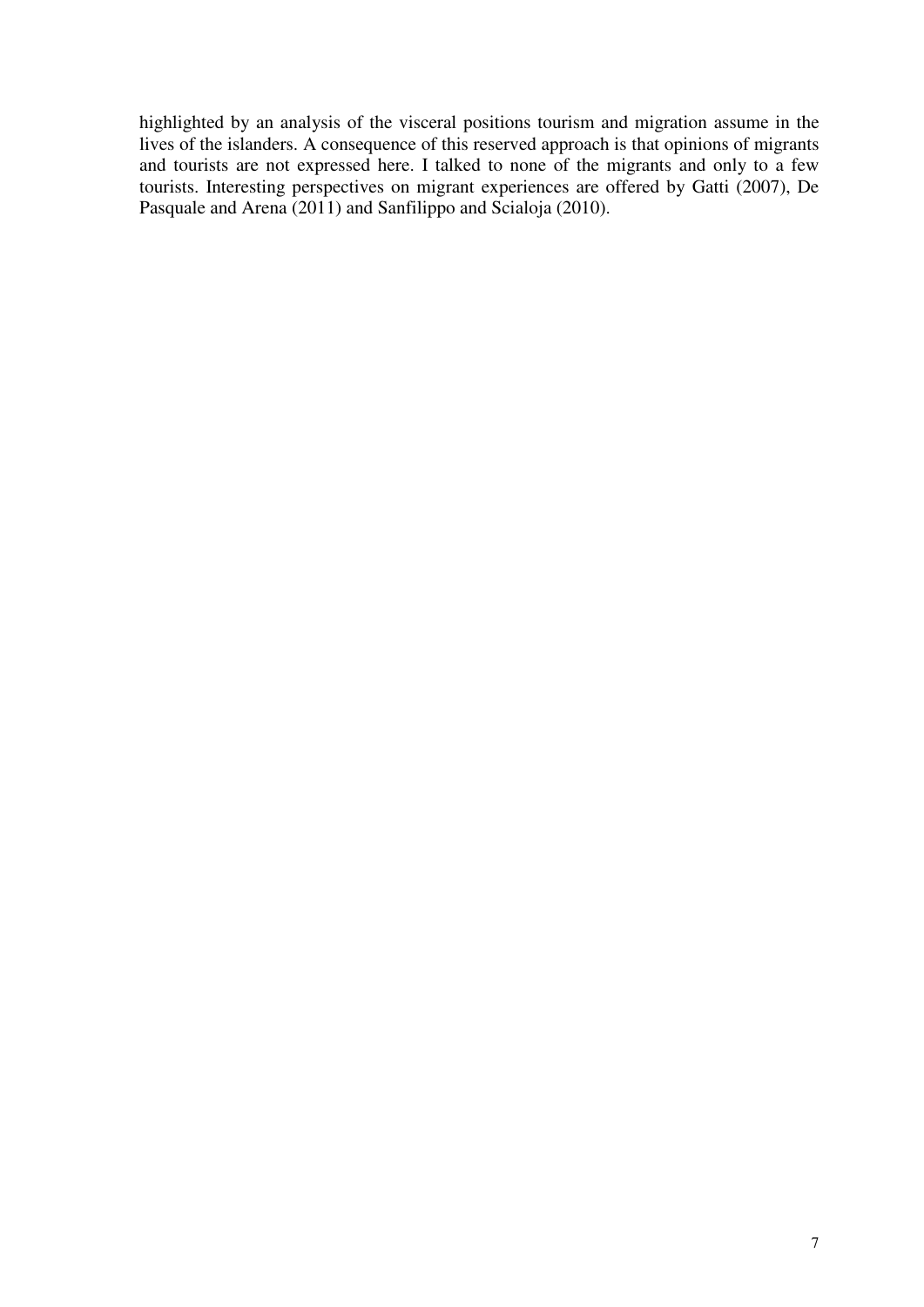highlighted by an analysis of the visceral positions tourism and migration assume in the lives of the islanders. A consequence of this reserved approach is that opinions of migrants and tourists are not expressed here. I talked to none of the migrants and only to a few tourists. Interesting perspectives on migrant experiences are offered by Gatti (2007), De Pasquale and Arena (2011) and Sanfilippo and Scialoja (2010).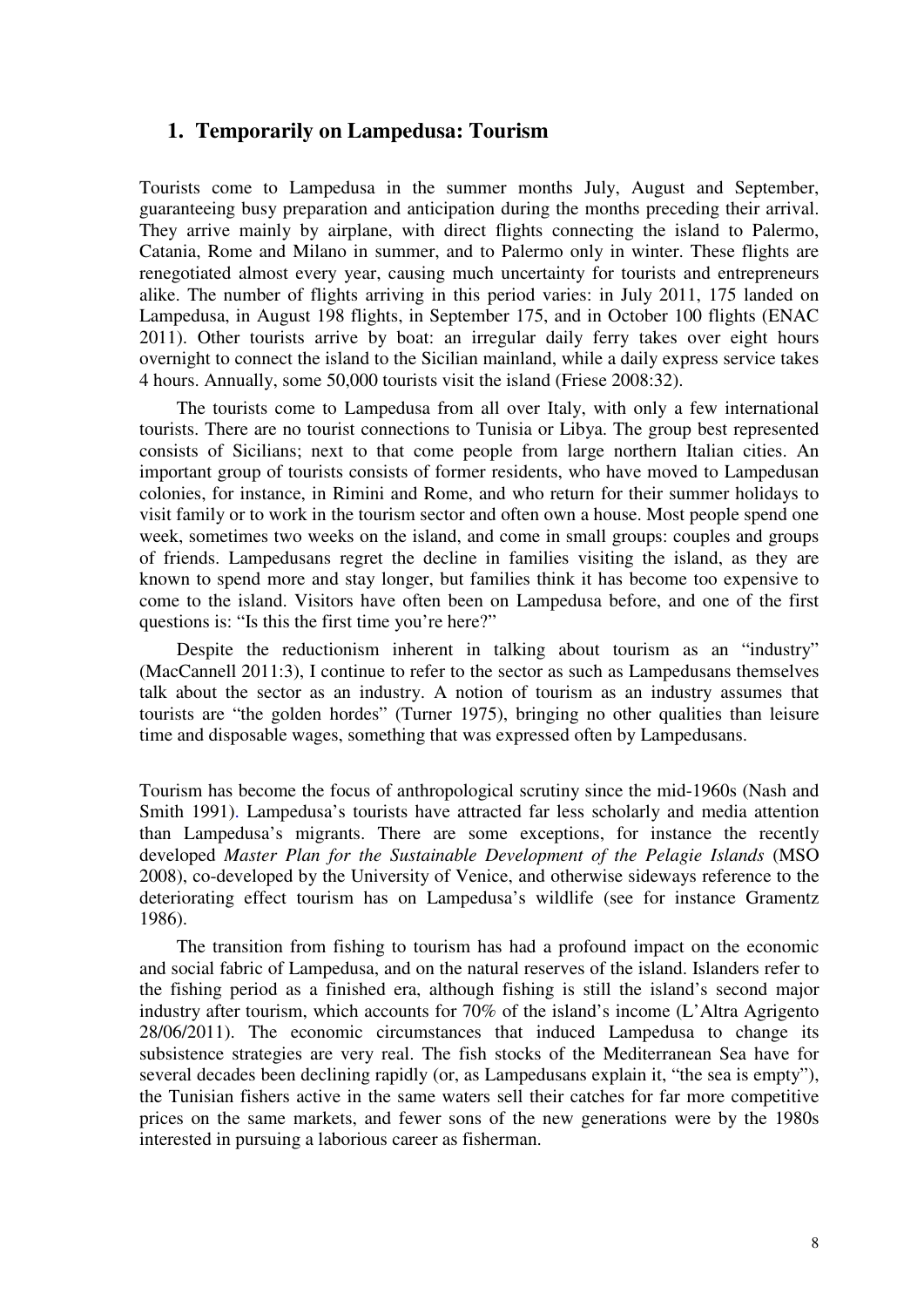# **1. Temporarily on Lampedusa: Tourism**

Tourists come to Lampedusa in the summer months July, August and September, guaranteeing busy preparation and anticipation during the months preceding their arrival. They arrive mainly by airplane, with direct flights connecting the island to Palermo, Catania, Rome and Milano in summer, and to Palermo only in winter. These flights are renegotiated almost every year, causing much uncertainty for tourists and entrepreneurs alike. The number of flights arriving in this period varies: in July 2011, 175 landed on Lampedusa, in August 198 flights, in September 175, and in October 100 flights (ENAC 2011). Other tourists arrive by boat: an irregular daily ferry takes over eight hours overnight to connect the island to the Sicilian mainland, while a daily express service takes 4 hours. Annually, some 50,000 tourists visit the island (Friese 2008:32).

The tourists come to Lampedusa from all over Italy, with only a few international tourists. There are no tourist connections to Tunisia or Libya. The group best represented consists of Sicilians; next to that come people from large northern Italian cities. An important group of tourists consists of former residents, who have moved to Lampedusan colonies, for instance, in Rimini and Rome, and who return for their summer holidays to visit family or to work in the tourism sector and often own a house. Most people spend one week, sometimes two weeks on the island, and come in small groups: couples and groups of friends. Lampedusans regret the decline in families visiting the island, as they are known to spend more and stay longer, but families think it has become too expensive to come to the island. Visitors have often been on Lampedusa before, and one of the first questions is: "Is this the first time you're here?"

Despite the reductionism inherent in talking about tourism as an "industry" (MacCannell 2011:3), I continue to refer to the sector as such as Lampedusans themselves talk about the sector as an industry. A notion of tourism as an industry assumes that tourists are "the golden hordes" (Turner 1975), bringing no other qualities than leisure time and disposable wages, something that was expressed often by Lampedusans.

Tourism has become the focus of anthropological scrutiny since the mid-1960s (Nash and Smith 1991). Lampedusa's tourists have attracted far less scholarly and media attention than Lampedusa's migrants. There are some exceptions, for instance the recently developed *Master Plan for the Sustainable Development of the Pelagie Islands* (MSO 2008), co-developed by the University of Venice, and otherwise sideways reference to the deteriorating effect tourism has on Lampedusa's wildlife (see for instance Gramentz 1986).

The transition from fishing to tourism has had a profound impact on the economic and social fabric of Lampedusa, and on the natural reserves of the island. Islanders refer to the fishing period as a finished era, although fishing is still the island's second major industry after tourism, which accounts for 70% of the island's income (L'Altra Agrigento 28/06/2011). The economic circumstances that induced Lampedusa to change its subsistence strategies are very real. The fish stocks of the Mediterranean Sea have for several decades been declining rapidly (or, as Lampedusans explain it, "the sea is empty"), the Tunisian fishers active in the same waters sell their catches for far more competitive prices on the same markets, and fewer sons of the new generations were by the 1980s interested in pursuing a laborious career as fisherman.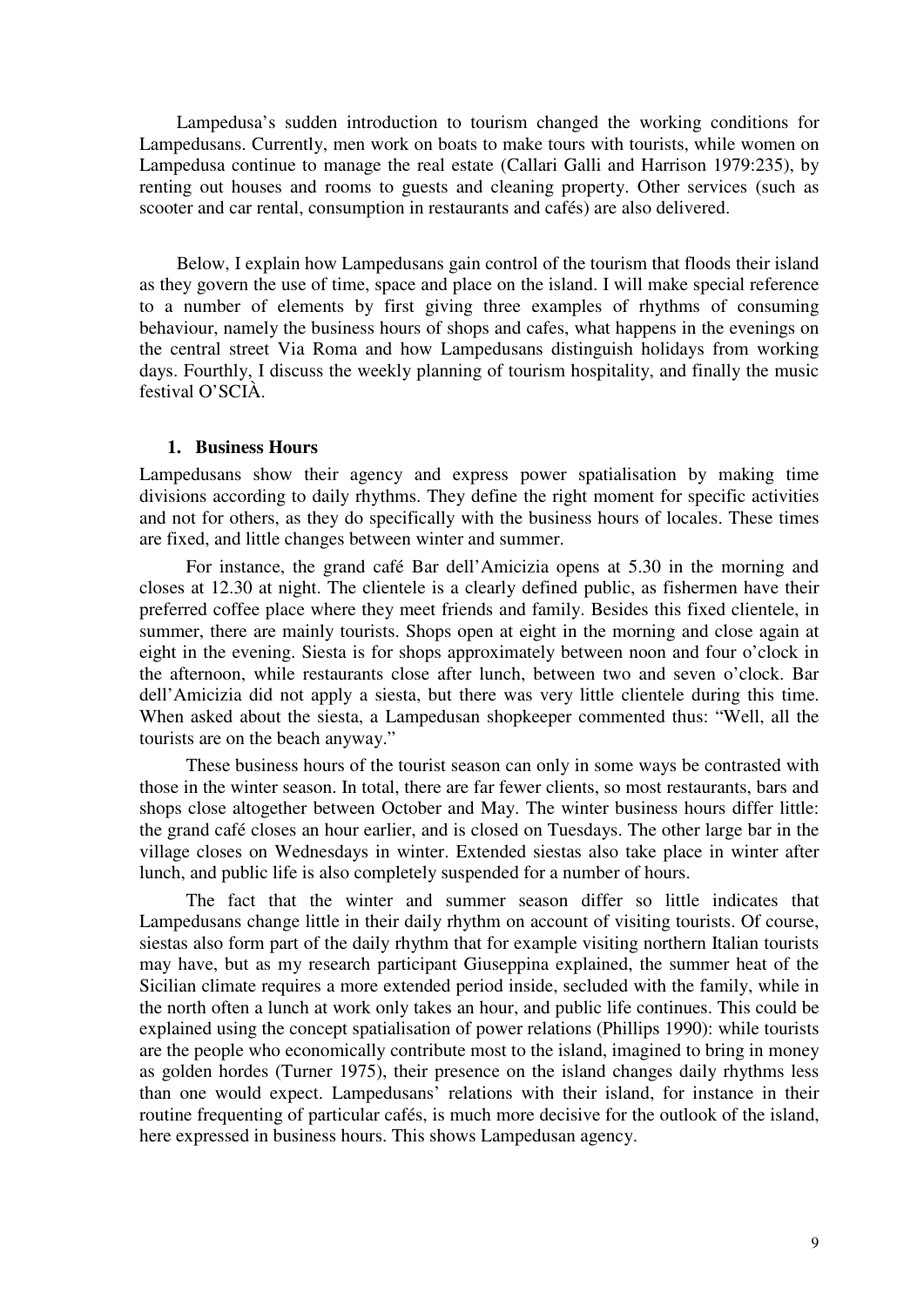Lampedusa's sudden introduction to tourism changed the working conditions for Lampedusans. Currently, men work on boats to make tours with tourists, while women on Lampedusa continue to manage the real estate (Callari Galli and Harrison 1979:235), by renting out houses and rooms to guests and cleaning property. Other services (such as scooter and car rental, consumption in restaurants and cafés) are also delivered.

Below, I explain how Lampedusans gain control of the tourism that floods their island as they govern the use of time, space and place on the island. I will make special reference to a number of elements by first giving three examples of rhythms of consuming behaviour, namely the business hours of shops and cafes, what happens in the evenings on the central street Via Roma and how Lampedusans distinguish holidays from working days. Fourthly, I discuss the weekly planning of tourism hospitality, and finally the music festival O'SCIÀ.

#### **1. Business Hours**

Lampedusans show their agency and express power spatialisation by making time divisions according to daily rhythms. They define the right moment for specific activities and not for others, as they do specifically with the business hours of locales. These times are fixed, and little changes between winter and summer.

For instance, the grand café Bar dell'Amicizia opens at 5.30 in the morning and closes at 12.30 at night. The clientele is a clearly defined public, as fishermen have their preferred coffee place where they meet friends and family. Besides this fixed clientele, in summer, there are mainly tourists. Shops open at eight in the morning and close again at eight in the evening. Siesta is for shops approximately between noon and four o'clock in the afternoon, while restaurants close after lunch, between two and seven o'clock. Bar dell'Amicizia did not apply a siesta, but there was very little clientele during this time. When asked about the siesta, a Lampedusan shopkeeper commented thus: "Well, all the tourists are on the beach anyway."

These business hours of the tourist season can only in some ways be contrasted with those in the winter season. In total, there are far fewer clients, so most restaurants, bars and shops close altogether between October and May. The winter business hours differ little: the grand café closes an hour earlier, and is closed on Tuesdays. The other large bar in the village closes on Wednesdays in winter. Extended siestas also take place in winter after lunch, and public life is also completely suspended for a number of hours.

The fact that the winter and summer season differ so little indicates that Lampedusans change little in their daily rhythm on account of visiting tourists. Of course, siestas also form part of the daily rhythm that for example visiting northern Italian tourists may have, but as my research participant Giuseppina explained, the summer heat of the Sicilian climate requires a more extended period inside, secluded with the family, while in the north often a lunch at work only takes an hour, and public life continues. This could be explained using the concept spatialisation of power relations (Phillips 1990): while tourists are the people who economically contribute most to the island, imagined to bring in money as golden hordes (Turner 1975), their presence on the island changes daily rhythms less than one would expect. Lampedusans' relations with their island, for instance in their routine frequenting of particular cafés, is much more decisive for the outlook of the island, here expressed in business hours. This shows Lampedusan agency.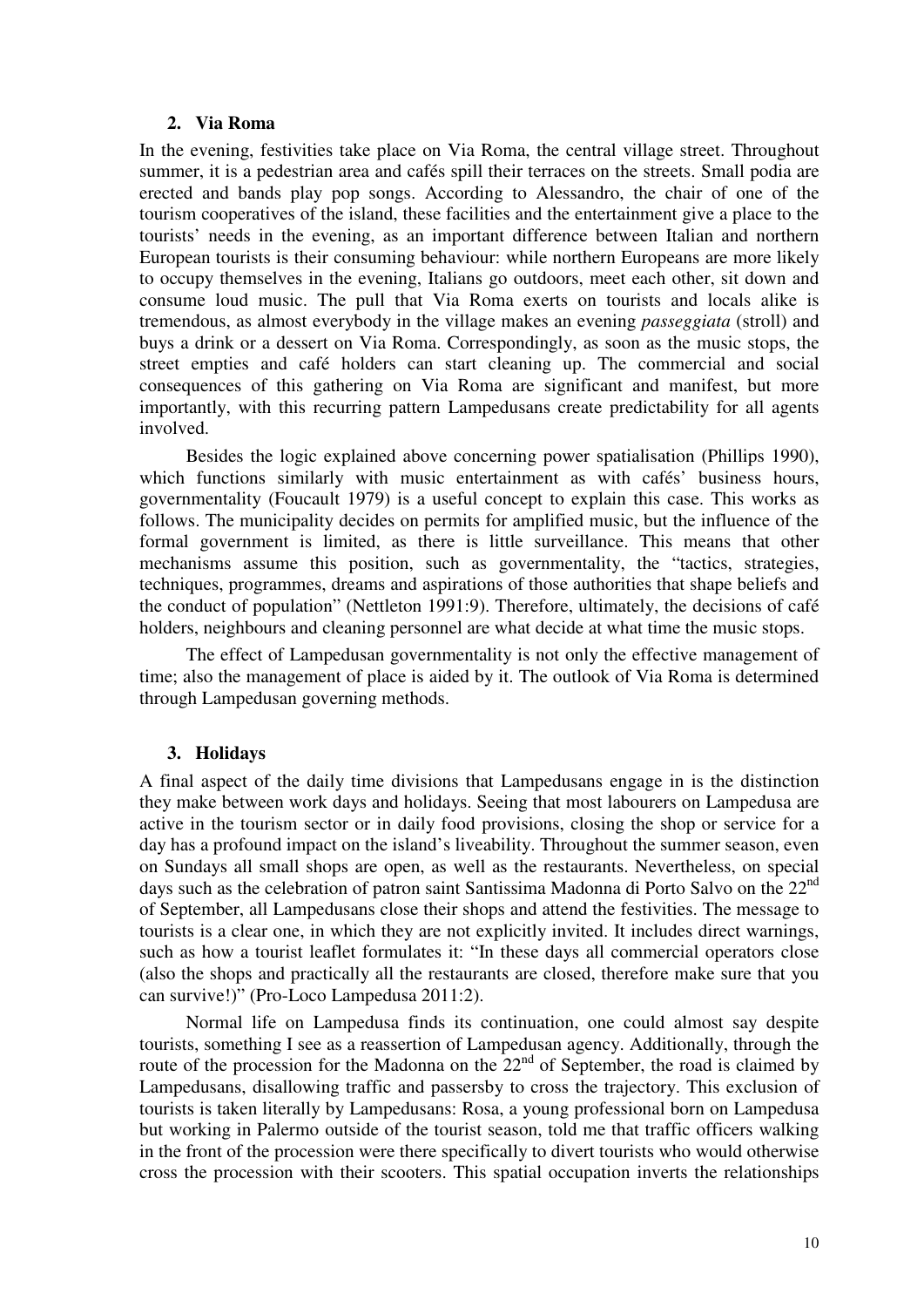### **2. Via Roma**

In the evening, festivities take place on Via Roma, the central village street. Throughout summer, it is a pedestrian area and cafés spill their terraces on the streets. Small podia are erected and bands play pop songs. According to Alessandro, the chair of one of the tourism cooperatives of the island, these facilities and the entertainment give a place to the tourists' needs in the evening, as an important difference between Italian and northern European tourists is their consuming behaviour: while northern Europeans are more likely to occupy themselves in the evening, Italians go outdoors, meet each other, sit down and consume loud music. The pull that Via Roma exerts on tourists and locals alike is tremendous, as almost everybody in the village makes an evening *passeggiata* (stroll) and buys a drink or a dessert on Via Roma. Correspondingly, as soon as the music stops, the street empties and café holders can start cleaning up. The commercial and social consequences of this gathering on Via Roma are significant and manifest, but more importantly, with this recurring pattern Lampedusans create predictability for all agents involved.

Besides the logic explained above concerning power spatialisation (Phillips 1990), which functions similarly with music entertainment as with cafés' business hours, governmentality (Foucault 1979) is a useful concept to explain this case. This works as follows. The municipality decides on permits for amplified music, but the influence of the formal government is limited, as there is little surveillance. This means that other mechanisms assume this position, such as governmentality, the "tactics, strategies, techniques, programmes, dreams and aspirations of those authorities that shape beliefs and the conduct of population" (Nettleton 1991:9). Therefore, ultimately, the decisions of café holders, neighbours and cleaning personnel are what decide at what time the music stops.

The effect of Lampedusan governmentality is not only the effective management of time; also the management of place is aided by it. The outlook of Via Roma is determined through Lampedusan governing methods.

### **3. Holidays**

A final aspect of the daily time divisions that Lampedusans engage in is the distinction they make between work days and holidays. Seeing that most labourers on Lampedusa are active in the tourism sector or in daily food provisions, closing the shop or service for a day has a profound impact on the island's liveability. Throughout the summer season, even on Sundays all small shops are open, as well as the restaurants. Nevertheless, on special days such as the celebration of patron saint Santissima Madonna di Porto Salvo on the 22<sup>nd</sup> of September, all Lampedusans close their shops and attend the festivities. The message to tourists is a clear one, in which they are not explicitly invited. It includes direct warnings, such as how a tourist leaflet formulates it: "In these days all commercial operators close (also the shops and practically all the restaurants are closed, therefore make sure that you can survive!)" (Pro-Loco Lampedusa 2011:2).

Normal life on Lampedusa finds its continuation, one could almost say despite tourists, something I see as a reassertion of Lampedusan agency. Additionally, through the route of the procession for the Madonna on the  $22<sup>nd</sup>$  of September, the road is claimed by Lampedusans, disallowing traffic and passersby to cross the trajectory. This exclusion of tourists is taken literally by Lampedusans: Rosa, a young professional born on Lampedusa but working in Palermo outside of the tourist season, told me that traffic officers walking in the front of the procession were there specifically to divert tourists who would otherwise cross the procession with their scooters. This spatial occupation inverts the relationships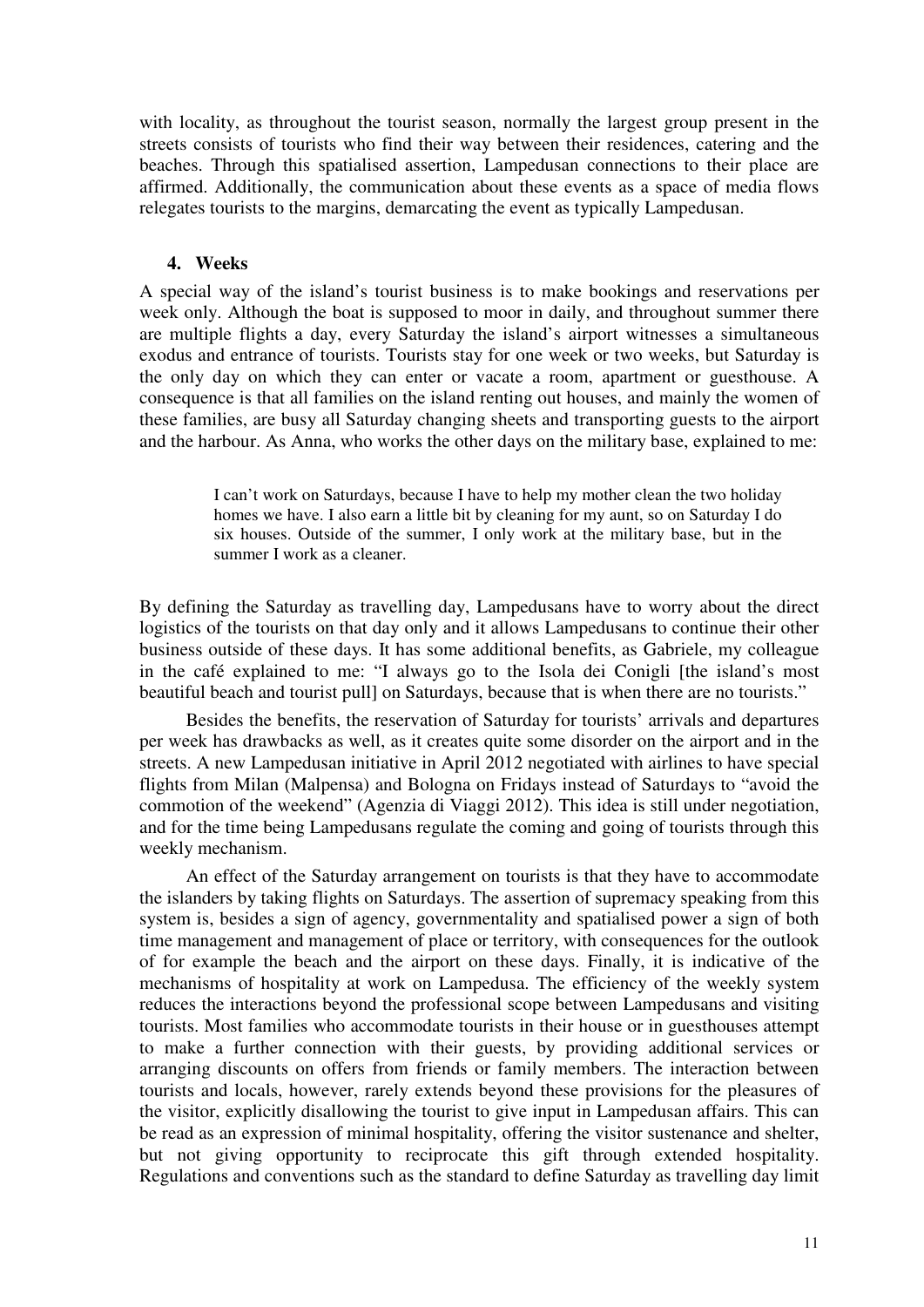with locality, as throughout the tourist season, normally the largest group present in the streets consists of tourists who find their way between their residences, catering and the beaches. Through this spatialised assertion, Lampedusan connections to their place are affirmed. Additionally, the communication about these events as a space of media flows relegates tourists to the margins, demarcating the event as typically Lampedusan.

### **4. Weeks**

A special way of the island's tourist business is to make bookings and reservations per week only. Although the boat is supposed to moor in daily, and throughout summer there are multiple flights a day, every Saturday the island's airport witnesses a simultaneous exodus and entrance of tourists. Tourists stay for one week or two weeks, but Saturday is the only day on which they can enter or vacate a room, apartment or guesthouse. A consequence is that all families on the island renting out houses, and mainly the women of these families, are busy all Saturday changing sheets and transporting guests to the airport and the harbour. As Anna, who works the other days on the military base, explained to me:

> I can't work on Saturdays, because I have to help my mother clean the two holiday homes we have. I also earn a little bit by cleaning for my aunt, so on Saturday I do six houses. Outside of the summer, I only work at the military base, but in the summer I work as a cleaner.

By defining the Saturday as travelling day, Lampedusans have to worry about the direct logistics of the tourists on that day only and it allows Lampedusans to continue their other business outside of these days. It has some additional benefits, as Gabriele, my colleague in the café explained to me: "I always go to the Isola dei Conigli [the island's most beautiful beach and tourist pull] on Saturdays, because that is when there are no tourists."

Besides the benefits, the reservation of Saturday for tourists' arrivals and departures per week has drawbacks as well, as it creates quite some disorder on the airport and in the streets. A new Lampedusan initiative in April 2012 negotiated with airlines to have special flights from Milan (Malpensa) and Bologna on Fridays instead of Saturdays to "avoid the commotion of the weekend" (Agenzia di Viaggi 2012). This idea is still under negotiation, and for the time being Lampedusans regulate the coming and going of tourists through this weekly mechanism.

An effect of the Saturday arrangement on tourists is that they have to accommodate the islanders by taking flights on Saturdays. The assertion of supremacy speaking from this system is, besides a sign of agency, governmentality and spatialised power a sign of both time management and management of place or territory, with consequences for the outlook of for example the beach and the airport on these days. Finally, it is indicative of the mechanisms of hospitality at work on Lampedusa. The efficiency of the weekly system reduces the interactions beyond the professional scope between Lampedusans and visiting tourists. Most families who accommodate tourists in their house or in guesthouses attempt to make a further connection with their guests, by providing additional services or arranging discounts on offers from friends or family members. The interaction between tourists and locals, however, rarely extends beyond these provisions for the pleasures of the visitor, explicitly disallowing the tourist to give input in Lampedusan affairs. This can be read as an expression of minimal hospitality, offering the visitor sustenance and shelter, but not giving opportunity to reciprocate this gift through extended hospitality. Regulations and conventions such as the standard to define Saturday as travelling day limit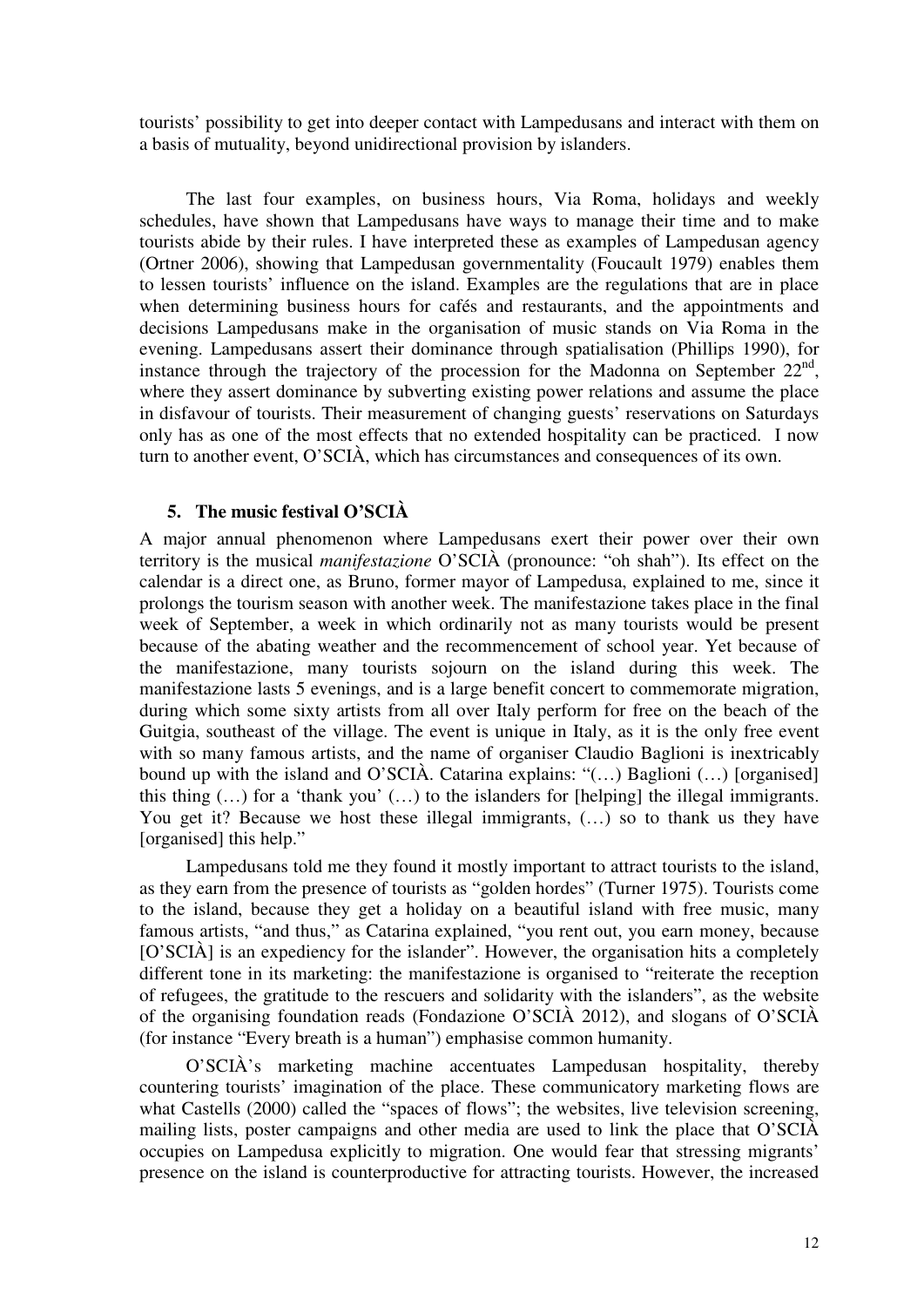tourists' possibility to get into deeper contact with Lampedusans and interact with them on a basis of mutuality, beyond unidirectional provision by islanders.

The last four examples, on business hours, Via Roma, holidays and weekly schedules, have shown that Lampedusans have ways to manage their time and to make tourists abide by their rules. I have interpreted these as examples of Lampedusan agency (Ortner 2006), showing that Lampedusan governmentality (Foucault 1979) enables them to lessen tourists' influence on the island. Examples are the regulations that are in place when determining business hours for cafés and restaurants, and the appointments and decisions Lampedusans make in the organisation of music stands on Via Roma in the evening. Lampedusans assert their dominance through spatialisation (Phillips 1990), for instance through the trajectory of the procession for the Madonna on September  $22<sup>nd</sup>$ , where they assert dominance by subverting existing power relations and assume the place in disfavour of tourists. Their measurement of changing guests' reservations on Saturdays only has as one of the most effects that no extended hospitality can be practiced. I now turn to another event, O'SCIÀ, which has circumstances and consequences of its own.

### **5. The music festival O'SCIÀ**

A major annual phenomenon where Lampedusans exert their power over their own territory is the musical *manifestazione* O'SCIÀ (pronounce: "oh shah"). Its effect on the calendar is a direct one, as Bruno, former mayor of Lampedusa, explained to me, since it prolongs the tourism season with another week. The manifestazione takes place in the final week of September, a week in which ordinarily not as many tourists would be present because of the abating weather and the recommencement of school year. Yet because of the manifestazione, many tourists sojourn on the island during this week. The manifestazione lasts 5 evenings, and is a large benefit concert to commemorate migration, during which some sixty artists from all over Italy perform for free on the beach of the Guitgia, southeast of the village. The event is unique in Italy, as it is the only free event with so many famous artists, and the name of organiser Claudio Baglioni is inextricably bound up with the island and O'SCIÀ. Catarina explains: "(…) Baglioni (…) [organised] this thing  $(...)$  for a 'thank you'  $(...)$  to the islanders for [helping] the illegal immigrants. You get it? Because we host these illegal immigrants, (…) so to thank us they have [organised] this help."

Lampedusans told me they found it mostly important to attract tourists to the island, as they earn from the presence of tourists as "golden hordes" (Turner 1975). Tourists come to the island, because they get a holiday on a beautiful island with free music, many famous artists, "and thus," as Catarina explained, "you rent out, you earn money, because [O'SCIÀ] is an expediency for the islander". However, the organisation hits a completely different tone in its marketing: the manifestazione is organised to "reiterate the reception of refugees, the gratitude to the rescuers and solidarity with the islanders", as the website of the organising foundation reads (Fondazione O'SCIÀ 2012), and slogans of O'SCIÀ (for instance "Every breath is a human") emphasise common humanity.

O'SCIÀ's marketing machine accentuates Lampedusan hospitality, thereby countering tourists' imagination of the place. These communicatory marketing flows are what Castells (2000) called the "spaces of flows"; the websites, live television screening, mailing lists, poster campaigns and other media are used to link the place that O'SCIÀ occupies on Lampedusa explicitly to migration. One would fear that stressing migrants' presence on the island is counterproductive for attracting tourists. However, the increased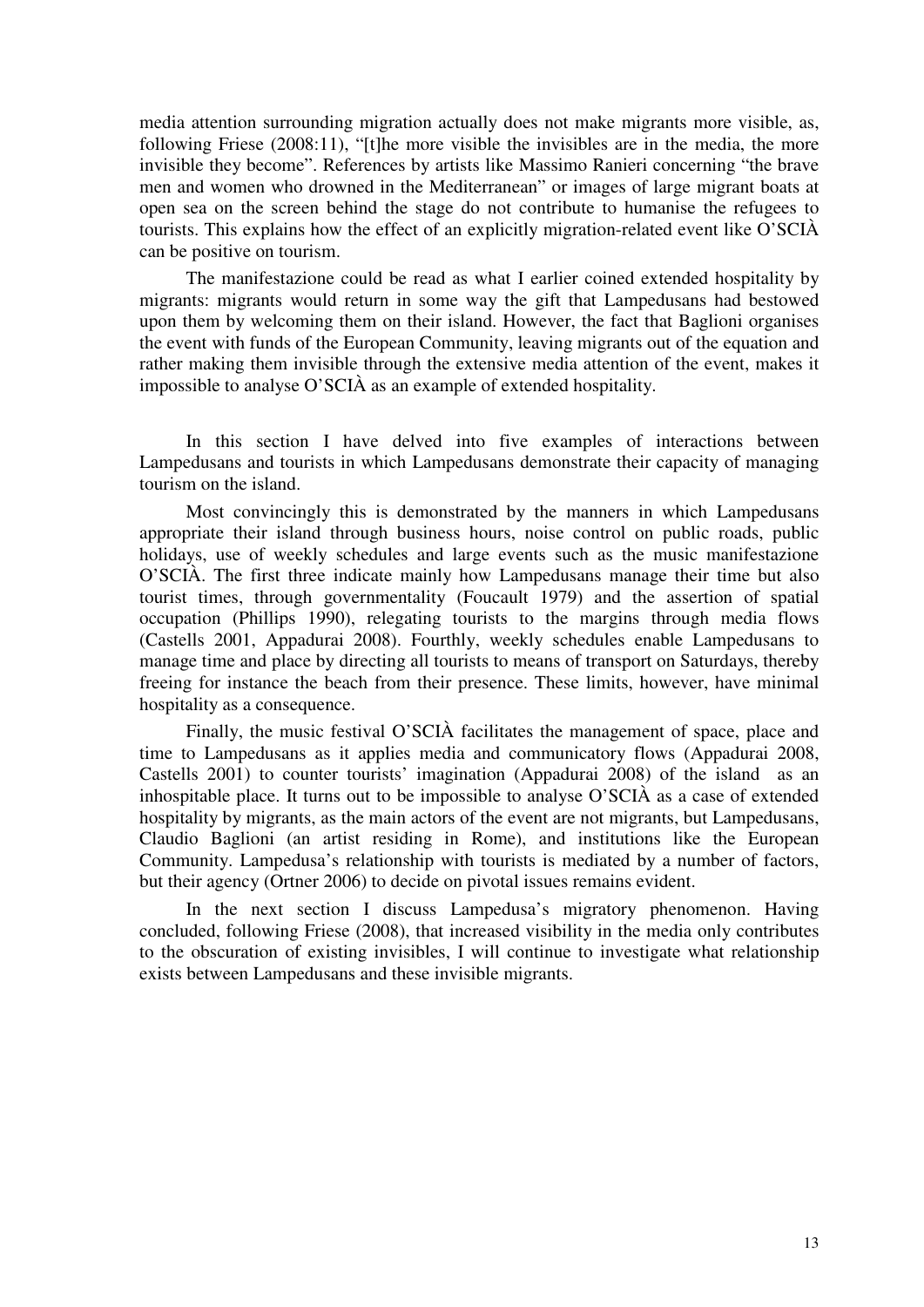media attention surrounding migration actually does not make migrants more visible, as, following Friese (2008:11), "[t]he more visible the invisibles are in the media, the more invisible they become". References by artists like Massimo Ranieri concerning "the brave men and women who drowned in the Mediterranean" or images of large migrant boats at open sea on the screen behind the stage do not contribute to humanise the refugees to tourists. This explains how the effect of an explicitly migration-related event like O'SCIÀ can be positive on tourism.

The manifestazione could be read as what I earlier coined extended hospitality by migrants: migrants would return in some way the gift that Lampedusans had bestowed upon them by welcoming them on their island. However, the fact that Baglioni organises the event with funds of the European Community, leaving migrants out of the equation and rather making them invisible through the extensive media attention of the event, makes it impossible to analyse O'SCIÀ as an example of extended hospitality.

In this section I have delved into five examples of interactions between Lampedusans and tourists in which Lampedusans demonstrate their capacity of managing tourism on the island.

Most convincingly this is demonstrated by the manners in which Lampedusans appropriate their island through business hours, noise control on public roads, public holidays, use of weekly schedules and large events such as the music manifestazione O'SCIÀ. The first three indicate mainly how Lampedusans manage their time but also tourist times, through governmentality (Foucault 1979) and the assertion of spatial occupation (Phillips 1990), relegating tourists to the margins through media flows (Castells 2001, Appadurai 2008). Fourthly, weekly schedules enable Lampedusans to manage time and place by directing all tourists to means of transport on Saturdays, thereby freeing for instance the beach from their presence. These limits, however, have minimal hospitality as a consequence.

Finally, the music festival O'SCIÀ facilitates the management of space, place and time to Lampedusans as it applies media and communicatory flows (Appadurai 2008, Castells 2001) to counter tourists' imagination (Appadurai 2008) of the island as an inhospitable place. It turns out to be impossible to analyse O'SCIÀ as a case of extended hospitality by migrants, as the main actors of the event are not migrants, but Lampedusans, Claudio Baglioni (an artist residing in Rome), and institutions like the European Community. Lampedusa's relationship with tourists is mediated by a number of factors, but their agency (Ortner 2006) to decide on pivotal issues remains evident.

In the next section I discuss Lampedusa's migratory phenomenon. Having concluded, following Friese (2008), that increased visibility in the media only contributes to the obscuration of existing invisibles, I will continue to investigate what relationship exists between Lampedusans and these invisible migrants.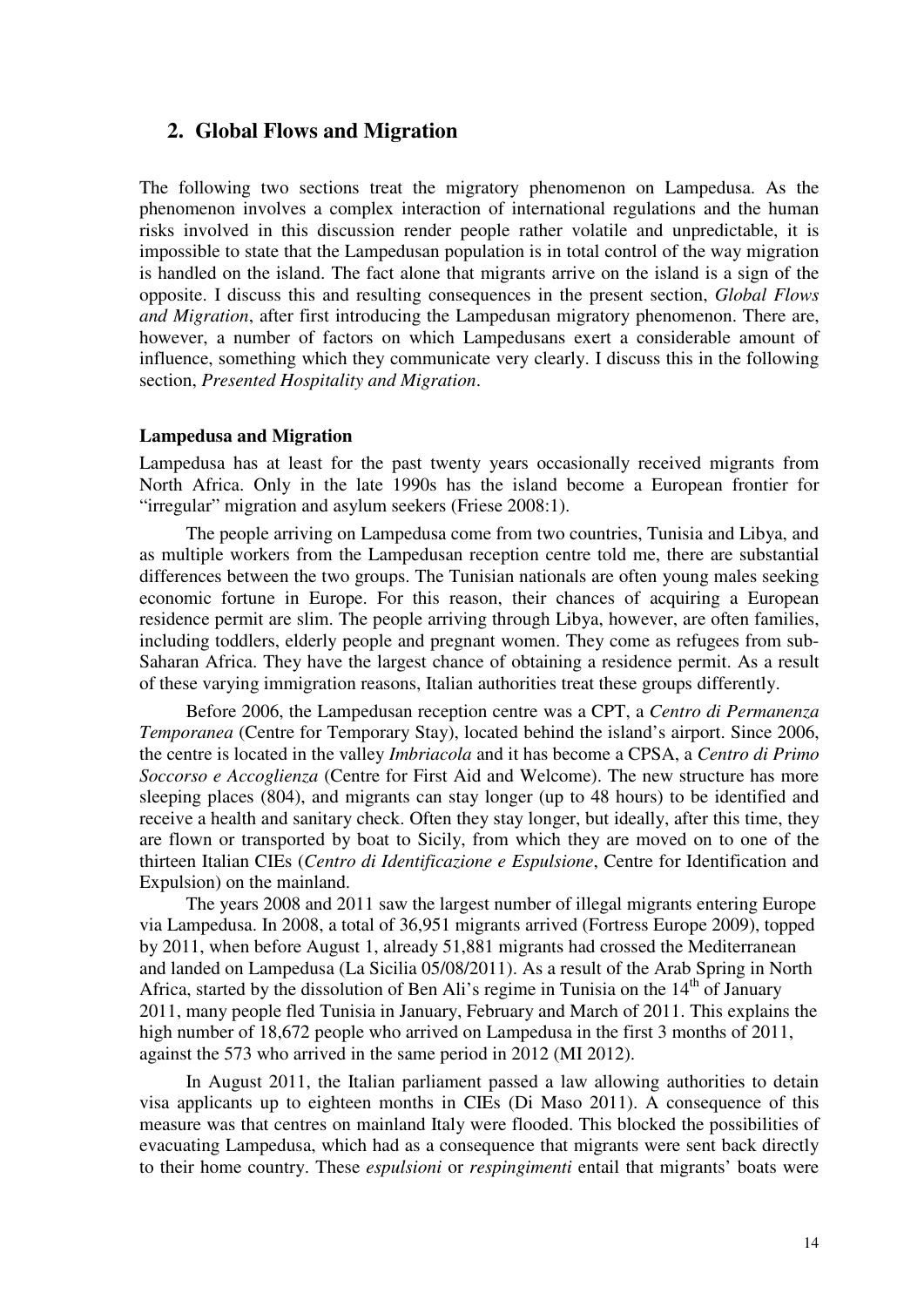# **2. Global Flows and Migration**

The following two sections treat the migratory phenomenon on Lampedusa. As the phenomenon involves a complex interaction of international regulations and the human risks involved in this discussion render people rather volatile and unpredictable, it is impossible to state that the Lampedusan population is in total control of the way migration is handled on the island. The fact alone that migrants arrive on the island is a sign of the opposite. I discuss this and resulting consequences in the present section, *Global Flows and Migration*, after first introducing the Lampedusan migratory phenomenon. There are, however, a number of factors on which Lampedusans exert a considerable amount of influence, something which they communicate very clearly. I discuss this in the following section, *Presented Hospitality and Migration*.

#### **Lampedusa and Migration**

Lampedusa has at least for the past twenty years occasionally received migrants from North Africa. Only in the late 1990s has the island become a European frontier for "irregular" migration and asylum seekers (Friese 2008:1).

The people arriving on Lampedusa come from two countries, Tunisia and Libya, and as multiple workers from the Lampedusan reception centre told me, there are substantial differences between the two groups. The Tunisian nationals are often young males seeking economic fortune in Europe. For this reason, their chances of acquiring a European residence permit are slim. The people arriving through Libya, however, are often families, including toddlers, elderly people and pregnant women. They come as refugees from sub-Saharan Africa. They have the largest chance of obtaining a residence permit. As a result of these varying immigration reasons, Italian authorities treat these groups differently.

Before 2006, the Lampedusan reception centre was a CPT, a *Centro di Permanenza Temporanea* (Centre for Temporary Stay), located behind the island's airport. Since 2006, the centre is located in the valley *Imbriacola* and it has become a CPSA, a *Centro di Primo Soccorso e Accoglienza* (Centre for First Aid and Welcome). The new structure has more sleeping places (804), and migrants can stay longer (up to 48 hours) to be identified and receive a health and sanitary check. Often they stay longer, but ideally, after this time, they are flown or transported by boat to Sicily, from which they are moved on to one of the thirteen Italian CIEs (*Centro di Identificazione e Espulsione*, Centre for Identification and Expulsion) on the mainland.

The years 2008 and 2011 saw the largest number of illegal migrants entering Europe via Lampedusa. In 2008, a total of 36,951 migrants arrived (Fortress Europe 2009), topped by 2011, when before August 1, already 51,881 migrants had crossed the Mediterranean and landed on Lampedusa (La Sicilia 05/08/2011). As a result of the Arab Spring in North Africa, started by the dissolution of Ben Ali's regime in Tunisia on the  $14<sup>th</sup>$  of January 2011, many people fled Tunisia in January, February and March of 2011. This explains the high number of 18,672 people who arrived on Lampedusa in the first 3 months of 2011, against the 573 who arrived in the same period in 2012 (MI 2012).

In August 2011, the Italian parliament passed a law allowing authorities to detain visa applicants up to eighteen months in CIEs (Di Maso 2011). A consequence of this measure was that centres on mainland Italy were flooded. This blocked the possibilities of evacuating Lampedusa, which had as a consequence that migrants were sent back directly to their home country. These *espulsioni* or *respingimenti* entail that migrants' boats were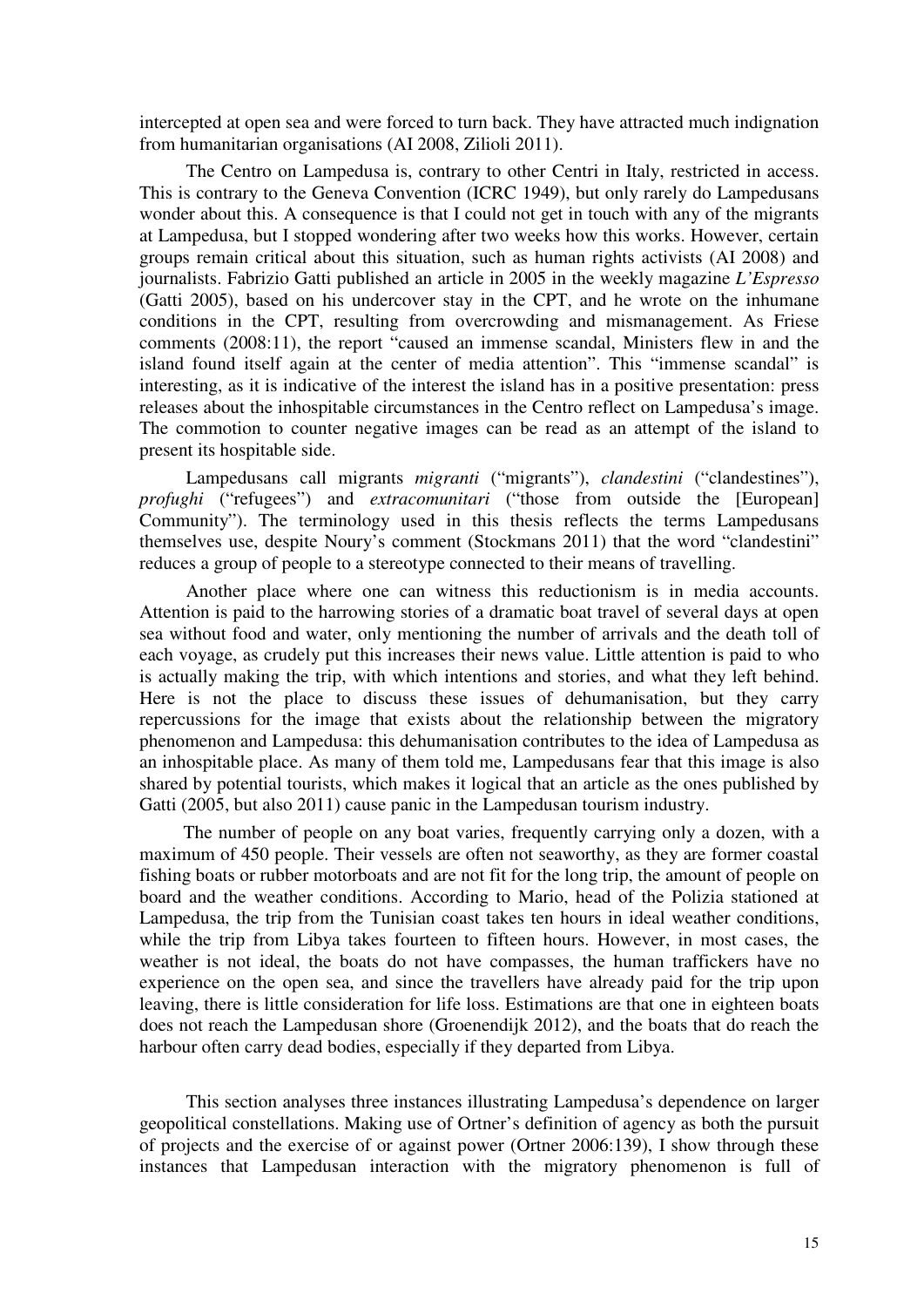intercepted at open sea and were forced to turn back. They have attracted much indignation from humanitarian organisations (AI 2008, Zilioli 2011).

The Centro on Lampedusa is, contrary to other Centri in Italy, restricted in access. This is contrary to the Geneva Convention (ICRC 1949), but only rarely do Lampedusans wonder about this. A consequence is that I could not get in touch with any of the migrants at Lampedusa, but I stopped wondering after two weeks how this works. However, certain groups remain critical about this situation, such as human rights activists (AI 2008) and journalists. Fabrizio Gatti published an article in 2005 in the weekly magazine *L'Espresso* (Gatti 2005), based on his undercover stay in the CPT, and he wrote on the inhumane conditions in the CPT, resulting from overcrowding and mismanagement. As Friese comments (2008:11), the report "caused an immense scandal, Ministers flew in and the island found itself again at the center of media attention". This "immense scandal" is interesting, as it is indicative of the interest the island has in a positive presentation: press releases about the inhospitable circumstances in the Centro reflect on Lampedusa's image. The commotion to counter negative images can be read as an attempt of the island to present its hospitable side.

Lampedusans call migrants *migranti* ("migrants"), *clandestini* ("clandestines"), *profughi* ("refugees") and *extracomunitari* ("those from outside the [European] Community"). The terminology used in this thesis reflects the terms Lampedusans themselves use, despite Noury's comment (Stockmans 2011) that the word "clandestini" reduces a group of people to a stereotype connected to their means of travelling.

Another place where one can witness this reductionism is in media accounts. Attention is paid to the harrowing stories of a dramatic boat travel of several days at open sea without food and water, only mentioning the number of arrivals and the death toll of each voyage, as crudely put this increases their news value. Little attention is paid to who is actually making the trip, with which intentions and stories, and what they left behind. Here is not the place to discuss these issues of dehumanisation, but they carry repercussions for the image that exists about the relationship between the migratory phenomenon and Lampedusa: this dehumanisation contributes to the idea of Lampedusa as an inhospitable place. As many of them told me, Lampedusans fear that this image is also shared by potential tourists, which makes it logical that an article as the ones published by Gatti (2005, but also 2011) cause panic in the Lampedusan tourism industry.

The number of people on any boat varies, frequently carrying only a dozen, with a maximum of 450 people. Their vessels are often not seaworthy, as they are former coastal fishing boats or rubber motorboats and are not fit for the long trip, the amount of people on board and the weather conditions. According to Mario, head of the Polizia stationed at Lampedusa, the trip from the Tunisian coast takes ten hours in ideal weather conditions, while the trip from Libya takes fourteen to fifteen hours. However, in most cases, the weather is not ideal, the boats do not have compasses, the human traffickers have no experience on the open sea, and since the travellers have already paid for the trip upon leaving, there is little consideration for life loss. Estimations are that one in eighteen boats does not reach the Lampedusan shore (Groenendijk 2012), and the boats that do reach the harbour often carry dead bodies, especially if they departed from Libya.

This section analyses three instances illustrating Lampedusa's dependence on larger geopolitical constellations. Making use of Ortner's definition of agency as both the pursuit of projects and the exercise of or against power (Ortner 2006:139), I show through these instances that Lampedusan interaction with the migratory phenomenon is full of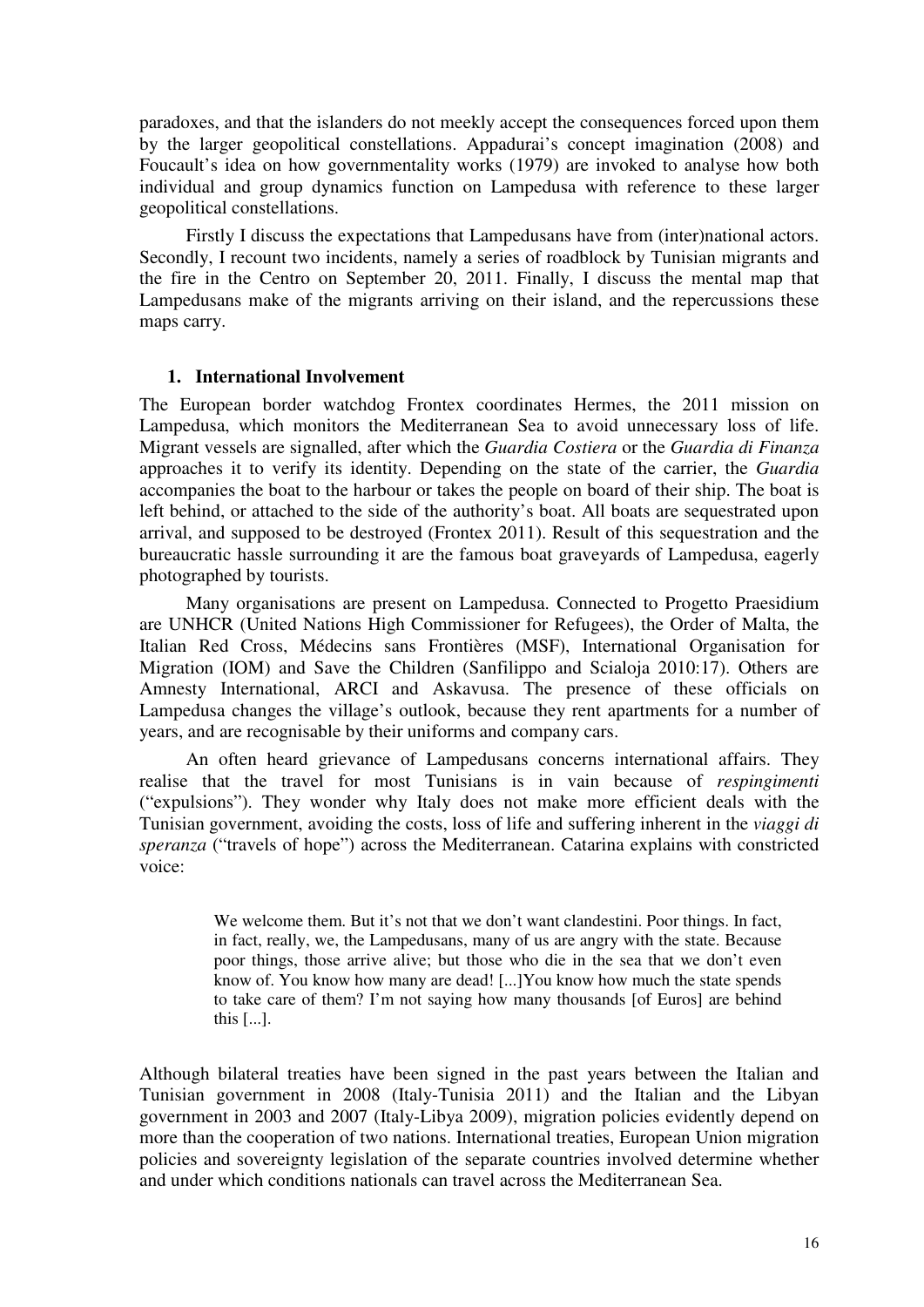paradoxes, and that the islanders do not meekly accept the consequences forced upon them by the larger geopolitical constellations. Appadurai's concept imagination (2008) and Foucault's idea on how governmentality works (1979) are invoked to analyse how both individual and group dynamics function on Lampedusa with reference to these larger geopolitical constellations.

Firstly I discuss the expectations that Lampedusans have from (inter)national actors. Secondly, I recount two incidents, namely a series of roadblock by Tunisian migrants and the fire in the Centro on September 20, 2011. Finally, I discuss the mental map that Lampedusans make of the migrants arriving on their island, and the repercussions these maps carry.

#### **1. International Involvement**

The European border watchdog Frontex coordinates Hermes, the 2011 mission on Lampedusa, which monitors the Mediterranean Sea to avoid unnecessary loss of life. Migrant vessels are signalled, after which the *Guardia Costiera* or the *Guardia di Finanza*  approaches it to verify its identity. Depending on the state of the carrier, the *Guardia*  accompanies the boat to the harbour or takes the people on board of their ship. The boat is left behind, or attached to the side of the authority's boat. All boats are sequestrated upon arrival, and supposed to be destroyed (Frontex 2011). Result of this sequestration and the bureaucratic hassle surrounding it are the famous boat graveyards of Lampedusa, eagerly photographed by tourists.

Many organisations are present on Lampedusa. Connected to Progetto Praesidium are UNHCR (United Nations High Commissioner for Refugees), the Order of Malta, the Italian Red Cross, Médecins sans Frontières (MSF), International Organisation for Migration (IOM) and Save the Children (Sanfilippo and Scialoja 2010:17). Others are Amnesty International, ARCI and Askavusa. The presence of these officials on Lampedusa changes the village's outlook, because they rent apartments for a number of years, and are recognisable by their uniforms and company cars.

An often heard grievance of Lampedusans concerns international affairs. They realise that the travel for most Tunisians is in vain because of *respingimenti*  ("expulsions"). They wonder why Italy does not make more efficient deals with the Tunisian government, avoiding the costs, loss of life and suffering inherent in the *viaggi di speranza* ("travels of hope") across the Mediterranean. Catarina explains with constricted voice:

> We welcome them. But it's not that we don't want clandestini. Poor things. In fact, in fact, really, we, the Lampedusans, many of us are angry with the state. Because poor things, those arrive alive; but those who die in the sea that we don't even know of. You know how many are dead! [...]You know how much the state spends to take care of them? I'm not saying how many thousands [of Euros] are behind this [...].

Although bilateral treaties have been signed in the past years between the Italian and Tunisian government in 2008 (Italy-Tunisia 2011) and the Italian and the Libyan government in 2003 and 2007 (Italy-Libya 2009), migration policies evidently depend on more than the cooperation of two nations. International treaties, European Union migration policies and sovereignty legislation of the separate countries involved determine whether and under which conditions nationals can travel across the Mediterranean Sea.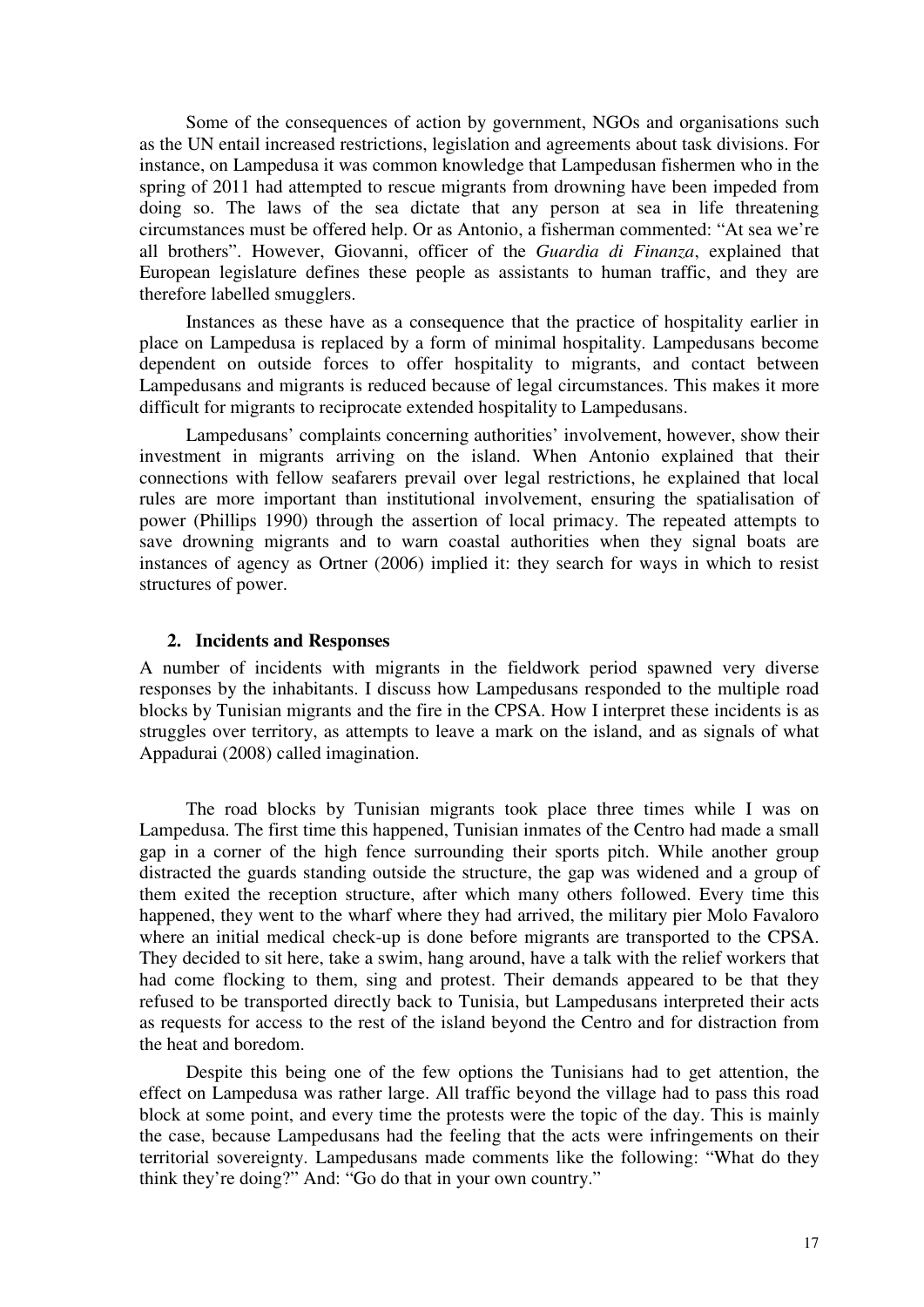Some of the consequences of action by government, NGOs and organisations such as the UN entail increased restrictions, legislation and agreements about task divisions. For instance, on Lampedusa it was common knowledge that Lampedusan fishermen who in the spring of 2011 had attempted to rescue migrants from drowning have been impeded from doing so. The laws of the sea dictate that any person at sea in life threatening circumstances must be offered help. Or as Antonio, a fisherman commented: "At sea we're all brothers". However, Giovanni, officer of the *Guardia di Finanza*, explained that European legislature defines these people as assistants to human traffic, and they are therefore labelled smugglers.

Instances as these have as a consequence that the practice of hospitality earlier in place on Lampedusa is replaced by a form of minimal hospitality. Lampedusans become dependent on outside forces to offer hospitality to migrants, and contact between Lampedusans and migrants is reduced because of legal circumstances. This makes it more difficult for migrants to reciprocate extended hospitality to Lampedusans.

Lampedusans' complaints concerning authorities' involvement, however, show their investment in migrants arriving on the island. When Antonio explained that their connections with fellow seafarers prevail over legal restrictions, he explained that local rules are more important than institutional involvement, ensuring the spatialisation of power (Phillips 1990) through the assertion of local primacy. The repeated attempts to save drowning migrants and to warn coastal authorities when they signal boats are instances of agency as Ortner (2006) implied it: they search for ways in which to resist structures of power.

#### **2. Incidents and Responses**

A number of incidents with migrants in the fieldwork period spawned very diverse responses by the inhabitants. I discuss how Lampedusans responded to the multiple road blocks by Tunisian migrants and the fire in the CPSA. How I interpret these incidents is as struggles over territory, as attempts to leave a mark on the island, and as signals of what Appadurai (2008) called imagination.

The road blocks by Tunisian migrants took place three times while I was on Lampedusa. The first time this happened, Tunisian inmates of the Centro had made a small gap in a corner of the high fence surrounding their sports pitch. While another group distracted the guards standing outside the structure, the gap was widened and a group of them exited the reception structure, after which many others followed. Every time this happened, they went to the wharf where they had arrived, the military pier Molo Favaloro where an initial medical check-up is done before migrants are transported to the CPSA. They decided to sit here, take a swim, hang around, have a talk with the relief workers that had come flocking to them, sing and protest. Their demands appeared to be that they refused to be transported directly back to Tunisia, but Lampedusans interpreted their acts as requests for access to the rest of the island beyond the Centro and for distraction from the heat and boredom.

Despite this being one of the few options the Tunisians had to get attention, the effect on Lampedusa was rather large. All traffic beyond the village had to pass this road block at some point, and every time the protests were the topic of the day. This is mainly the case, because Lampedusans had the feeling that the acts were infringements on their territorial sovereignty. Lampedusans made comments like the following: "What do they think they're doing?" And: "Go do that in your own country."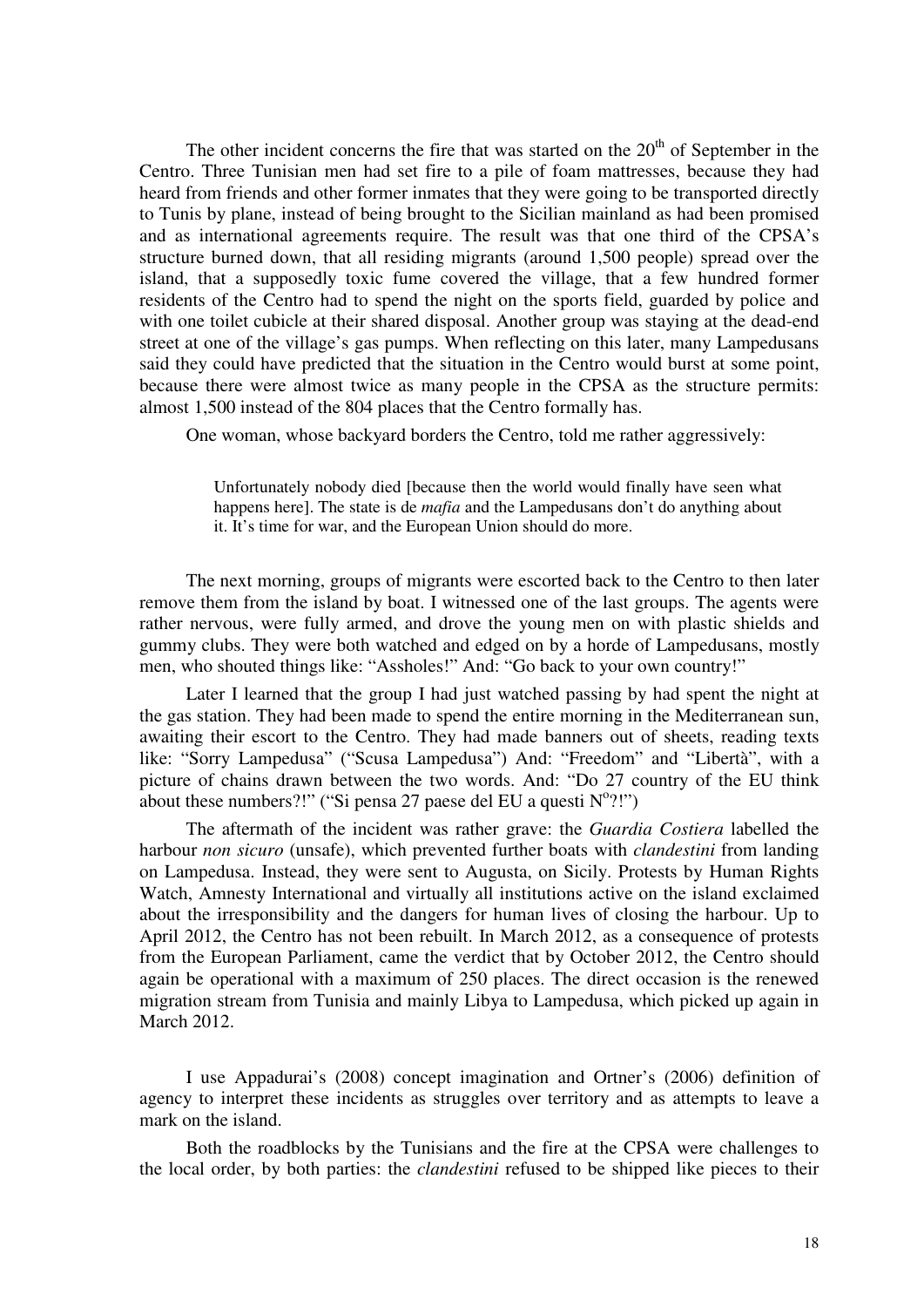The other incident concerns the fire that was started on the  $20<sup>th</sup>$  of September in the Centro. Three Tunisian men had set fire to a pile of foam mattresses, because they had heard from friends and other former inmates that they were going to be transported directly to Tunis by plane, instead of being brought to the Sicilian mainland as had been promised and as international agreements require. The result was that one third of the CPSA's structure burned down, that all residing migrants (around 1,500 people) spread over the island, that a supposedly toxic fume covered the village, that a few hundred former residents of the Centro had to spend the night on the sports field, guarded by police and with one toilet cubicle at their shared disposal. Another group was staying at the dead-end street at one of the village's gas pumps. When reflecting on this later, many Lampedusans said they could have predicted that the situation in the Centro would burst at some point, because there were almost twice as many people in the CPSA as the structure permits: almost 1,500 instead of the 804 places that the Centro formally has.

One woman, whose backyard borders the Centro, told me rather aggressively:

Unfortunately nobody died [because then the world would finally have seen what happens here]. The state is de *mafia* and the Lampedusans don't do anything about it. It's time for war, and the European Union should do more.

The next morning, groups of migrants were escorted back to the Centro to then later remove them from the island by boat. I witnessed one of the last groups. The agents were rather nervous, were fully armed, and drove the young men on with plastic shields and gummy clubs. They were both watched and edged on by a horde of Lampedusans, mostly men, who shouted things like: "Assholes!" And: "Go back to your own country!"

Later I learned that the group I had just watched passing by had spent the night at the gas station. They had been made to spend the entire morning in the Mediterranean sun, awaiting their escort to the Centro. They had made banners out of sheets, reading texts like: "Sorry Lampedusa" ("Scusa Lampedusa") And: "Freedom" and "Libertà", with a picture of chains drawn between the two words. And: "Do 27 country of the EU think about these numbers?!" ("Si pensa 27 paese del EU a questi  $N^{\circ}$ ?!")

The aftermath of the incident was rather grave: the *Guardia Costiera* labelled the harbour *non sicuro* (unsafe), which prevented further boats with *clandestini* from landing on Lampedusa. Instead, they were sent to Augusta, on Sicily. Protests by Human Rights Watch, Amnesty International and virtually all institutions active on the island exclaimed about the irresponsibility and the dangers for human lives of closing the harbour. Up to April 2012, the Centro has not been rebuilt. In March 2012, as a consequence of protests from the European Parliament, came the verdict that by October 2012, the Centro should again be operational with a maximum of 250 places. The direct occasion is the renewed migration stream from Tunisia and mainly Libya to Lampedusa, which picked up again in March 2012.

I use Appadurai's (2008) concept imagination and Ortner's (2006) definition of agency to interpret these incidents as struggles over territory and as attempts to leave a mark on the island.

Both the roadblocks by the Tunisians and the fire at the CPSA were challenges to the local order, by both parties: the *clandestini* refused to be shipped like pieces to their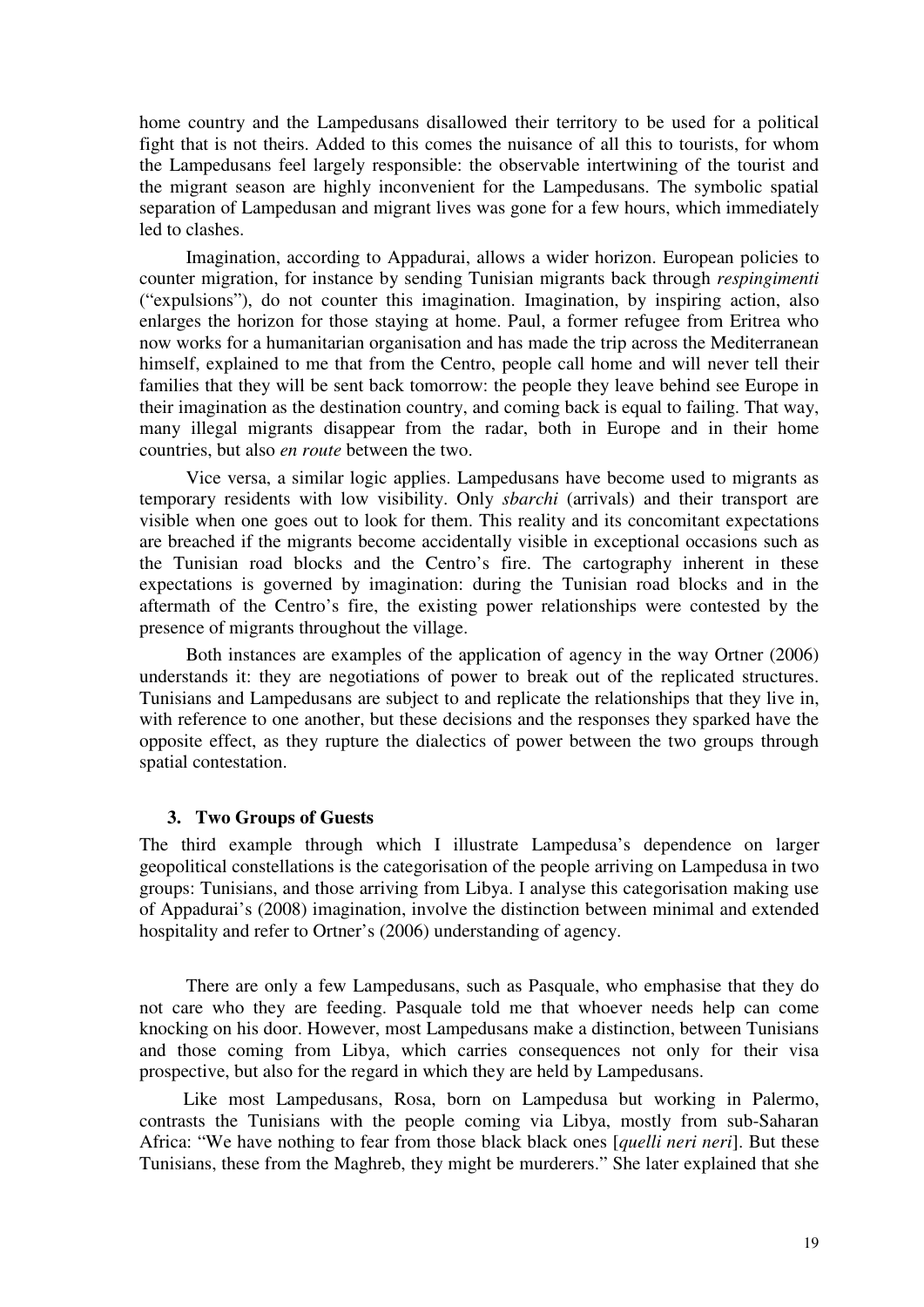home country and the Lampedusans disallowed their territory to be used for a political fight that is not theirs. Added to this comes the nuisance of all this to tourists, for whom the Lampedusans feel largely responsible: the observable intertwining of the tourist and the migrant season are highly inconvenient for the Lampedusans. The symbolic spatial separation of Lampedusan and migrant lives was gone for a few hours, which immediately led to clashes.

Imagination, according to Appadurai, allows a wider horizon. European policies to counter migration, for instance by sending Tunisian migrants back through *respingimenti*  ("expulsions"), do not counter this imagination. Imagination, by inspiring action, also enlarges the horizon for those staying at home. Paul, a former refugee from Eritrea who now works for a humanitarian organisation and has made the trip across the Mediterranean himself, explained to me that from the Centro, people call home and will never tell their families that they will be sent back tomorrow: the people they leave behind see Europe in their imagination as the destination country, and coming back is equal to failing. That way, many illegal migrants disappear from the radar, both in Europe and in their home countries, but also *en route* between the two.

Vice versa, a similar logic applies. Lampedusans have become used to migrants as temporary residents with low visibility. Only *sbarchi* (arrivals) and their transport are visible when one goes out to look for them. This reality and its concomitant expectations are breached if the migrants become accidentally visible in exceptional occasions such as the Tunisian road blocks and the Centro's fire. The cartography inherent in these expectations is governed by imagination: during the Tunisian road blocks and in the aftermath of the Centro's fire, the existing power relationships were contested by the presence of migrants throughout the village.

Both instances are examples of the application of agency in the way Ortner (2006) understands it: they are negotiations of power to break out of the replicated structures. Tunisians and Lampedusans are subject to and replicate the relationships that they live in, with reference to one another, but these decisions and the responses they sparked have the opposite effect, as they rupture the dialectics of power between the two groups through spatial contestation.

#### **3. Two Groups of Guests**

The third example through which I illustrate Lampedusa's dependence on larger geopolitical constellations is the categorisation of the people arriving on Lampedusa in two groups: Tunisians, and those arriving from Libya. I analyse this categorisation making use of Appadurai's (2008) imagination, involve the distinction between minimal and extended hospitality and refer to Ortner's (2006) understanding of agency.

There are only a few Lampedusans, such as Pasquale, who emphasise that they do not care who they are feeding. Pasquale told me that whoever needs help can come knocking on his door. However, most Lampedusans make a distinction, between Tunisians and those coming from Libya, which carries consequences not only for their visa prospective, but also for the regard in which they are held by Lampedusans.

Like most Lampedusans, Rosa, born on Lampedusa but working in Palermo, contrasts the Tunisians with the people coming via Libya, mostly from sub-Saharan Africa: "We have nothing to fear from those black black ones [*quelli neri neri*]. But these Tunisians, these from the Maghreb, they might be murderers." She later explained that she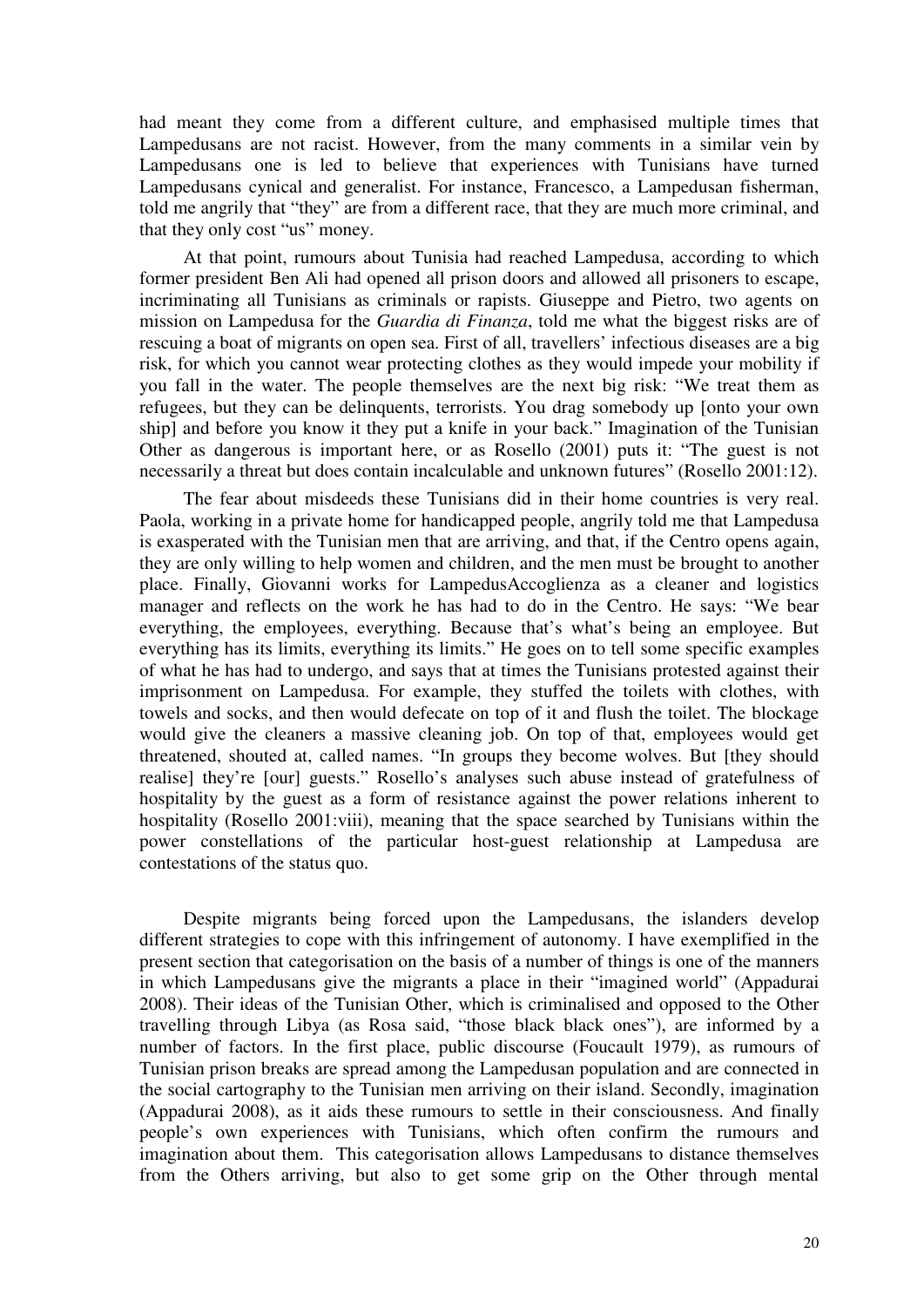had meant they come from a different culture, and emphasised multiple times that Lampedusans are not racist. However, from the many comments in a similar vein by Lampedusans one is led to believe that experiences with Tunisians have turned Lampedusans cynical and generalist. For instance, Francesco, a Lampedusan fisherman, told me angrily that "they" are from a different race, that they are much more criminal, and that they only cost "us" money.

At that point, rumours about Tunisia had reached Lampedusa, according to which former president Ben Ali had opened all prison doors and allowed all prisoners to escape, incriminating all Tunisians as criminals or rapists. Giuseppe and Pietro, two agents on mission on Lampedusa for the *Guardia di Finanza*, told me what the biggest risks are of rescuing a boat of migrants on open sea. First of all, travellers' infectious diseases are a big risk, for which you cannot wear protecting clothes as they would impede your mobility if you fall in the water. The people themselves are the next big risk: "We treat them as refugees, but they can be delinquents, terrorists. You drag somebody up [onto your own ship] and before you know it they put a knife in your back." Imagination of the Tunisian Other as dangerous is important here, or as Rosello (2001) puts it: "The guest is not necessarily a threat but does contain incalculable and unknown futures" (Rosello 2001:12).

The fear about misdeeds these Tunisians did in their home countries is very real. Paola, working in a private home for handicapped people, angrily told me that Lampedusa is exasperated with the Tunisian men that are arriving, and that, if the Centro opens again, they are only willing to help women and children, and the men must be brought to another place. Finally, Giovanni works for LampedusAccoglienza as a cleaner and logistics manager and reflects on the work he has had to do in the Centro. He says: "We bear everything, the employees, everything. Because that's what's being an employee. But everything has its limits, everything its limits." He goes on to tell some specific examples of what he has had to undergo, and says that at times the Tunisians protested against their imprisonment on Lampedusa. For example, they stuffed the toilets with clothes, with towels and socks, and then would defecate on top of it and flush the toilet. The blockage would give the cleaners a massive cleaning job. On top of that, employees would get threatened, shouted at, called names. "In groups they become wolves. But [they should realise] they're [our] guests." Rosello's analyses such abuse instead of gratefulness of hospitality by the guest as a form of resistance against the power relations inherent to hospitality (Rosello 2001:viii), meaning that the space searched by Tunisians within the power constellations of the particular host-guest relationship at Lampedusa are contestations of the status quo.

Despite migrants being forced upon the Lampedusans, the islanders develop different strategies to cope with this infringement of autonomy. I have exemplified in the present section that categorisation on the basis of a number of things is one of the manners in which Lampedusans give the migrants a place in their "imagined world" (Appadurai 2008). Their ideas of the Tunisian Other, which is criminalised and opposed to the Other travelling through Libya (as Rosa said, "those black black ones"), are informed by a number of factors. In the first place, public discourse (Foucault 1979), as rumours of Tunisian prison breaks are spread among the Lampedusan population and are connected in the social cartography to the Tunisian men arriving on their island. Secondly, imagination (Appadurai 2008), as it aids these rumours to settle in their consciousness. And finally people's own experiences with Tunisians, which often confirm the rumours and imagination about them. This categorisation allows Lampedusans to distance themselves from the Others arriving, but also to get some grip on the Other through mental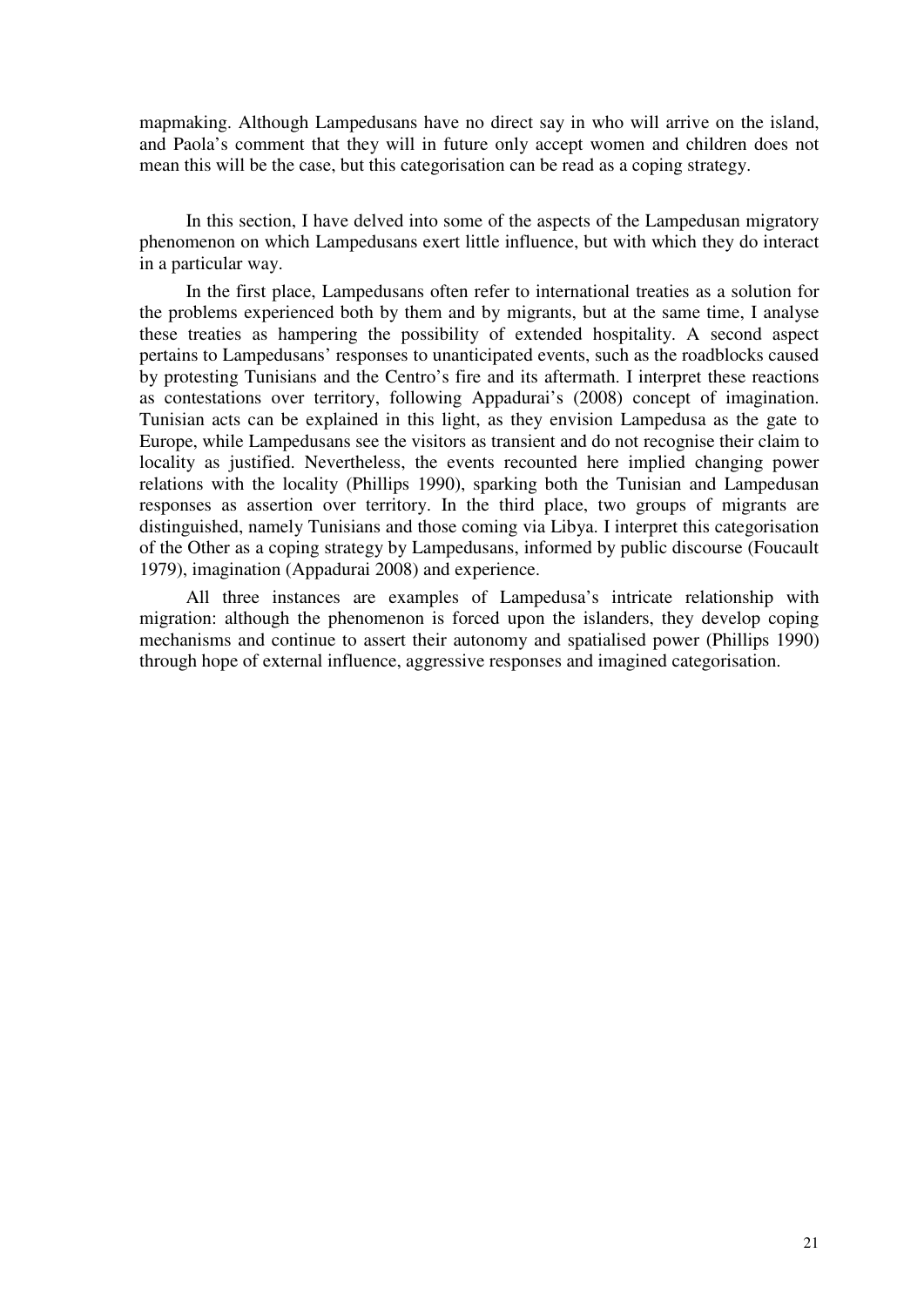mapmaking. Although Lampedusans have no direct say in who will arrive on the island, and Paola's comment that they will in future only accept women and children does not mean this will be the case, but this categorisation can be read as a coping strategy.

In this section, I have delved into some of the aspects of the Lampedusan migratory phenomenon on which Lampedusans exert little influence, but with which they do interact in a particular way.

In the first place, Lampedusans often refer to international treaties as a solution for the problems experienced both by them and by migrants, but at the same time, I analyse these treaties as hampering the possibility of extended hospitality. A second aspect pertains to Lampedusans' responses to unanticipated events, such as the roadblocks caused by protesting Tunisians and the Centro's fire and its aftermath. I interpret these reactions as contestations over territory, following Appadurai's (2008) concept of imagination. Tunisian acts can be explained in this light, as they envision Lampedusa as the gate to Europe, while Lampedusans see the visitors as transient and do not recognise their claim to locality as justified. Nevertheless, the events recounted here implied changing power relations with the locality (Phillips 1990), sparking both the Tunisian and Lampedusan responses as assertion over territory. In the third place, two groups of migrants are distinguished, namely Tunisians and those coming via Libya. I interpret this categorisation of the Other as a coping strategy by Lampedusans, informed by public discourse (Foucault 1979), imagination (Appadurai 2008) and experience.

All three instances are examples of Lampedusa's intricate relationship with migration: although the phenomenon is forced upon the islanders, they develop coping mechanisms and continue to assert their autonomy and spatialised power (Phillips 1990) through hope of external influence, aggressive responses and imagined categorisation.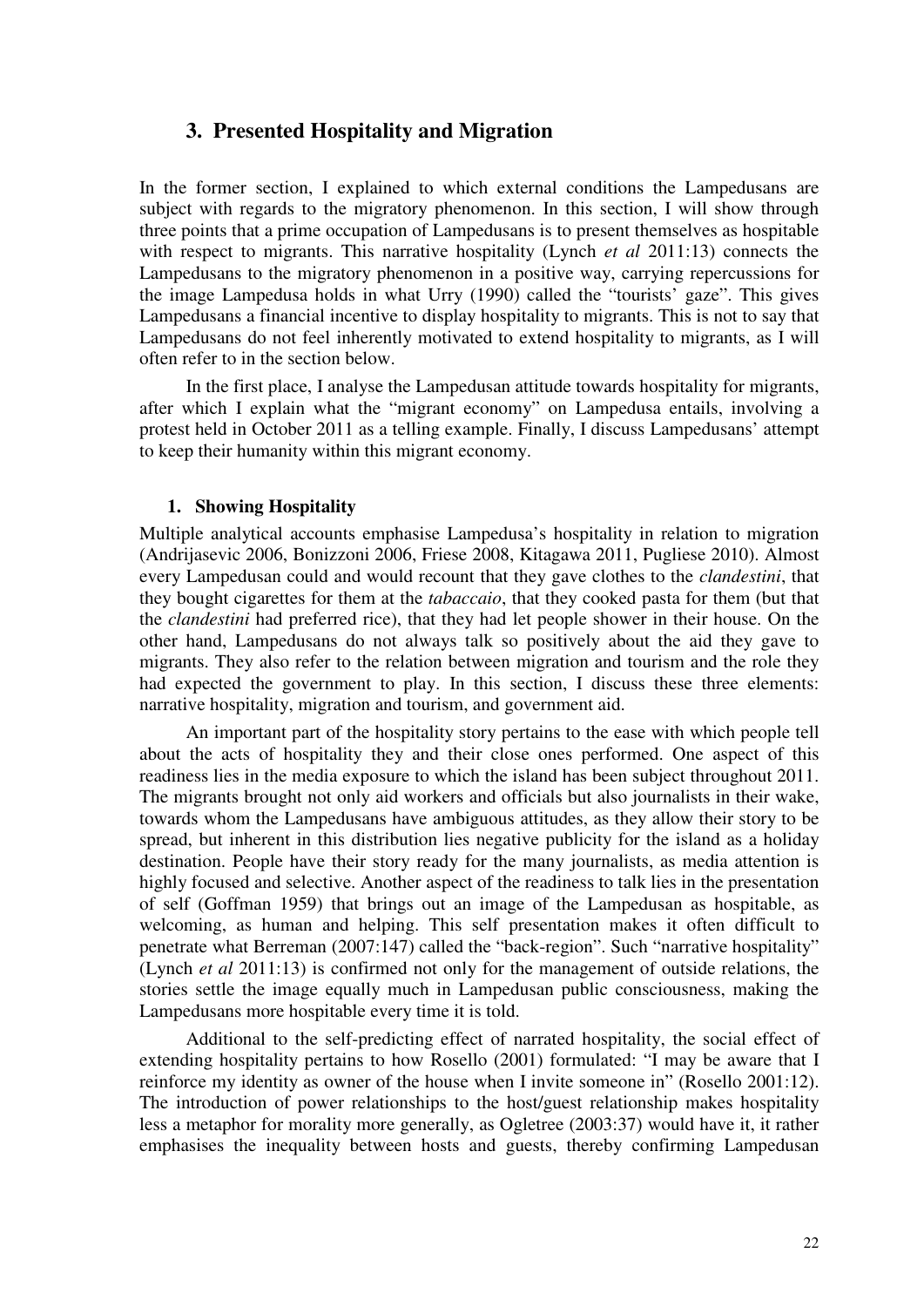### **3. Presented Hospitality and Migration**

In the former section, I explained to which external conditions the Lampedusans are subject with regards to the migratory phenomenon. In this section, I will show through three points that a prime occupation of Lampedusans is to present themselves as hospitable with respect to migrants. This narrative hospitality (Lynch *et al* 2011:13) connects the Lampedusans to the migratory phenomenon in a positive way, carrying repercussions for the image Lampedusa holds in what Urry (1990) called the "tourists' gaze". This gives Lampedusans a financial incentive to display hospitality to migrants. This is not to say that Lampedusans do not feel inherently motivated to extend hospitality to migrants, as I will often refer to in the section below.

In the first place, I analyse the Lampedusan attitude towards hospitality for migrants, after which I explain what the "migrant economy" on Lampedusa entails, involving a protest held in October 2011 as a telling example. Finally, I discuss Lampedusans' attempt to keep their humanity within this migrant economy.

### **1. Showing Hospitality**

Multiple analytical accounts emphasise Lampedusa's hospitality in relation to migration (Andrijasevic 2006, Bonizzoni 2006, Friese 2008, Kitagawa 2011, Pugliese 2010). Almost every Lampedusan could and would recount that they gave clothes to the *clandestini*, that they bought cigarettes for them at the *tabaccaio*, that they cooked pasta for them (but that the *clandestini* had preferred rice), that they had let people shower in their house. On the other hand, Lampedusans do not always talk so positively about the aid they gave to migrants. They also refer to the relation between migration and tourism and the role they had expected the government to play. In this section, I discuss these three elements: narrative hospitality, migration and tourism, and government aid.

An important part of the hospitality story pertains to the ease with which people tell about the acts of hospitality they and their close ones performed. One aspect of this readiness lies in the media exposure to which the island has been subject throughout 2011. The migrants brought not only aid workers and officials but also journalists in their wake, towards whom the Lampedusans have ambiguous attitudes, as they allow their story to be spread, but inherent in this distribution lies negative publicity for the island as a holiday destination. People have their story ready for the many journalists, as media attention is highly focused and selective. Another aspect of the readiness to talk lies in the presentation of self (Goffman 1959) that brings out an image of the Lampedusan as hospitable, as welcoming, as human and helping. This self presentation makes it often difficult to penetrate what Berreman (2007:147) called the "back-region". Such "narrative hospitality" (Lynch *et al* 2011:13) is confirmed not only for the management of outside relations, the stories settle the image equally much in Lampedusan public consciousness, making the Lampedusans more hospitable every time it is told.

Additional to the self-predicting effect of narrated hospitality, the social effect of extending hospitality pertains to how Rosello (2001) formulated: "I may be aware that I reinforce my identity as owner of the house when I invite someone in" (Rosello 2001:12). The introduction of power relationships to the host/guest relationship makes hospitality less a metaphor for morality more generally, as Ogletree (2003:37) would have it, it rather emphasises the inequality between hosts and guests, thereby confirming Lampedusan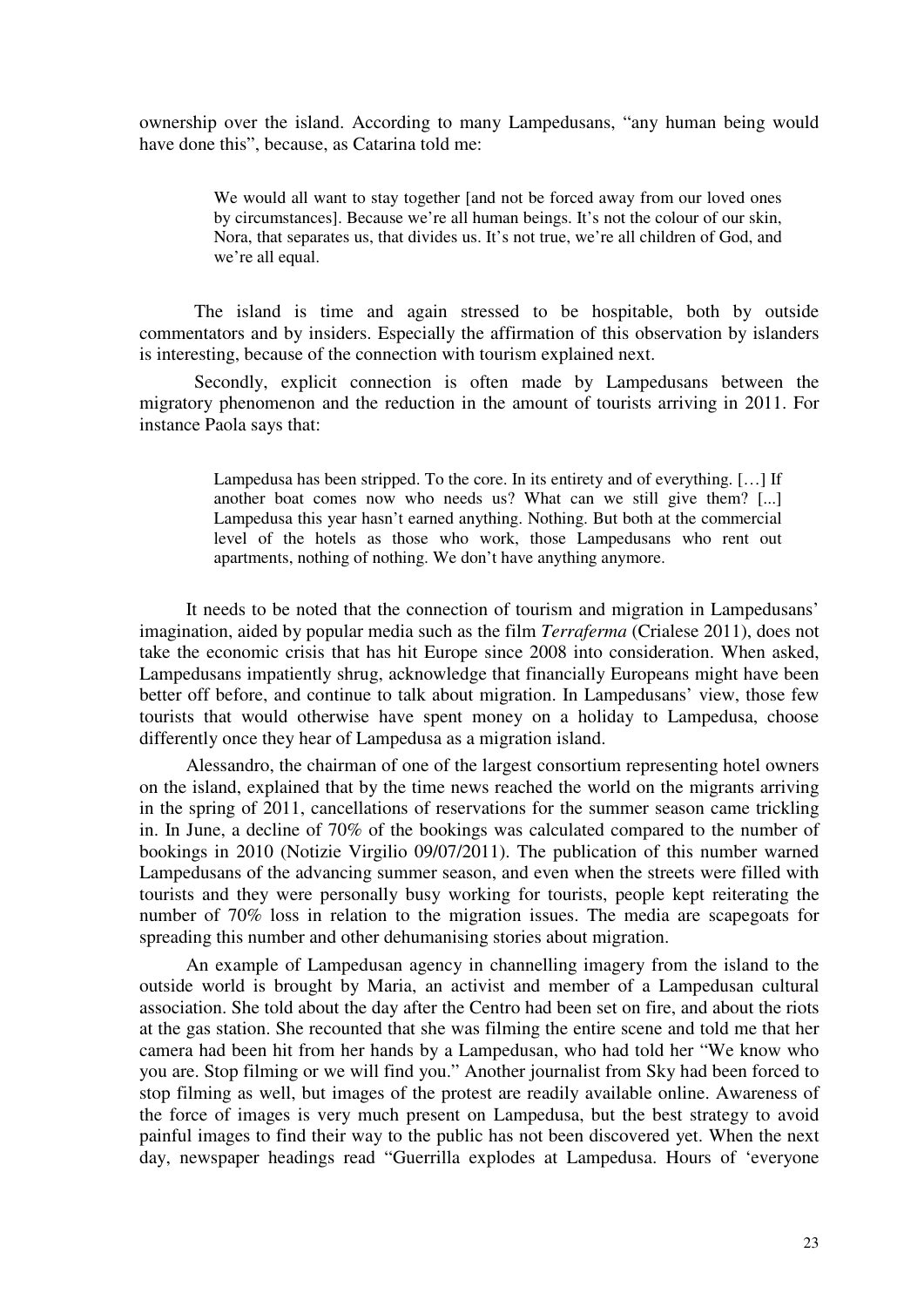ownership over the island. According to many Lampedusans, "any human being would have done this", because, as Catarina told me:

> We would all want to stay together [and not be forced away from our loved ones by circumstances]. Because we're all human beings. It's not the colour of our skin, Nora, that separates us, that divides us. It's not true, we're all children of God, and we're all equal.

The island is time and again stressed to be hospitable, both by outside commentators and by insiders. Especially the affirmation of this observation by islanders is interesting, because of the connection with tourism explained next.

Secondly, explicit connection is often made by Lampedusans between the migratory phenomenon and the reduction in the amount of tourists arriving in 2011. For instance Paola says that:

> Lampedusa has been stripped. To the core. In its entirety and of everything. […] If another boat comes now who needs us? What can we still give them? [...] Lampedusa this year hasn't earned anything. Nothing. But both at the commercial level of the hotels as those who work, those Lampedusans who rent out apartments, nothing of nothing. We don't have anything anymore.

It needs to be noted that the connection of tourism and migration in Lampedusans' imagination, aided by popular media such as the film *Terraferma* (Crialese 2011), does not take the economic crisis that has hit Europe since 2008 into consideration. When asked, Lampedusans impatiently shrug, acknowledge that financially Europeans might have been better off before, and continue to talk about migration. In Lampedusans' view, those few tourists that would otherwise have spent money on a holiday to Lampedusa, choose differently once they hear of Lampedusa as a migration island.

Alessandro, the chairman of one of the largest consortium representing hotel owners on the island, explained that by the time news reached the world on the migrants arriving in the spring of 2011, cancellations of reservations for the summer season came trickling in. In June, a decline of 70% of the bookings was calculated compared to the number of bookings in 2010 (Notizie Virgilio 09/07/2011). The publication of this number warned Lampedusans of the advancing summer season, and even when the streets were filled with tourists and they were personally busy working for tourists, people kept reiterating the number of 70% loss in relation to the migration issues. The media are scapegoats for spreading this number and other dehumanising stories about migration.

An example of Lampedusan agency in channelling imagery from the island to the outside world is brought by Maria, an activist and member of a Lampedusan cultural association. She told about the day after the Centro had been set on fire, and about the riots at the gas station. She recounted that she was filming the entire scene and told me that her camera had been hit from her hands by a Lampedusan, who had told her "We know who you are. Stop filming or we will find you." Another journalist from Sky had been forced to stop filming as well, but images of the protest are readily available online. Awareness of the force of images is very much present on Lampedusa, but the best strategy to avoid painful images to find their way to the public has not been discovered yet. When the next day, newspaper headings read "Guerrilla explodes at Lampedusa. Hours of 'everyone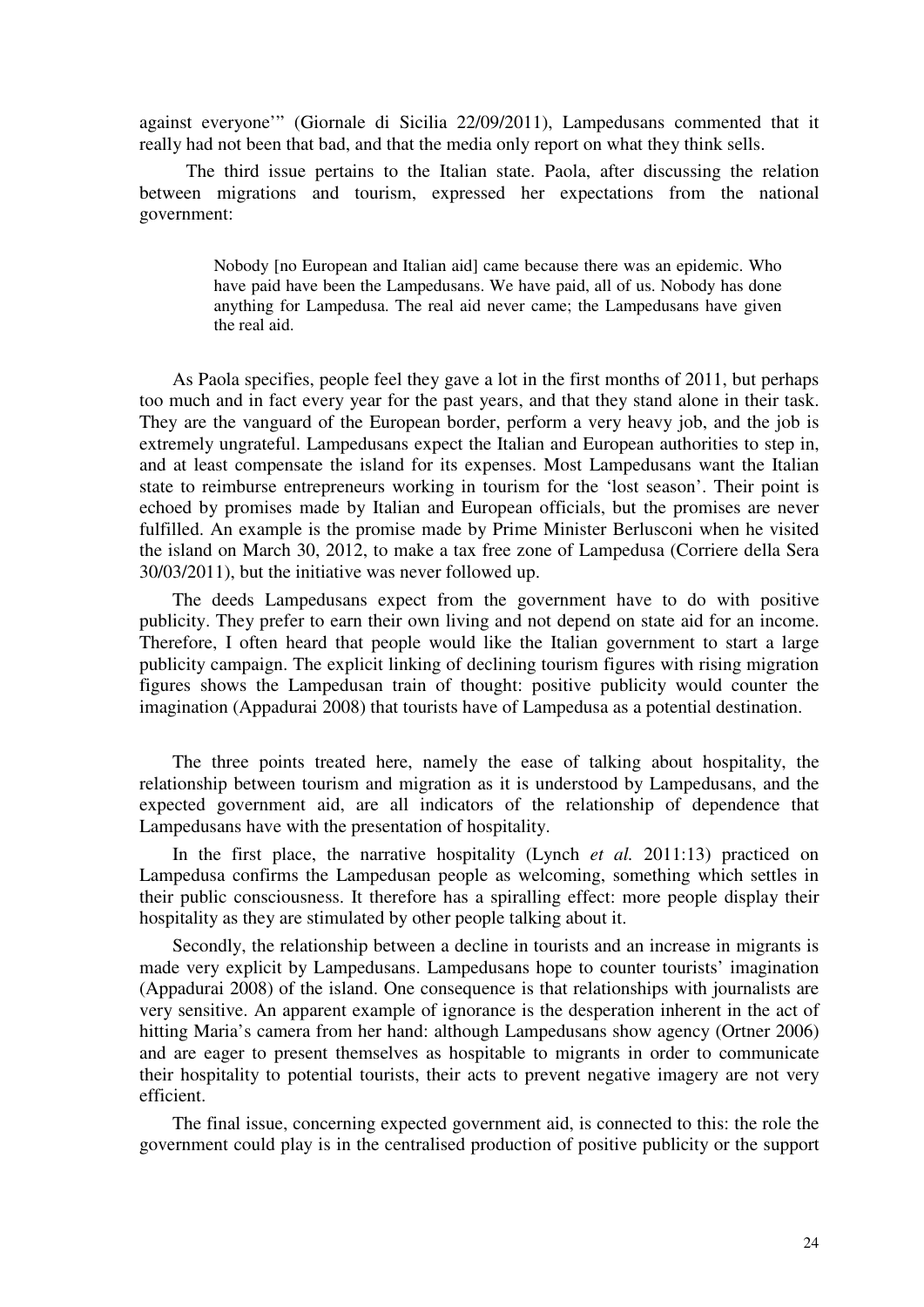against everyone'" (Giornale di Sicilia 22/09/2011), Lampedusans commented that it really had not been that bad, and that the media only report on what they think sells.

The third issue pertains to the Italian state. Paola, after discussing the relation between migrations and tourism, expressed her expectations from the national government:

> Nobody [no European and Italian aid] came because there was an epidemic. Who have paid have been the Lampedusans. We have paid, all of us. Nobody has done anything for Lampedusa. The real aid never came; the Lampedusans have given the real aid.

As Paola specifies, people feel they gave a lot in the first months of 2011, but perhaps too much and in fact every year for the past years, and that they stand alone in their task. They are the vanguard of the European border, perform a very heavy job, and the job is extremely ungrateful. Lampedusans expect the Italian and European authorities to step in, and at least compensate the island for its expenses. Most Lampedusans want the Italian state to reimburse entrepreneurs working in tourism for the 'lost season'. Their point is echoed by promises made by Italian and European officials, but the promises are never fulfilled. An example is the promise made by Prime Minister Berlusconi when he visited the island on March 30, 2012, to make a tax free zone of Lampedusa (Corriere della Sera 30/03/2011), but the initiative was never followed up.

The deeds Lampedusans expect from the government have to do with positive publicity. They prefer to earn their own living and not depend on state aid for an income. Therefore, I often heard that people would like the Italian government to start a large publicity campaign. The explicit linking of declining tourism figures with rising migration figures shows the Lampedusan train of thought: positive publicity would counter the imagination (Appadurai 2008) that tourists have of Lampedusa as a potential destination.

The three points treated here, namely the ease of talking about hospitality, the relationship between tourism and migration as it is understood by Lampedusans, and the expected government aid, are all indicators of the relationship of dependence that Lampedusans have with the presentation of hospitality.

In the first place, the narrative hospitality (Lynch *et al.* 2011:13) practiced on Lampedusa confirms the Lampedusan people as welcoming, something which settles in their public consciousness. It therefore has a spiralling effect: more people display their hospitality as they are stimulated by other people talking about it.

Secondly, the relationship between a decline in tourists and an increase in migrants is made very explicit by Lampedusans. Lampedusans hope to counter tourists' imagination (Appadurai 2008) of the island. One consequence is that relationships with journalists are very sensitive. An apparent example of ignorance is the desperation inherent in the act of hitting Maria's camera from her hand: although Lampedusans show agency (Ortner 2006) and are eager to present themselves as hospitable to migrants in order to communicate their hospitality to potential tourists, their acts to prevent negative imagery are not very efficient.

The final issue, concerning expected government aid, is connected to this: the role the government could play is in the centralised production of positive publicity or the support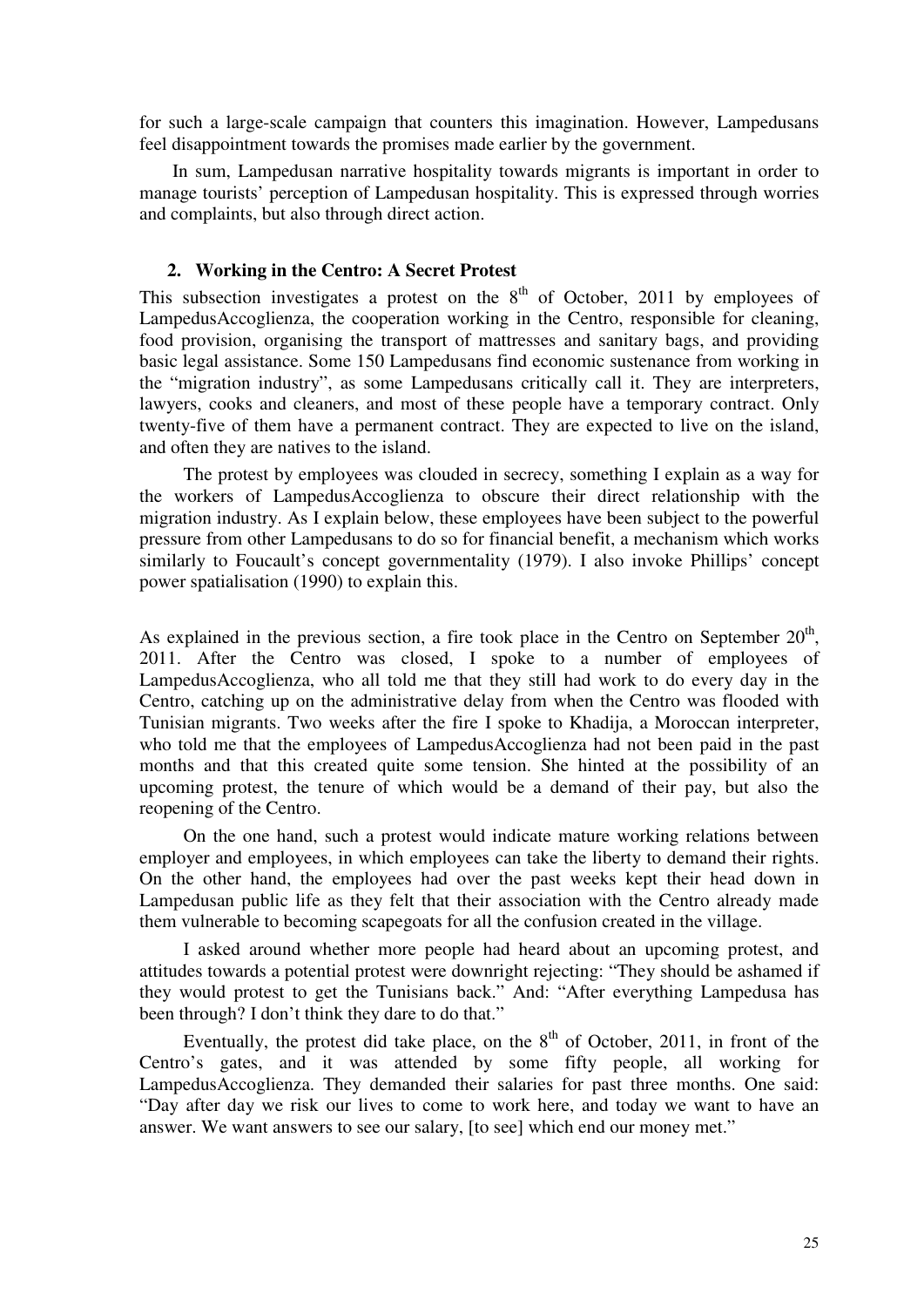for such a large-scale campaign that counters this imagination. However, Lampedusans feel disappointment towards the promises made earlier by the government.

In sum, Lampedusan narrative hospitality towards migrants is important in order to manage tourists' perception of Lampedusan hospitality. This is expressed through worries and complaints, but also through direct action.

### **2. Working in the Centro: A Secret Protest**

This subsection investigates a protest on the  $8<sup>th</sup>$  of October, 2011 by employees of LampedusAccoglienza, the cooperation working in the Centro, responsible for cleaning, food provision, organising the transport of mattresses and sanitary bags, and providing basic legal assistance. Some 150 Lampedusans find economic sustenance from working in the "migration industry", as some Lampedusans critically call it. They are interpreters, lawyers, cooks and cleaners, and most of these people have a temporary contract. Only twenty-five of them have a permanent contract. They are expected to live on the island, and often they are natives to the island.

The protest by employees was clouded in secrecy, something I explain as a way for the workers of LampedusAccoglienza to obscure their direct relationship with the migration industry. As I explain below, these employees have been subject to the powerful pressure from other Lampedusans to do so for financial benefit, a mechanism which works similarly to Foucault's concept governmentality (1979). I also invoke Phillips' concept power spatialisation (1990) to explain this.

As explained in the previous section, a fire took place in the Centro on September  $20<sup>th</sup>$ , 2011. After the Centro was closed, I spoke to a number of employees of LampedusAccoglienza, who all told me that they still had work to do every day in the Centro, catching up on the administrative delay from when the Centro was flooded with Tunisian migrants. Two weeks after the fire I spoke to Khadija, a Moroccan interpreter, who told me that the employees of LampedusAccoglienza had not been paid in the past months and that this created quite some tension. She hinted at the possibility of an upcoming protest, the tenure of which would be a demand of their pay, but also the reopening of the Centro.

On the one hand, such a protest would indicate mature working relations between employer and employees, in which employees can take the liberty to demand their rights. On the other hand, the employees had over the past weeks kept their head down in Lampedusan public life as they felt that their association with the Centro already made them vulnerable to becoming scapegoats for all the confusion created in the village.

I asked around whether more people had heard about an upcoming protest, and attitudes towards a potential protest were downright rejecting: "They should be ashamed if they would protest to get the Tunisians back." And: "After everything Lampedusa has been through? I don't think they dare to do that."

Eventually, the protest did take place, on the  $8<sup>th</sup>$  of October, 2011, in front of the Centro's gates, and it was attended by some fifty people, all working for LampedusAccoglienza. They demanded their salaries for past three months. One said: "Day after day we risk our lives to come to work here, and today we want to have an answer. We want answers to see our salary, [to see] which end our money met."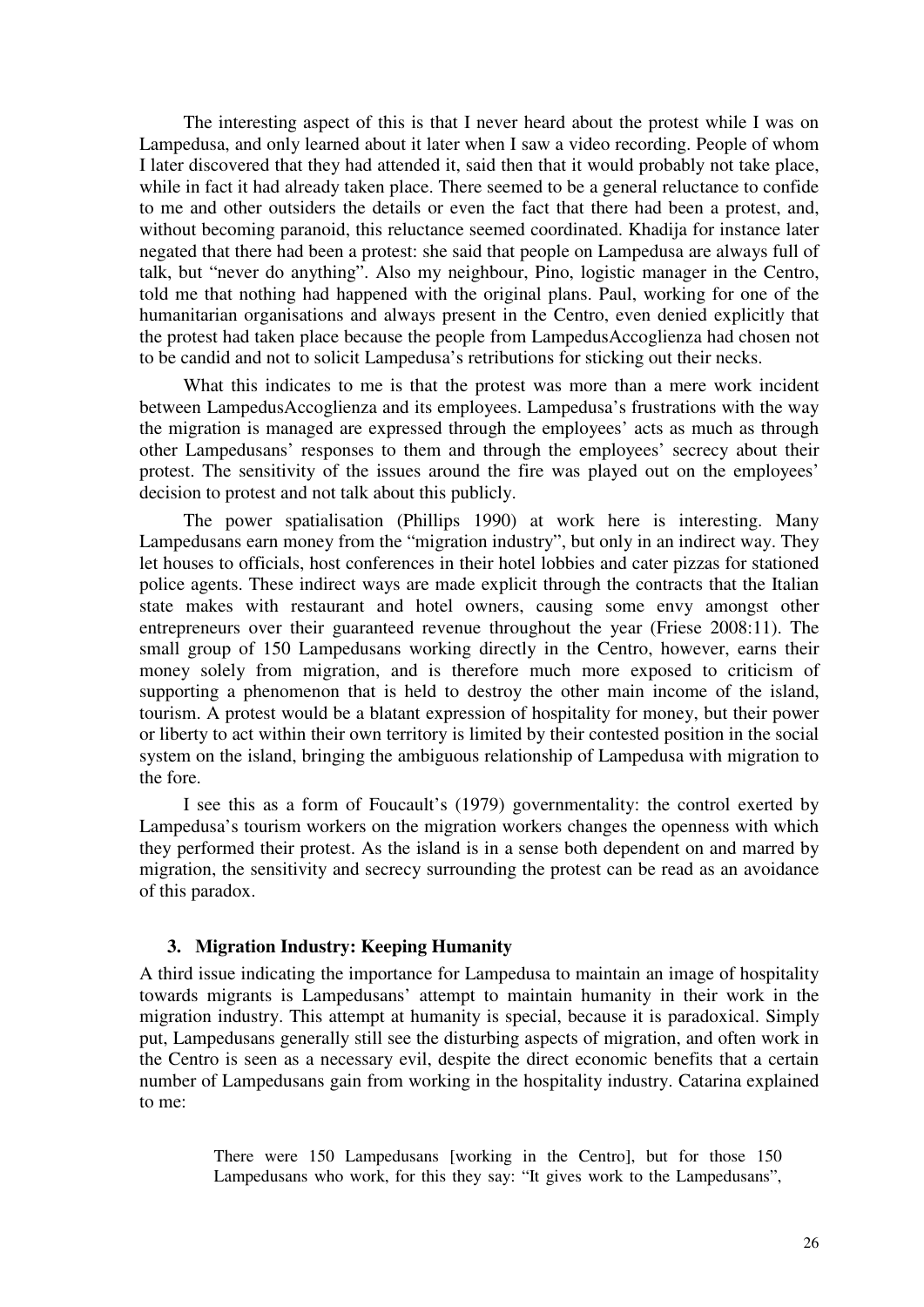The interesting aspect of this is that I never heard about the protest while I was on Lampedusa, and only learned about it later when I saw a video recording. People of whom I later discovered that they had attended it, said then that it would probably not take place, while in fact it had already taken place. There seemed to be a general reluctance to confide to me and other outsiders the details or even the fact that there had been a protest, and, without becoming paranoid, this reluctance seemed coordinated. Khadija for instance later negated that there had been a protest: she said that people on Lampedusa are always full of talk, but "never do anything". Also my neighbour, Pino, logistic manager in the Centro, told me that nothing had happened with the original plans. Paul, working for one of the humanitarian organisations and always present in the Centro, even denied explicitly that the protest had taken place because the people from LampedusAccoglienza had chosen not to be candid and not to solicit Lampedusa's retributions for sticking out their necks.

What this indicates to me is that the protest was more than a mere work incident between LampedusAccoglienza and its employees. Lampedusa's frustrations with the way the migration is managed are expressed through the employees' acts as much as through other Lampedusans' responses to them and through the employees' secrecy about their protest. The sensitivity of the issues around the fire was played out on the employees' decision to protest and not talk about this publicly.

The power spatialisation (Phillips 1990) at work here is interesting. Many Lampedusans earn money from the "migration industry", but only in an indirect way. They let houses to officials, host conferences in their hotel lobbies and cater pizzas for stationed police agents. These indirect ways are made explicit through the contracts that the Italian state makes with restaurant and hotel owners, causing some envy amongst other entrepreneurs over their guaranteed revenue throughout the year (Friese 2008:11). The small group of 150 Lampedusans working directly in the Centro, however, earns their money solely from migration, and is therefore much more exposed to criticism of supporting a phenomenon that is held to destroy the other main income of the island, tourism. A protest would be a blatant expression of hospitality for money, but their power or liberty to act within their own territory is limited by their contested position in the social system on the island, bringing the ambiguous relationship of Lampedusa with migration to the fore.

I see this as a form of Foucault's (1979) governmentality: the control exerted by Lampedusa's tourism workers on the migration workers changes the openness with which they performed their protest. As the island is in a sense both dependent on and marred by migration, the sensitivity and secrecy surrounding the protest can be read as an avoidance of this paradox.

#### **3. Migration Industry: Keeping Humanity**

A third issue indicating the importance for Lampedusa to maintain an image of hospitality towards migrants is Lampedusans' attempt to maintain humanity in their work in the migration industry. This attempt at humanity is special, because it is paradoxical. Simply put, Lampedusans generally still see the disturbing aspects of migration, and often work in the Centro is seen as a necessary evil, despite the direct economic benefits that a certain number of Lampedusans gain from working in the hospitality industry. Catarina explained to me:

> There were 150 Lampedusans [working in the Centro], but for those 150 Lampedusans who work, for this they say: "It gives work to the Lampedusans",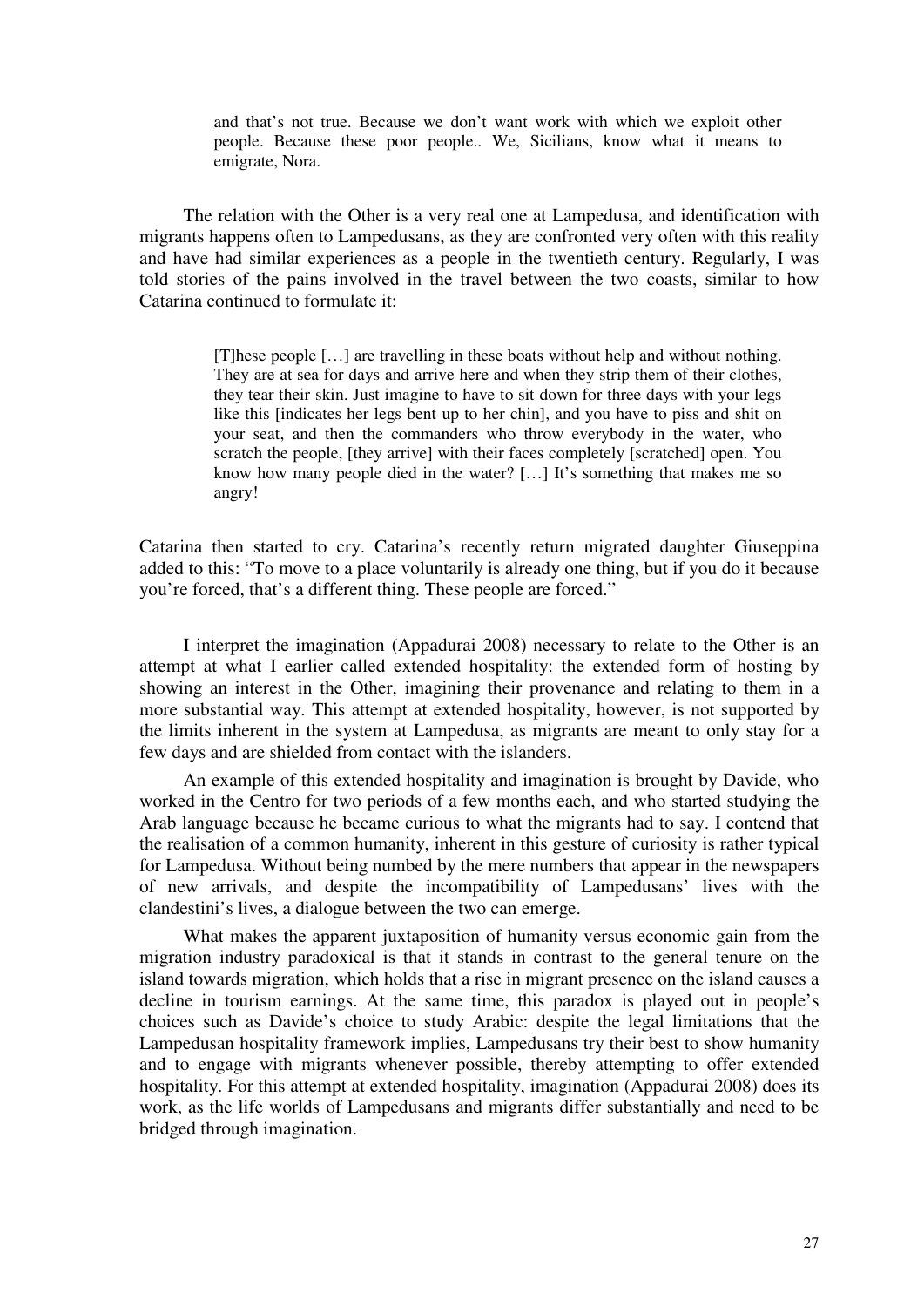and that's not true. Because we don't want work with which we exploit other people. Because these poor people.. We, Sicilians, know what it means to emigrate, Nora.

The relation with the Other is a very real one at Lampedusa, and identification with migrants happens often to Lampedusans, as they are confronted very often with this reality and have had similar experiences as a people in the twentieth century. Regularly, I was told stories of the pains involved in the travel between the two coasts, similar to how Catarina continued to formulate it:

> [T]hese people […] are travelling in these boats without help and without nothing. They are at sea for days and arrive here and when they strip them of their clothes, they tear their skin. Just imagine to have to sit down for three days with your legs like this [indicates her legs bent up to her chin], and you have to piss and shit on your seat, and then the commanders who throw everybody in the water, who scratch the people, [they arrive] with their faces completely [scratched] open. You know how many people died in the water? [...] It's something that makes me so angry!

Catarina then started to cry. Catarina's recently return migrated daughter Giuseppina added to this: "To move to a place voluntarily is already one thing, but if you do it because you're forced, that's a different thing. These people are forced."

I interpret the imagination (Appadurai 2008) necessary to relate to the Other is an attempt at what I earlier called extended hospitality: the extended form of hosting by showing an interest in the Other, imagining their provenance and relating to them in a more substantial way. This attempt at extended hospitality, however, is not supported by the limits inherent in the system at Lampedusa, as migrants are meant to only stay for a few days and are shielded from contact with the islanders.

An example of this extended hospitality and imagination is brought by Davide, who worked in the Centro for two periods of a few months each, and who started studying the Arab language because he became curious to what the migrants had to say. I contend that the realisation of a common humanity, inherent in this gesture of curiosity is rather typical for Lampedusa. Without being numbed by the mere numbers that appear in the newspapers of new arrivals, and despite the incompatibility of Lampedusans' lives with the clandestini's lives, a dialogue between the two can emerge.

What makes the apparent juxtaposition of humanity versus economic gain from the migration industry paradoxical is that it stands in contrast to the general tenure on the island towards migration, which holds that a rise in migrant presence on the island causes a decline in tourism earnings. At the same time, this paradox is played out in people's choices such as Davide's choice to study Arabic: despite the legal limitations that the Lampedusan hospitality framework implies, Lampedusans try their best to show humanity and to engage with migrants whenever possible, thereby attempting to offer extended hospitality. For this attempt at extended hospitality, imagination (Appadurai 2008) does its work, as the life worlds of Lampedusans and migrants differ substantially and need to be bridged through imagination.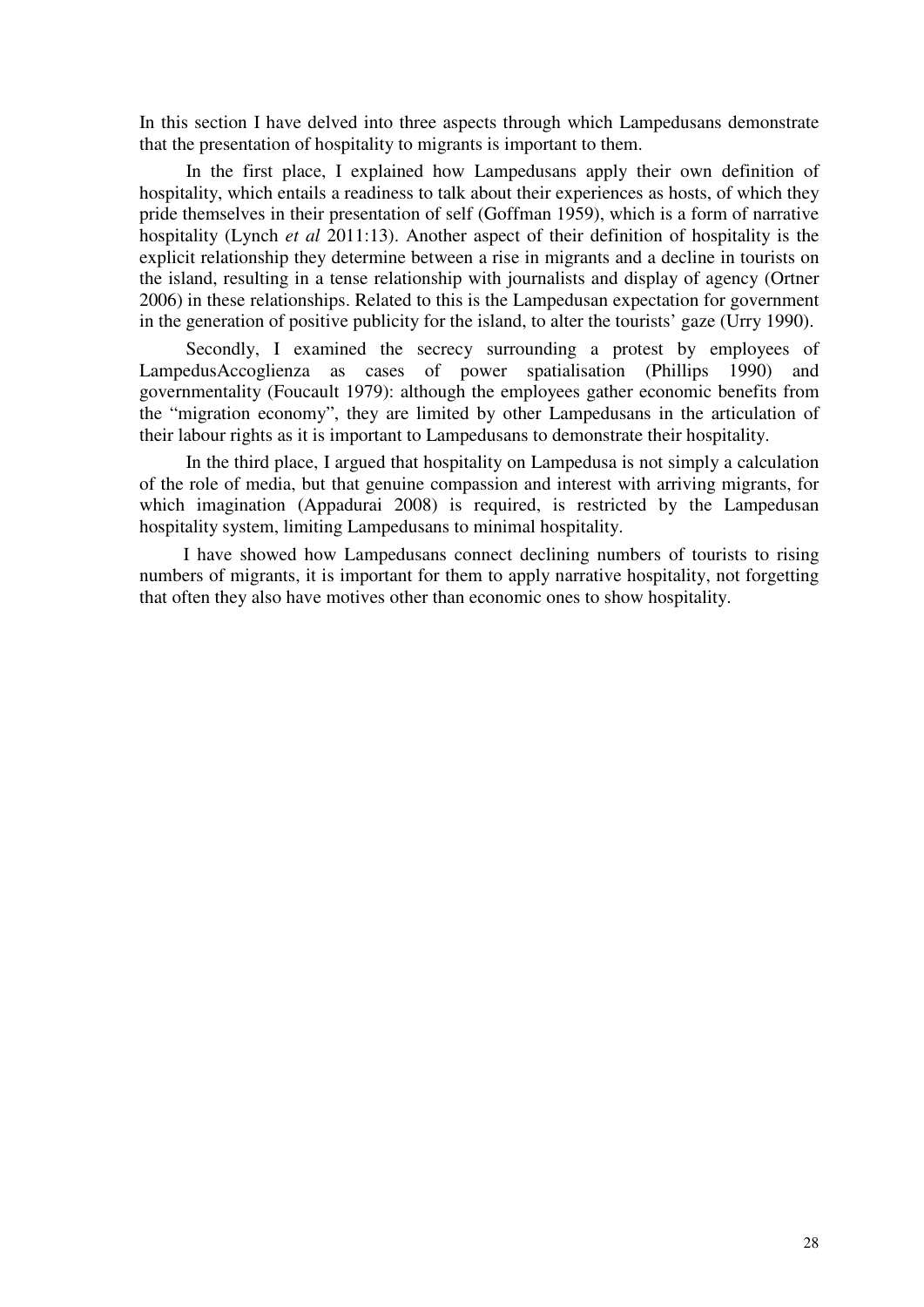In this section I have delved into three aspects through which Lampedusans demonstrate that the presentation of hospitality to migrants is important to them.

In the first place, I explained how Lampedusans apply their own definition of hospitality, which entails a readiness to talk about their experiences as hosts, of which they pride themselves in their presentation of self (Goffman 1959), which is a form of narrative hospitality (Lynch *et al* 2011:13). Another aspect of their definition of hospitality is the explicit relationship they determine between a rise in migrants and a decline in tourists on the island, resulting in a tense relationship with journalists and display of agency (Ortner 2006) in these relationships. Related to this is the Lampedusan expectation for government in the generation of positive publicity for the island, to alter the tourists' gaze (Urry 1990).

Secondly, I examined the secrecy surrounding a protest by employees of LampedusAccoglienza as cases of power spatialisation (Phillips 1990) and governmentality (Foucault 1979): although the employees gather economic benefits from the "migration economy", they are limited by other Lampedusans in the articulation of their labour rights as it is important to Lampedusans to demonstrate their hospitality.

In the third place, I argued that hospitality on Lampedusa is not simply a calculation of the role of media, but that genuine compassion and interest with arriving migrants, for which imagination (Appadurai 2008) is required, is restricted by the Lampedusan hospitality system, limiting Lampedusans to minimal hospitality.

I have showed how Lampedusans connect declining numbers of tourists to rising numbers of migrants, it is important for them to apply narrative hospitality, not forgetting that often they also have motives other than economic ones to show hospitality.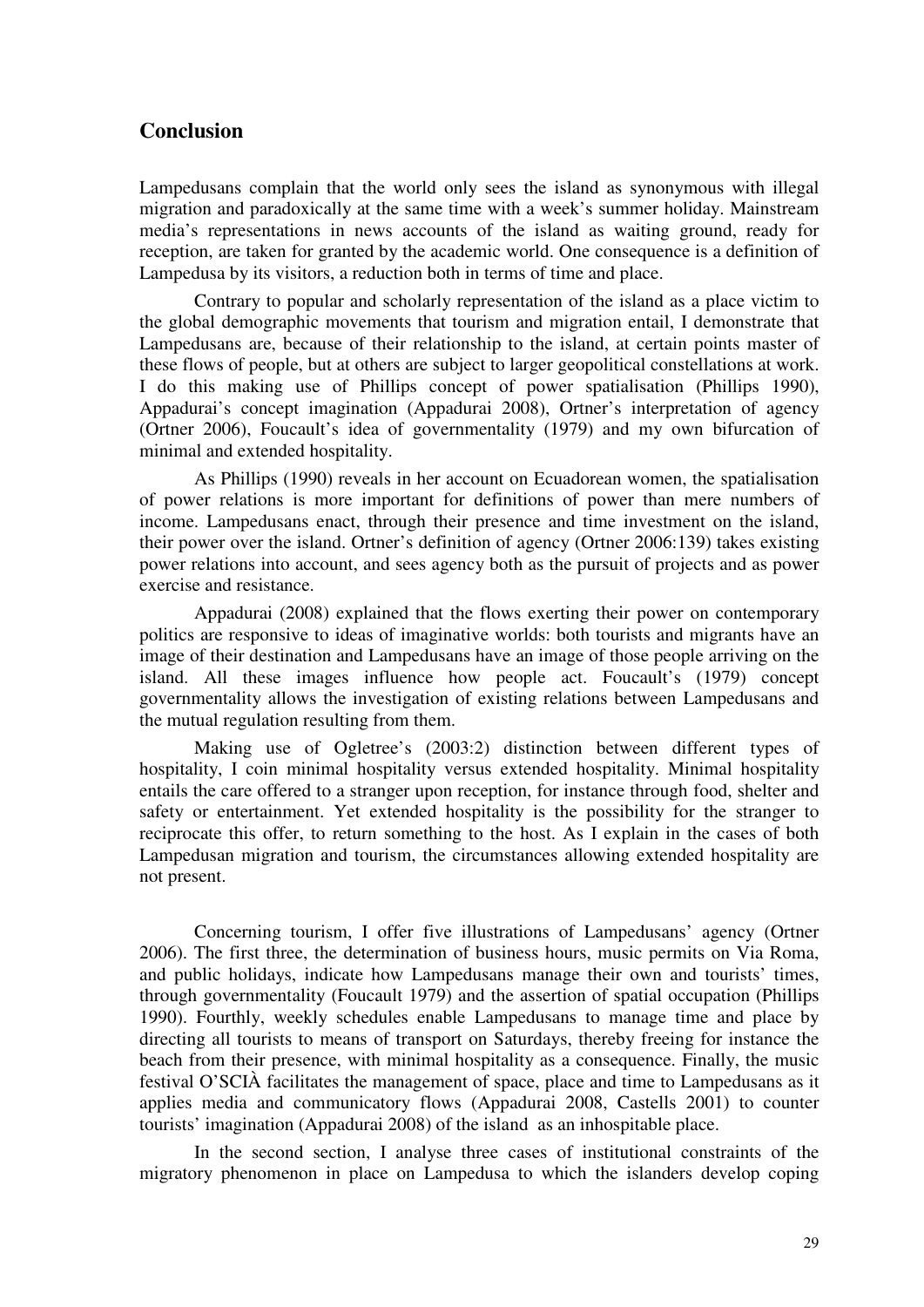# **Conclusion**

Lampedusans complain that the world only sees the island as synonymous with illegal migration and paradoxically at the same time with a week's summer holiday. Mainstream media's representations in news accounts of the island as waiting ground, ready for reception, are taken for granted by the academic world. One consequence is a definition of Lampedusa by its visitors, a reduction both in terms of time and place.

Contrary to popular and scholarly representation of the island as a place victim to the global demographic movements that tourism and migration entail, I demonstrate that Lampedusans are, because of their relationship to the island, at certain points master of these flows of people, but at others are subject to larger geopolitical constellations at work. I do this making use of Phillips concept of power spatialisation (Phillips 1990), Appadurai's concept imagination (Appadurai 2008), Ortner's interpretation of agency (Ortner 2006), Foucault's idea of governmentality (1979) and my own bifurcation of minimal and extended hospitality.

As Phillips (1990) reveals in her account on Ecuadorean women, the spatialisation of power relations is more important for definitions of power than mere numbers of income. Lampedusans enact, through their presence and time investment on the island, their power over the island. Ortner's definition of agency (Ortner 2006:139) takes existing power relations into account, and sees agency both as the pursuit of projects and as power exercise and resistance.

Appadurai (2008) explained that the flows exerting their power on contemporary politics are responsive to ideas of imaginative worlds: both tourists and migrants have an image of their destination and Lampedusans have an image of those people arriving on the island. All these images influence how people act. Foucault's (1979) concept governmentality allows the investigation of existing relations between Lampedusans and the mutual regulation resulting from them.

Making use of Ogletree's (2003:2) distinction between different types of hospitality, I coin minimal hospitality versus extended hospitality. Minimal hospitality entails the care offered to a stranger upon reception, for instance through food, shelter and safety or entertainment. Yet extended hospitality is the possibility for the stranger to reciprocate this offer, to return something to the host. As I explain in the cases of both Lampedusan migration and tourism, the circumstances allowing extended hospitality are not present.

Concerning tourism, I offer five illustrations of Lampedusans' agency (Ortner 2006). The first three, the determination of business hours, music permits on Via Roma, and public holidays, indicate how Lampedusans manage their own and tourists' times, through governmentality (Foucault 1979) and the assertion of spatial occupation (Phillips 1990). Fourthly, weekly schedules enable Lampedusans to manage time and place by directing all tourists to means of transport on Saturdays, thereby freeing for instance the beach from their presence, with minimal hospitality as a consequence. Finally, the music festival O'SCIÀ facilitates the management of space, place and time to Lampedusans as it applies media and communicatory flows (Appadurai 2008, Castells 2001) to counter tourists' imagination (Appadurai 2008) of the island as an inhospitable place.

In the second section, I analyse three cases of institutional constraints of the migratory phenomenon in place on Lampedusa to which the islanders develop coping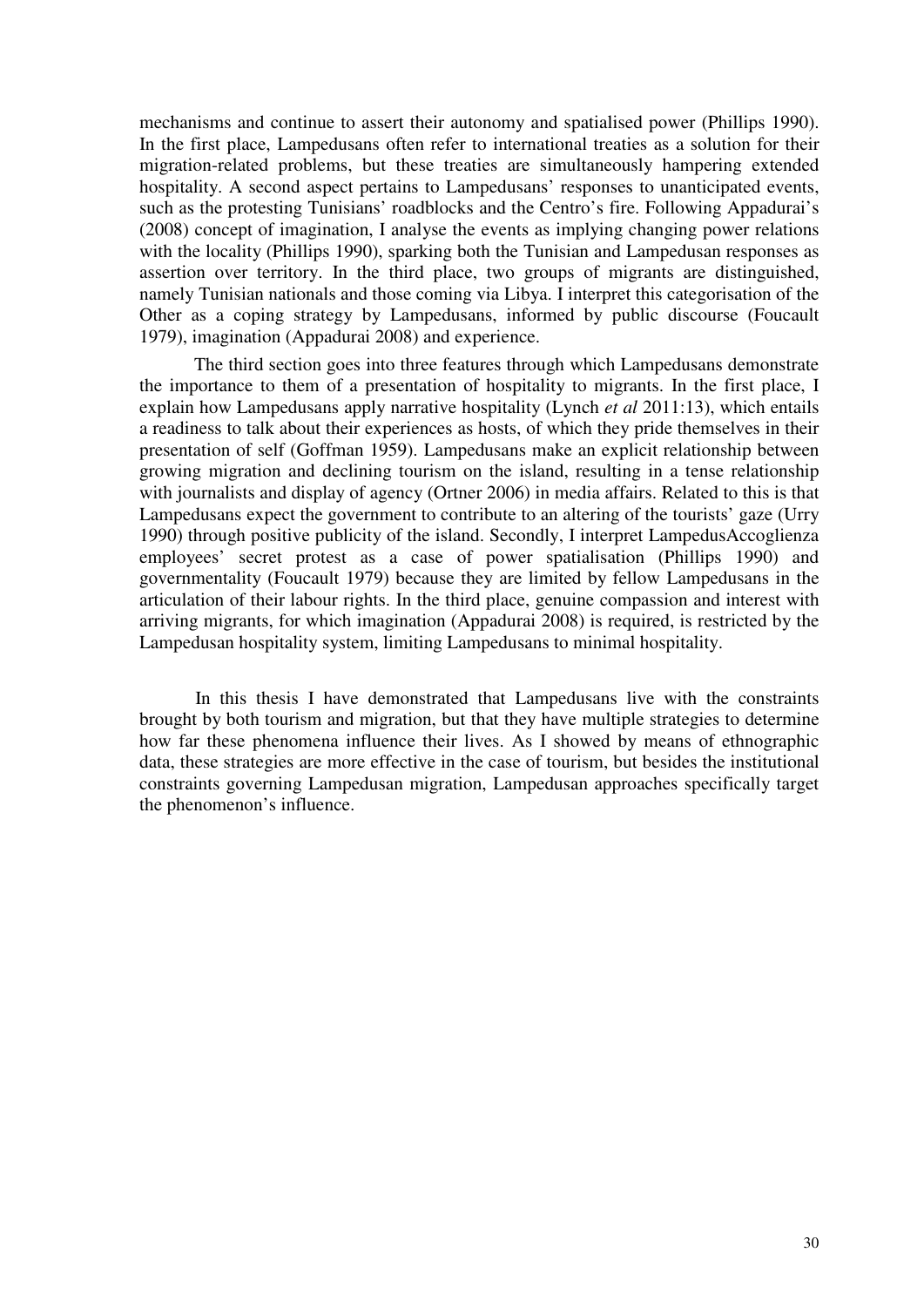mechanisms and continue to assert their autonomy and spatialised power (Phillips 1990). In the first place, Lampedusans often refer to international treaties as a solution for their migration-related problems, but these treaties are simultaneously hampering extended hospitality. A second aspect pertains to Lampedusans' responses to unanticipated events, such as the protesting Tunisians' roadblocks and the Centro's fire. Following Appadurai's (2008) concept of imagination, I analyse the events as implying changing power relations with the locality (Phillips 1990), sparking both the Tunisian and Lampedusan responses as assertion over territory. In the third place, two groups of migrants are distinguished, namely Tunisian nationals and those coming via Libya. I interpret this categorisation of the Other as a coping strategy by Lampedusans, informed by public discourse (Foucault 1979), imagination (Appadurai 2008) and experience.

The third section goes into three features through which Lampedusans demonstrate the importance to them of a presentation of hospitality to migrants. In the first place, I explain how Lampedusans apply narrative hospitality (Lynch *et al* 2011:13), which entails a readiness to talk about their experiences as hosts, of which they pride themselves in their presentation of self (Goffman 1959). Lampedusans make an explicit relationship between growing migration and declining tourism on the island, resulting in a tense relationship with journalists and display of agency (Ortner 2006) in media affairs. Related to this is that Lampedusans expect the government to contribute to an altering of the tourists' gaze (Urry 1990) through positive publicity of the island. Secondly, I interpret LampedusAccoglienza employees' secret protest as a case of power spatialisation (Phillips 1990) and governmentality (Foucault 1979) because they are limited by fellow Lampedusans in the articulation of their labour rights. In the third place, genuine compassion and interest with arriving migrants, for which imagination (Appadurai 2008) is required, is restricted by the Lampedusan hospitality system, limiting Lampedusans to minimal hospitality.

In this thesis I have demonstrated that Lampedusans live with the constraints brought by both tourism and migration, but that they have multiple strategies to determine how far these phenomena influence their lives. As I showed by means of ethnographic data, these strategies are more effective in the case of tourism, but besides the institutional constraints governing Lampedusan migration, Lampedusan approaches specifically target the phenomenon's influence.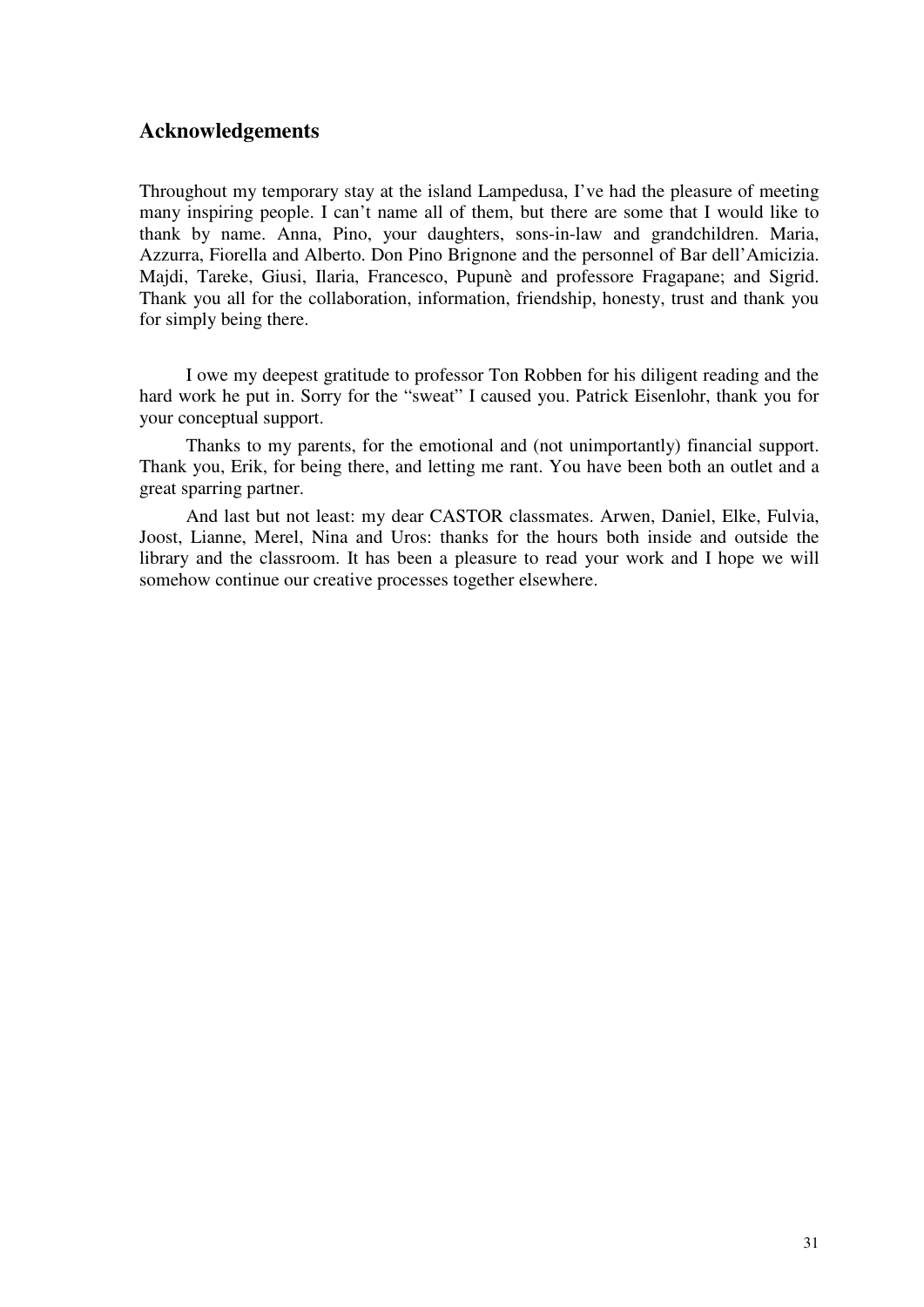# **Acknowledgements**

Throughout my temporary stay at the island Lampedusa, I've had the pleasure of meeting many inspiring people. I can't name all of them, but there are some that I would like to thank by name. Anna, Pino, your daughters, sons-in-law and grandchildren. Maria, Azzurra, Fiorella and Alberto. Don Pino Brignone and the personnel of Bar dell'Amicizia. Majdi, Tareke, Giusi, Ilaria, Francesco, Pupunè and professore Fragapane; and Sigrid. Thank you all for the collaboration, information, friendship, honesty, trust and thank you for simply being there.

I owe my deepest gratitude to professor Ton Robben for his diligent reading and the hard work he put in. Sorry for the "sweat" I caused you. Patrick Eisenlohr, thank you for your conceptual support.

Thanks to my parents, for the emotional and (not unimportantly) financial support. Thank you, Erik, for being there, and letting me rant. You have been both an outlet and a great sparring partner.

And last but not least: my dear CASTOR classmates. Arwen, Daniel, Elke, Fulvia, Joost, Lianne, Merel, Nina and Uros: thanks for the hours both inside and outside the library and the classroom. It has been a pleasure to read your work and I hope we will somehow continue our creative processes together elsewhere.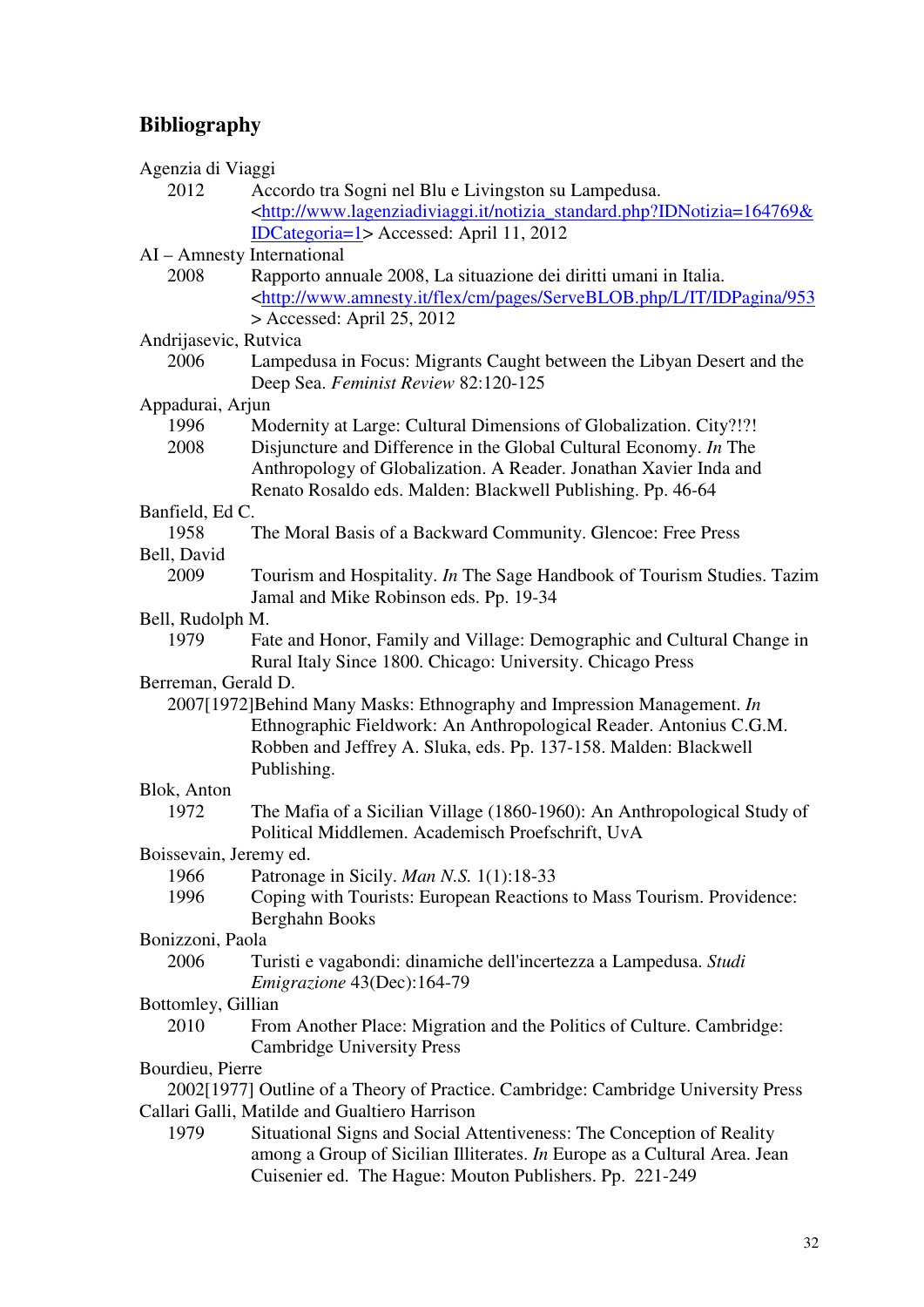# **Bibliography**

| Agenzia di Viaggi      |                                                                                                                                      |
|------------------------|--------------------------------------------------------------------------------------------------------------------------------------|
| 2012                   | Accordo tra Sogni nel Blu e Livingston su Lampedusa.                                                                                 |
|                        | <http: notizia_standard.php?idnotizia="164769&amp;&lt;/td" www.lagenziadiviaggi.it=""></http:>                                       |
|                        | <b>IDCategoria=1&gt;</b> Accessed: April 11, 2012                                                                                    |
|                        | AI - Amnesty International                                                                                                           |
| 2008                   | Rapporto annuale 2008, La situazione dei diritti umani in Italia.                                                                    |
|                        | <http: 953<="" cm="" flex="" idpagina="" it="" l="" pages="" serveblob.php="" td="" www.amnesty.it=""></http:>                       |
|                        | $>$ Accessed: April 25, 2012                                                                                                         |
| Andrijasevic, Rutvica  |                                                                                                                                      |
| 2006                   | Lampedusa in Focus: Migrants Caught between the Libyan Desert and the                                                                |
|                        | Deep Sea. Feminist Review 82:120-125                                                                                                 |
| Appadurai, Arjun       |                                                                                                                                      |
| 1996                   | Modernity at Large: Cultural Dimensions of Globalization. City?!?!                                                                   |
| 2008                   | Disjuncture and Difference in the Global Cultural Economy. In The                                                                    |
|                        | Anthropology of Globalization. A Reader. Jonathan Xavier Inda and                                                                    |
|                        | Renato Rosaldo eds. Malden: Blackwell Publishing. Pp. 46-64                                                                          |
| Banfield, Ed C.        |                                                                                                                                      |
| 1958                   | The Moral Basis of a Backward Community. Glencoe: Free Press                                                                         |
| Bell, David            |                                                                                                                                      |
| 2009                   | Tourism and Hospitality. In The Sage Handbook of Tourism Studies. Tazim                                                              |
|                        | Jamal and Mike Robinson eds. Pp. 19-34                                                                                               |
| Bell, Rudolph M.       |                                                                                                                                      |
| 1979                   | Fate and Honor, Family and Village: Demographic and Cultural Change in<br>Rural Italy Since 1800. Chicago: University. Chicago Press |
| Berreman, Gerald D.    |                                                                                                                                      |
|                        | 2007[1972] Behind Many Masks: Ethnography and Impression Management. In                                                              |
|                        | Ethnographic Fieldwork: An Anthropological Reader. Antonius C.G.M.                                                                   |
|                        | Robben and Jeffrey A. Sluka, eds. Pp. 137-158. Malden: Blackwell                                                                     |
|                        | Publishing.                                                                                                                          |
| Blok, Anton            |                                                                                                                                      |
| 1972                   | The Mafia of a Sicilian Village (1860-1960): An Anthropological Study of                                                             |
|                        | Political Middlemen. Academisch Proefschrift, UvA                                                                                    |
| Boissevain, Jeremy ed. |                                                                                                                                      |
| 1966                   | Patronage in Sicily. Man N.S. 1(1):18-33                                                                                             |
| 1996                   | Coping with Tourists: European Reactions to Mass Tourism. Providence:                                                                |
|                        | Berghahn Books                                                                                                                       |
| Bonizzoni, Paola       |                                                                                                                                      |
| 2006                   | Turisti e vagabondi: dinamiche dell'incertezza a Lampedusa. Studi                                                                    |
|                        | Emigrazione 43(Dec):164-79                                                                                                           |
| Bottomley, Gillian     |                                                                                                                                      |
| 2010                   | From Another Place: Migration and the Politics of Culture. Cambridge:                                                                |
|                        | <b>Cambridge University Press</b>                                                                                                    |
| Bourdieu, Pierre       |                                                                                                                                      |
|                        | 2002[1977] Outline of a Theory of Practice. Cambridge: Cambridge University Press                                                    |
|                        | Callari Galli, Matilde and Gualtiero Harrison                                                                                        |
| 1979                   | Situational Signs and Social Attentiveness: The Conception of Reality                                                                |
|                        | among a Group of Sicilian Illiterates. In Europe as a Cultural Area. Jean                                                            |
|                        | Cuisenier ed. The Hague: Mouton Publishers. Pp. 221-249                                                                              |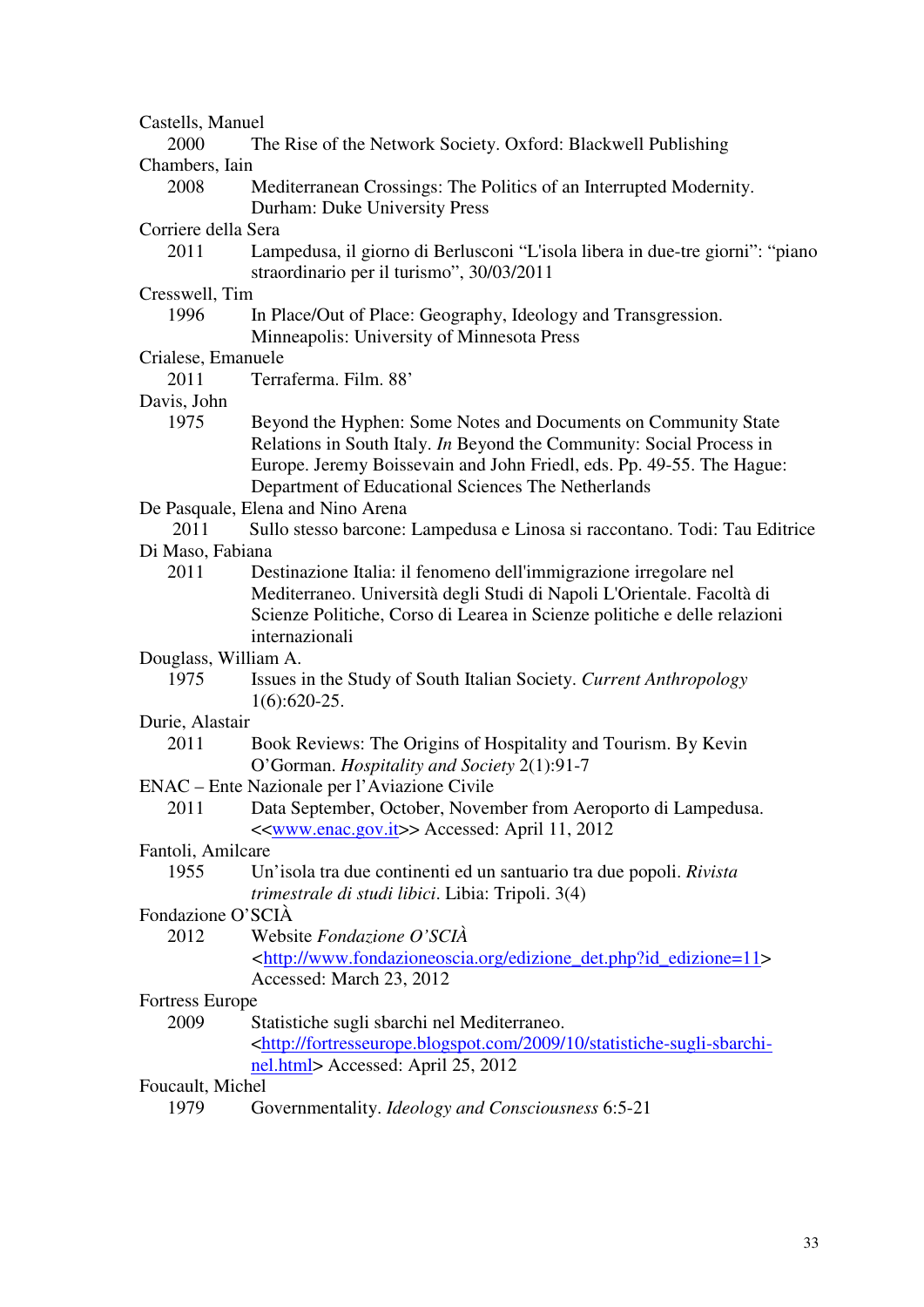| Castells, Manuel     |                                                                                                                            |
|----------------------|----------------------------------------------------------------------------------------------------------------------------|
| 2000                 | The Rise of the Network Society. Oxford: Blackwell Publishing                                                              |
| Chambers, Iain       |                                                                                                                            |
| 2008                 | Mediterranean Crossings: The Politics of an Interrupted Modernity.                                                         |
|                      | Durham: Duke University Press                                                                                              |
| Corriere della Sera  |                                                                                                                            |
| 2011                 | Lampedusa, il giorno di Berlusconi "L'isola libera in due-tre giorni": "piano<br>straordinario per il turismo", 30/03/2011 |
| Cresswell, Tim       |                                                                                                                            |
| 1996                 | In Place/Out of Place: Geography, Ideology and Transgression.                                                              |
|                      | Minneapolis: University of Minnesota Press                                                                                 |
| Crialese, Emanuele   |                                                                                                                            |
| 2011                 | Terraferma. Film. 88'                                                                                                      |
| Davis, John          |                                                                                                                            |
| 1975                 | Beyond the Hyphen: Some Notes and Documents on Community State                                                             |
|                      | Relations in South Italy. In Beyond the Community: Social Process in                                                       |
|                      | Europe. Jeremy Boissevain and John Friedl, eds. Pp. 49-55. The Hague:                                                      |
|                      | Department of Educational Sciences The Netherlands                                                                         |
|                      | De Pasquale, Elena and Nino Arena                                                                                          |
| 2011                 | Sullo stesso barcone: Lampedusa e Linosa si raccontano. Todi: Tau Editrice                                                 |
| Di Maso, Fabiana     |                                                                                                                            |
| 2011                 | Destinazione Italia: il fenomeno dell'immigrazione irregolare nel                                                          |
|                      | Mediterraneo. Università degli Studi di Napoli L'Orientale. Facoltà di                                                     |
|                      | Scienze Politiche, Corso di Learea in Scienze politiche e delle relazioni                                                  |
|                      | internazionali                                                                                                             |
| Douglass, William A. |                                                                                                                            |
| 1975                 | Issues in the Study of South Italian Society. Current Anthropology                                                         |
|                      | $1(6):620-25.$                                                                                                             |
| Durie, Alastair      |                                                                                                                            |
| 2011                 | Book Reviews: The Origins of Hospitality and Tourism. By Kevin                                                             |
|                      | O'Gorman. Hospitality and Society 2(1):91-7                                                                                |
|                      | ENAC – Ente Nazionale per l'Aviazione Civile                                                                               |
| 2011                 | Data September, October, November from Aeroporto di Lampedusa.                                                             |
|                      | << <u>www.enac.gov.it</u> >> Accessed: April 11, 2012                                                                      |
| Fantoli, Amilcare    |                                                                                                                            |
| 1955                 | Un'isola tra due continenti ed un santuario tra due popoli. Rivista                                                        |
|                      | trimestrale di studi libici. Libia: Tripoli. 3(4)                                                                          |
| Fondazione O'SCIÀ    |                                                                                                                            |
| 2012                 | Website Fondazione O'SCIÀ                                                                                                  |
|                      | <http: edizione_det.php?id_edizione="11" www.fondazioneoscia.org=""></http:>                                               |
|                      | Accessed: March 23, 2012                                                                                                   |
| Fortress Europe      |                                                                                                                            |
| 2009                 | Statistiche sugli sbarchi nel Mediterraneo.                                                                                |
|                      | <http: 10="" 2009="" fortresseurope.blogspot.com="" statistiche-sugli-sbarchi-<="" td=""></http:>                          |
|                      | nel.html> Accessed: April 25, 2012                                                                                         |
| Foucault, Michel     |                                                                                                                            |
| 1979                 | Governmentality. Ideology and Consciousness 6:5-21                                                                         |
|                      |                                                                                                                            |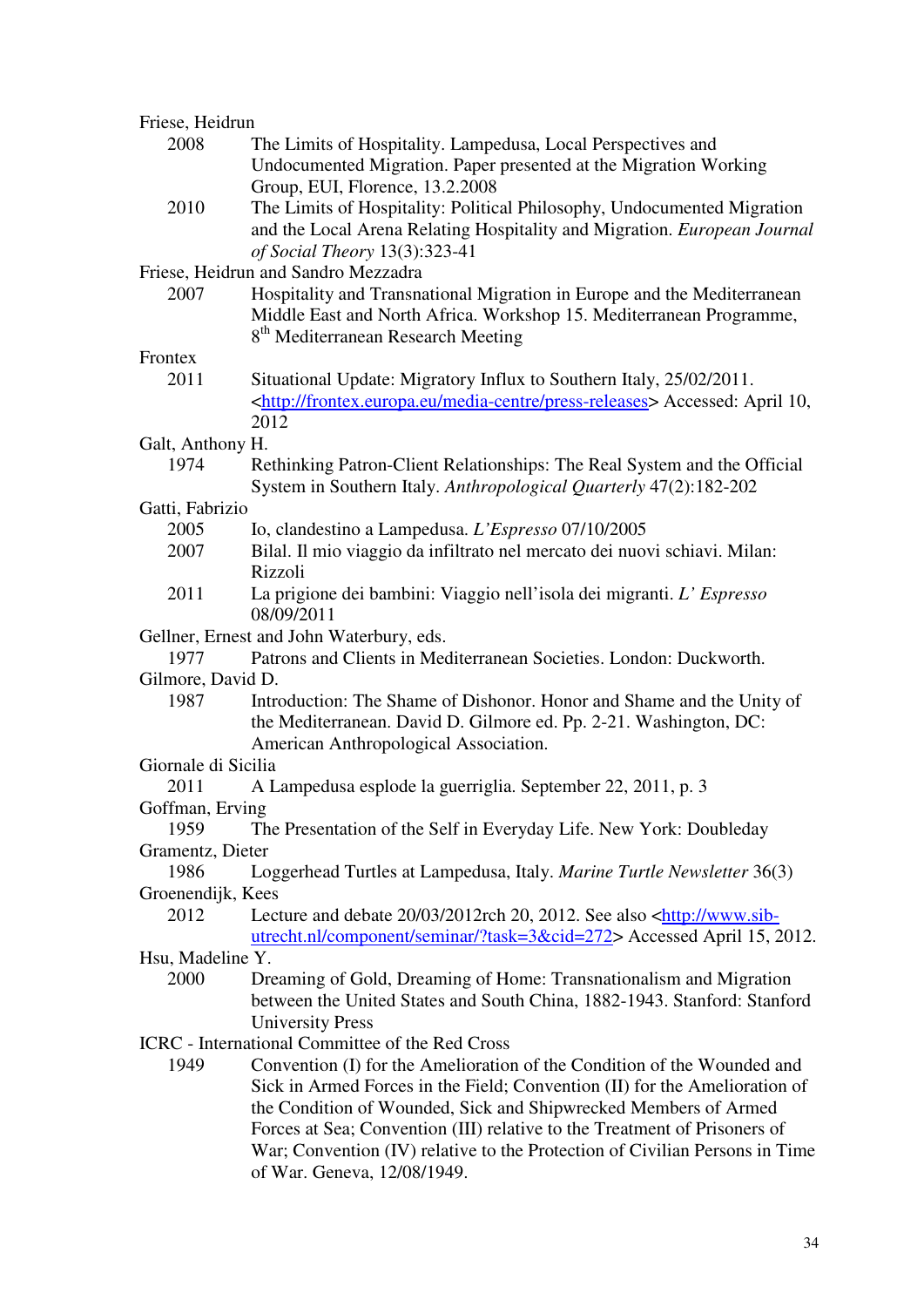| Friese, Heidrun     |                                                                                            |
|---------------------|--------------------------------------------------------------------------------------------|
| 2008                | The Limits of Hospitality. Lampedusa, Local Perspectives and                               |
|                     | Undocumented Migration. Paper presented at the Migration Working                           |
|                     | Group, EUI, Florence, 13.2.2008                                                            |
| 2010                | The Limits of Hospitality: Political Philosophy, Undocumented Migration                    |
|                     | and the Local Arena Relating Hospitality and Migration. European Journal                   |
|                     | of Social Theory 13(3):323-41                                                              |
|                     | Friese, Heidrun and Sandro Mezzadra                                                        |
| 2007                | Hospitality and Transnational Migration in Europe and the Mediterranean                    |
|                     | Middle East and North Africa. Workshop 15. Mediterranean Programme,                        |
|                     | 8 <sup>th</sup> Mediterranean Research Meeting                                             |
| Frontex             |                                                                                            |
| 2011                | Situational Update: Migratory Influx to Southern Italy, 25/02/2011.                        |
|                     | <http: frontex.europa.eu="" media-centre="" press-releases=""> Accessed: April 10,</http:> |
|                     | 2012                                                                                       |
| Galt, Anthony H.    |                                                                                            |
| 1974                | Rethinking Patron-Client Relationships: The Real System and the Official                   |
|                     | System in Southern Italy. Anthropological Quarterly 47(2):182-202                          |
| Gatti, Fabrizio     |                                                                                            |
| 2005                | Io, clandestino a Lampedusa. L'Espresso 07/10/2005                                         |
| 2007                | Bilal. Il mio viaggio da infiltrato nel mercato dei nuovi schiavi. Milan:                  |
|                     | Rizzoli                                                                                    |
| 2011                | La prigione dei bambini: Viaggio nell'isola dei migranti. L' Espresso                      |
|                     | 08/09/2011                                                                                 |
|                     | Gellner, Ernest and John Waterbury, eds.                                                   |
| 1977                | Patrons and Clients in Mediterranean Societies. London: Duckworth.                         |
| Gilmore, David D.   |                                                                                            |
| 1987                | Introduction: The Shame of Dishonor. Honor and Shame and the Unity of                      |
|                     | the Mediterranean. David D. Gilmore ed. Pp. 2-21. Washington, DC:                          |
|                     | American Anthropological Association.                                                      |
| Giornale di Sicilia |                                                                                            |
| 2011                | A Lampedusa esplode la guerriglia. September 22, 2011, p. 3                                |
| Goffman, Erving     |                                                                                            |
| 1959                | The Presentation of the Self in Everyday Life. New York: Doubleday                         |
| Gramentz, Dieter    |                                                                                            |
| 1986                |                                                                                            |
|                     | Loggerhead Turtles at Lampedusa, Italy. Marine Turtle Newsletter 36(3)                     |
| Groenendijk, Kees   |                                                                                            |
| 2012                | Lecture and debate 20/03/2012rch 20, 2012. See also <http: td="" www.sib-<=""></http:>     |
|                     | utrecht.nl/component/seminar/?task=3&cid=272> Accessed April 15, 2012.                     |
| Hsu, Madeline Y.    |                                                                                            |
| 2000                | Dreaming of Gold, Dreaming of Home: Transnationalism and Migration                         |
|                     | between the United States and South China, 1882-1943. Stanford: Stanford                   |
|                     | <b>University Press</b>                                                                    |
|                     | <b>ICRC</b> - International Committee of the Red Cross                                     |
| 1949                | Convention (I) for the Amelioration of the Condition of the Wounded and                    |
|                     | Sick in Armed Forces in the Field; Convention (II) for the Amelioration of                 |
|                     | the Condition of Wounded, Sick and Shipwrecked Members of Armed                            |
|                     | Forces at Sea; Convention (III) relative to the Treatment of Prisoners of                  |
|                     | War; Convention (IV) relative to the Protection of Civilian Persons in Time                |
|                     | of War. Geneva, 12/08/1949.                                                                |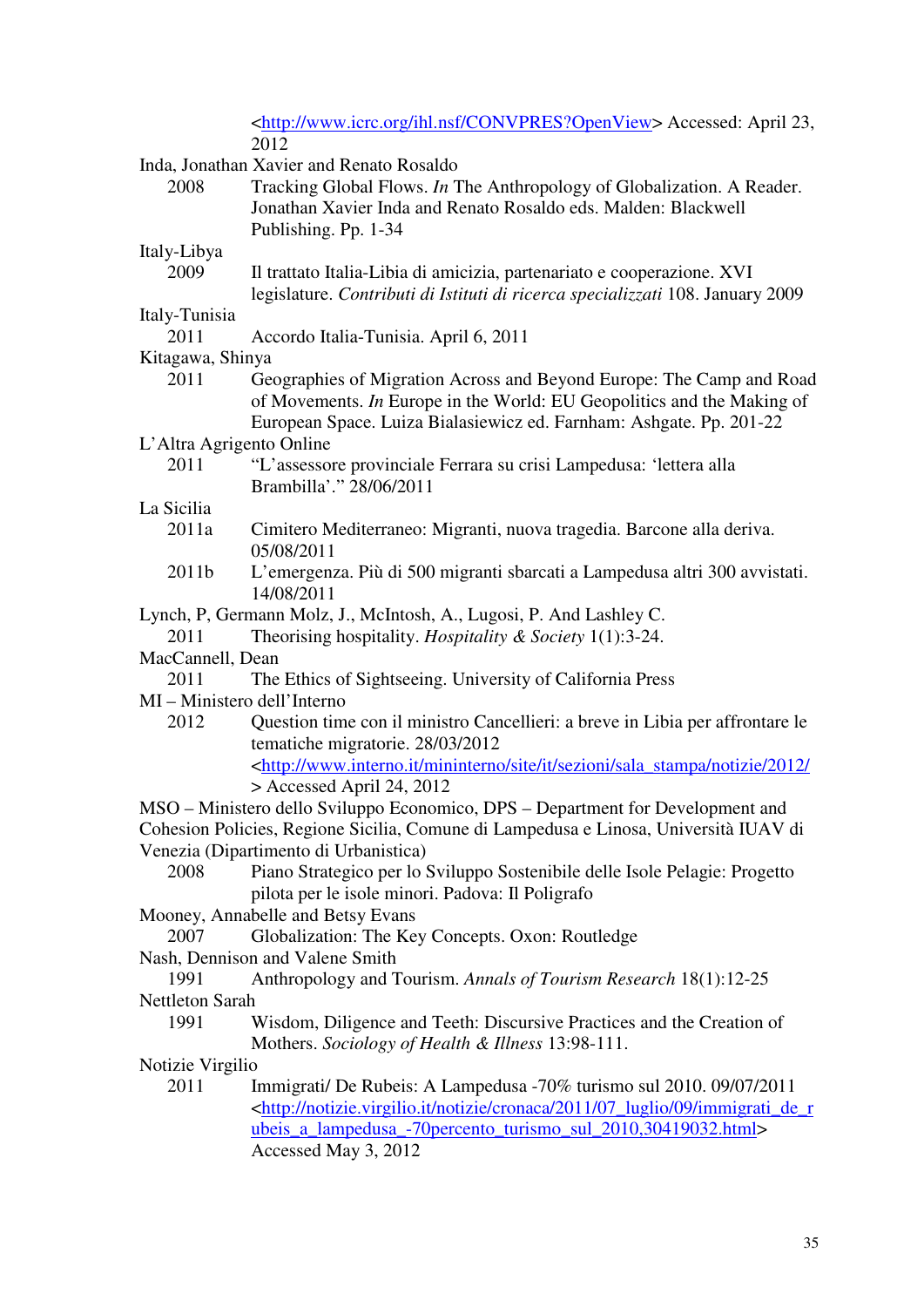|                                          | <http: convpres?openview="" ihl.nsf="" www.icrc.org=""> Accessed: April 23,<br/>2012</http:>                                                   |  |
|------------------------------------------|------------------------------------------------------------------------------------------------------------------------------------------------|--|
| Inda, Jonathan Xavier and Renato Rosaldo |                                                                                                                                                |  |
| 2008                                     | Tracking Global Flows. In The Anthropology of Globalization. A Reader.                                                                         |  |
|                                          | Jonathan Xavier Inda and Renato Rosaldo eds. Malden: Blackwell                                                                                 |  |
|                                          | Publishing. Pp. 1-34                                                                                                                           |  |
| Italy-Libya                              |                                                                                                                                                |  |
| 2009                                     | Il trattato Italia-Libia di amicizia, partenariato e cooperazione. XVI                                                                         |  |
|                                          | legislature. Contributi di Istituti di ricerca specializzati 108. January 2009                                                                 |  |
| Italy-Tunisia                            |                                                                                                                                                |  |
| 2011                                     | Accordo Italia-Tunisia. April 6, 2011                                                                                                          |  |
| Kitagawa, Shinya                         |                                                                                                                                                |  |
| 2011                                     | Geographies of Migration Across and Beyond Europe: The Camp and Road<br>of Movements. In Europe in the World: EU Geopolitics and the Making of |  |
|                                          | European Space. Luiza Bialasiewicz ed. Farnham: Ashgate. Pp. 201-22                                                                            |  |
| L'Altra Agrigento Online                 |                                                                                                                                                |  |
| 2011                                     | "L'assessore provinciale Ferrara su crisi Lampedusa: 'lettera alla                                                                             |  |
|                                          | Brambilla'." 28/06/2011                                                                                                                        |  |
| La Sicilia                               |                                                                                                                                                |  |
| 2011a                                    | Cimitero Mediterraneo: Migranti, nuova tragedia. Barcone alla deriva.<br>05/08/2011                                                            |  |
| 2011b                                    | L'emergenza. Più di 500 migranti sbarcati a Lampedusa altri 300 avvistati.<br>14/08/2011                                                       |  |
|                                          | Lynch, P, Germann Molz, J., McIntosh, A., Lugosi, P. And Lashley C.                                                                            |  |
| 2011                                     | Theorising hospitality. Hospitality & Society $1(1)$ :3-24.                                                                                    |  |
| MacCannell, Dean                         |                                                                                                                                                |  |
| 2011                                     | The Ethics of Sightseeing. University of California Press                                                                                      |  |
| MI - Ministero dell'Interno              |                                                                                                                                                |  |
| 2012                                     | Question time con il ministro Cancellieri: a breve in Libia per affrontare le                                                                  |  |
|                                          | tematiche migratorie. 28/03/2012                                                                                                               |  |
|                                          | <http: 2012="" <="" it="" mininterno="" notizie="" sala_stampa="" sezioni="" site="" td="" www.interno.it=""></http:>                          |  |
|                                          | > Accessed April 24, 2012                                                                                                                      |  |
|                                          | MSO - Ministero dello Sviluppo Economico, DPS - Department for Development and                                                                 |  |
|                                          | Cohesion Policies, Regione Sicilia, Comune di Lampedusa e Linosa, Università IUAV di                                                           |  |
|                                          | Venezia (Dipartimento di Urbanistica)                                                                                                          |  |
| 2008                                     | Piano Strategico per lo Sviluppo Sostenibile delle Isole Pelagie: Progetto                                                                     |  |
|                                          | pilota per le isole minori. Padova: Il Poligrafo<br>Mooney, Annabelle and Betsy Evans                                                          |  |
| 2007                                     | Globalization: The Key Concepts. Oxon: Routledge                                                                                               |  |
|                                          | Nash, Dennison and Valene Smith                                                                                                                |  |
| 1991                                     | Anthropology and Tourism. Annals of Tourism Research 18(1):12-25                                                                               |  |
| Nettleton Sarah                          |                                                                                                                                                |  |
| 1991                                     | Wisdom, Diligence and Teeth: Discursive Practices and the Creation of                                                                          |  |
|                                          | Mothers. Sociology of Health & Illness 13:98-111.                                                                                              |  |
| Notizie Virgilio                         |                                                                                                                                                |  |
| 2011                                     | Immigrati/ De Rubeis: A Lampedusa -70% turismo sul 2010. 09/07/2011                                                                            |  |
|                                          | <http: 07_luglio="" 09="" 2011="" cronaca="" immigrati_de_r<="" notizie="" notizie.virgilio.it="" td=""></http:>                               |  |
|                                          | ubeis a lampedusa -70 percento turismo sul 2010, 30419032.html>                                                                                |  |
|                                          | Accessed May 3, 2012                                                                                                                           |  |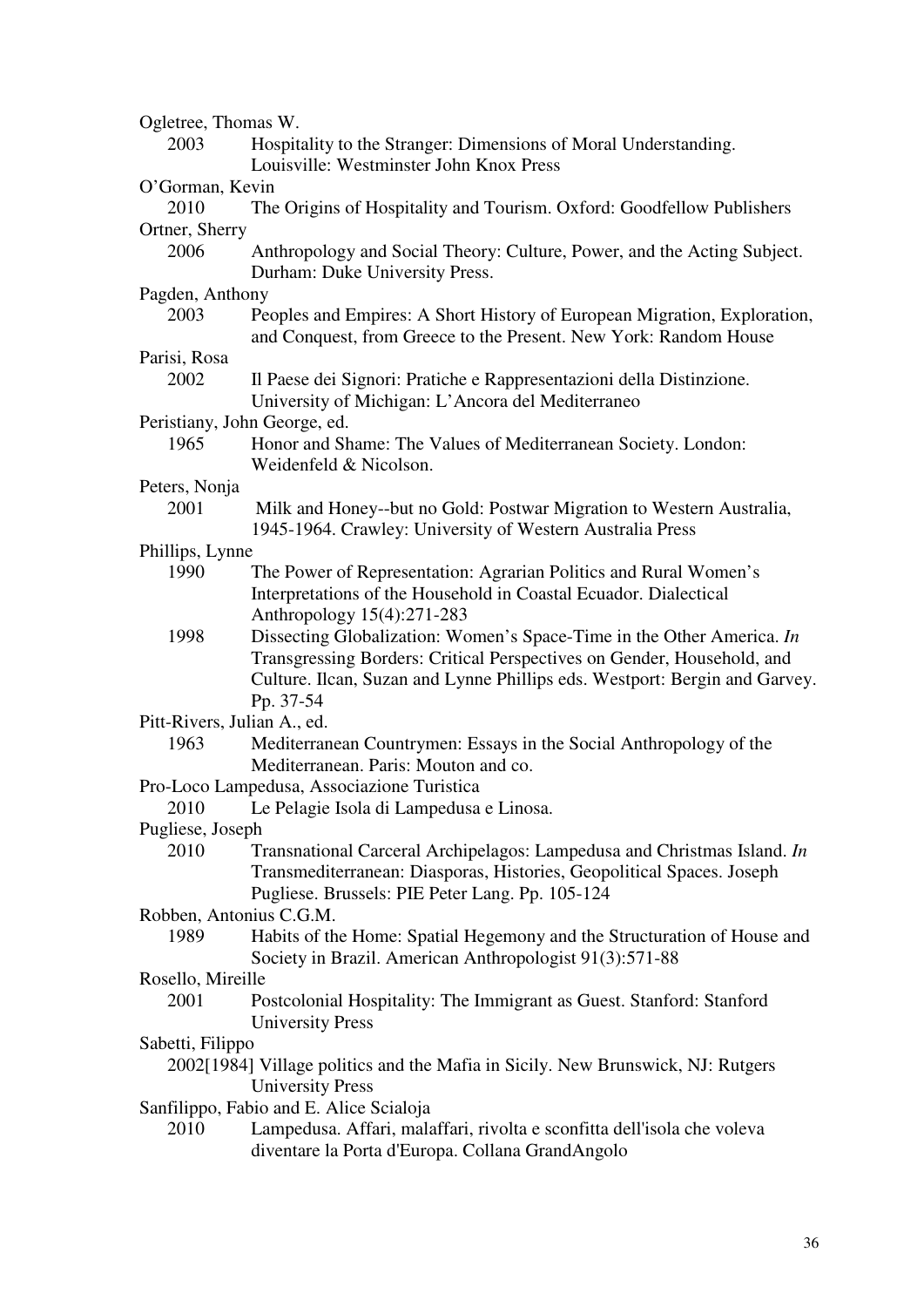| Ogletree, Thomas W.                     |                                                                                                                                                                                                                               |  |
|-----------------------------------------|-------------------------------------------------------------------------------------------------------------------------------------------------------------------------------------------------------------------------------|--|
| 2003                                    | Hospitality to the Stranger: Dimensions of Moral Understanding.<br>Louisville: Westminster John Knox Press                                                                                                                    |  |
| O'Gorman, Kevin                         |                                                                                                                                                                                                                               |  |
| 2010                                    | The Origins of Hospitality and Tourism. Oxford: Goodfellow Publishers                                                                                                                                                         |  |
| Ortner, Sherry                          |                                                                                                                                                                                                                               |  |
| 2006                                    | Anthropology and Social Theory: Culture, Power, and the Acting Subject.<br>Durham: Duke University Press.                                                                                                                     |  |
| Pagden, Anthony                         |                                                                                                                                                                                                                               |  |
| 2003                                    | Peoples and Empires: A Short History of European Migration, Exploration,<br>and Conquest, from Greece to the Present. New York: Random House                                                                                  |  |
| Parisi, Rosa                            |                                                                                                                                                                                                                               |  |
| 2002                                    | Il Paese dei Signori: Pratiche e Rappresentazioni della Distinzione.<br>University of Michigan: L'Ancora del Mediterraneo                                                                                                     |  |
| Peristiany, John George, ed.            |                                                                                                                                                                                                                               |  |
| 1965                                    | Honor and Shame: The Values of Mediterranean Society. London:<br>Weidenfeld & Nicolson.                                                                                                                                       |  |
| Peters, Nonja                           |                                                                                                                                                                                                                               |  |
| 2001                                    | Milk and Honey--but no Gold: Postwar Migration to Western Australia,<br>1945-1964. Crawley: University of Western Australia Press                                                                                             |  |
| Phillips, Lynne                         |                                                                                                                                                                                                                               |  |
| 1990                                    | The Power of Representation: Agrarian Politics and Rural Women's                                                                                                                                                              |  |
|                                         | Interpretations of the Household in Coastal Ecuador. Dialectical<br>Anthropology 15(4):271-283                                                                                                                                |  |
| 1998                                    | Dissecting Globalization: Women's Space-Time in the Other America. In<br>Transgressing Borders: Critical Perspectives on Gender, Household, and<br>Culture. Ilcan, Suzan and Lynne Phillips eds. Westport: Bergin and Garvey. |  |
|                                         | Pp. 37-54                                                                                                                                                                                                                     |  |
| Pitt-Rivers, Julian A., ed.             |                                                                                                                                                                                                                               |  |
| 1963                                    | Mediterranean Countrymen: Essays in the Social Anthropology of the                                                                                                                                                            |  |
|                                         | Mediterranean. Paris: Mouton and co.                                                                                                                                                                                          |  |
|                                         | Pro-Loco Lampedusa, Associazione Turistica                                                                                                                                                                                    |  |
| 2010                                    | Le Pelagie Isola di Lampedusa e Linosa.                                                                                                                                                                                       |  |
| Pugliese, Joseph                        |                                                                                                                                                                                                                               |  |
| 2010                                    | Transnational Carceral Archipelagos: Lampedusa and Christmas Island. In<br>Transmediterranean: Diasporas, Histories, Geopolitical Spaces. Joseph<br>Pugliese. Brussels: PIE Peter Lang. Pp. 105-124                           |  |
| Robben, Antonius C.G.M.                 |                                                                                                                                                                                                                               |  |
| 1989                                    | Habits of the Home: Spatial Hegemony and the Structuration of House and<br>Society in Brazil. American Anthropologist 91(3):571-88                                                                                            |  |
| Rosello, Mireille                       |                                                                                                                                                                                                                               |  |
| 2001                                    | Postcolonial Hospitality: The Immigrant as Guest. Stanford: Stanford<br><b>University Press</b>                                                                                                                               |  |
| Sabetti, Filippo                        |                                                                                                                                                                                                                               |  |
|                                         | 2002[1984] Village politics and the Mafia in Sicily. New Brunswick, NJ: Rutgers<br><b>University Press</b>                                                                                                                    |  |
| Sanfilippo, Fabio and E. Alice Scialoja |                                                                                                                                                                                                                               |  |
| 2010                                    | Lampedusa. Affari, malaffari, rivolta e sconfitta dell'isola che voleva<br>diventare la Porta d'Europa. Collana GrandAngolo                                                                                                   |  |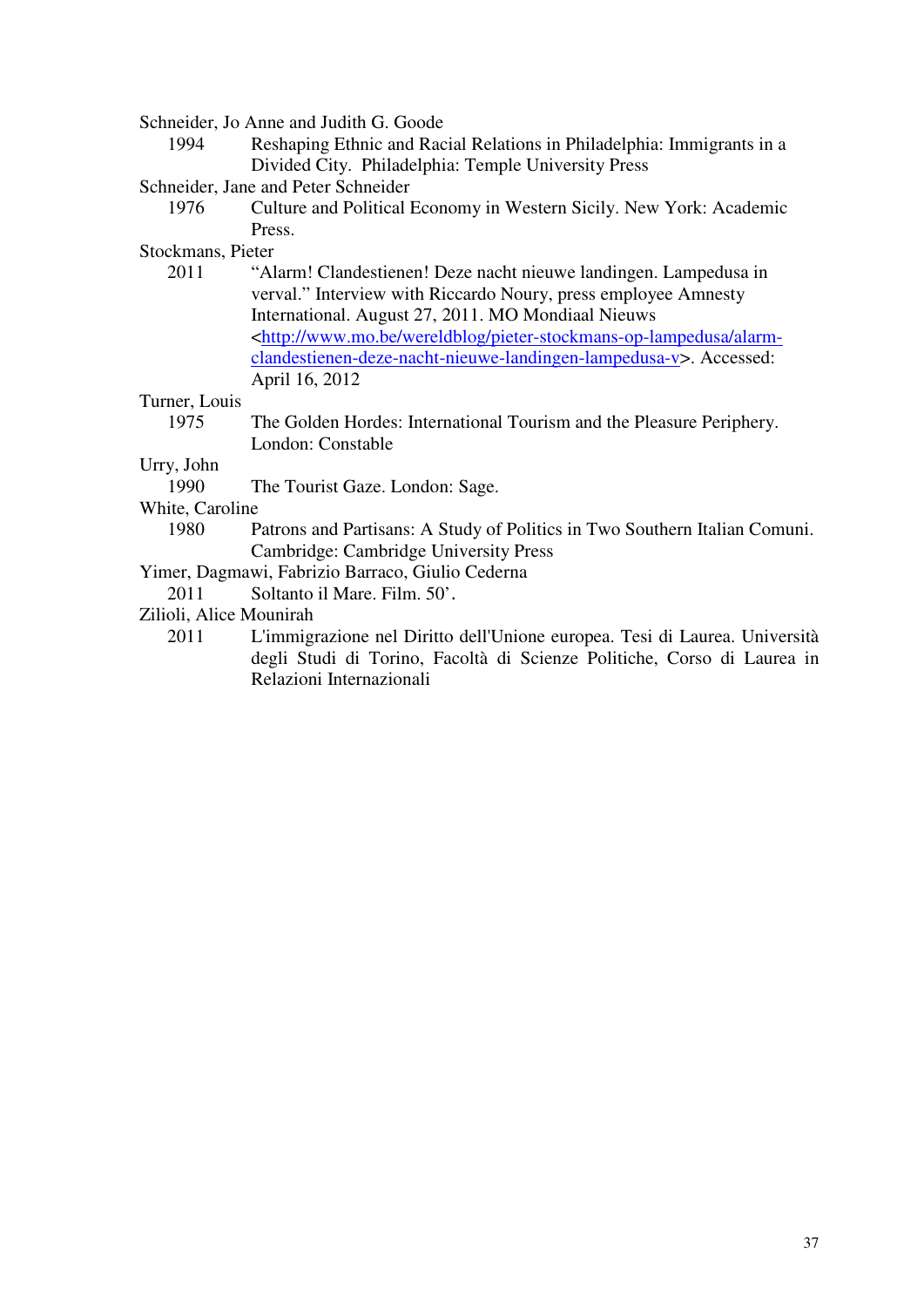Schneider, Jo Anne and Judith G. Goode

- 1994 Reshaping Ethnic and Racial Relations in Philadelphia: Immigrants in a Divided City. Philadelphia: Temple University Press
- Schneider, Jane and Peter Schneider
	- 1976 Culture and Political Economy in Western Sicily. New York: Academic Press.

Stockmans, Pieter

2011 "Alarm! Clandestienen! Deze nacht nieuwe landingen. Lampedusa in verval." Interview with Riccardo Noury, press employee Amnesty International. August 27, 2011. MO Mondiaal Nieuws <http://www.mo.be/wereldblog/pieter-stockmans-op-lampedusa/alarmclandestienen-deze-nacht-nieuwe-landingen-lampedusa-v>. Accessed: April 16, 2012

Turner, Louis

1975 The Golden Hordes: International Tourism and the Pleasure Periphery. London: Constable

Urry, John

1990 The Tourist Gaze. London: Sage.

White, Caroline

1980 Patrons and Partisans: A Study of Politics in Two Southern Italian Comuni. Cambridge: Cambridge University Press

Yimer, Dagmawi, Fabrizio Barraco, Giulio Cederna

2011 Soltanto il Mare. Film. 50'.

- Zilioli, Alice Mounirah
	- 2011 L'immigrazione nel Diritto dell'Unione europea. Tesi di Laurea. Università degli Studi di Torino, Facoltà di Scienze Politiche, Corso di Laurea in Relazioni Internazionali